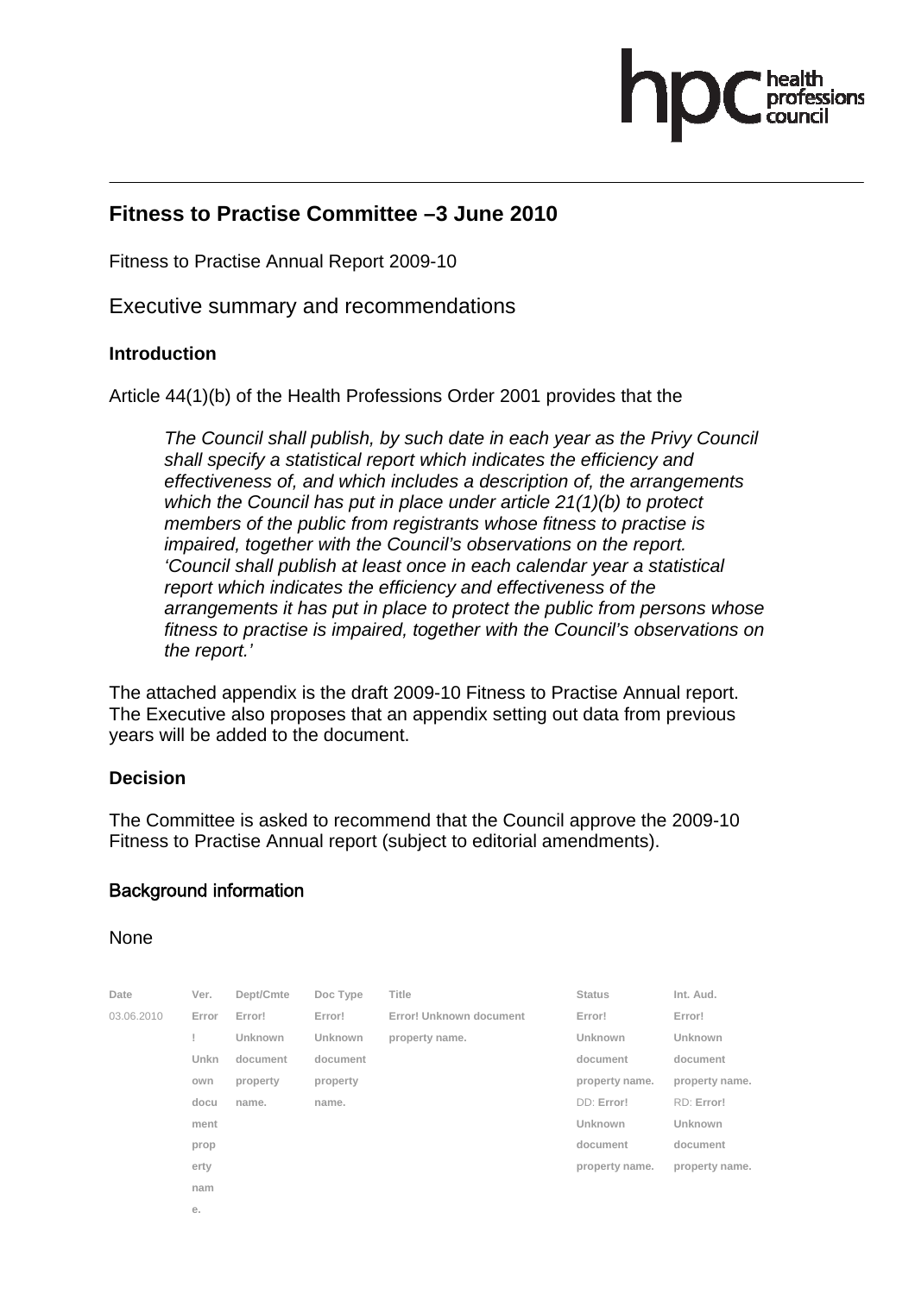

## **Fitness to Practise Committee –3 June 2010**

Fitness to Practise Annual Report 2009-10

Executive summary and recommendations

#### **Introduction**

Article 44(1)(b) of the Health Professions Order 2001 provides that the

*The Council shall publish, by such date in each year as the Privy Council shall specify a statistical report which indicates the efficiency and effectiveness of, and which includes a description of, the arrangements which the Council has put in place under article 21(1)(b) to protect members of the public from registrants whose fitness to practise is impaired, together with the Council's observations on the report. 'Council shall publish at least once in each calendar year a statistical report which indicates the efficiency and effectiveness of the arrangements it has put in place to protect the public from persons whose fitness to practise is impaired, together with the Council's observations on the report.'* 

The attached appendix is the draft 2009-10 Fitness to Practise Annual report. The Executive also proposes that an appendix setting out data from previous years will be added to the document.

## **Decision**

The Committee is asked to recommend that the Council approve the 2009-10 Fitness to Practise Annual report (subject to editorial amendments).

## Background information

#### None

| Date       | Ver.  | Dept/Cmte      | Doc Type       | <b>Title</b>            | <b>Status</b>  | Int. Aud.      |
|------------|-------|----------------|----------------|-------------------------|----------------|----------------|
| 03.06.2010 | Error | Error!         | Error!         | Error! Unknown document | Error!         | Error!         |
|            |       | <b>Unknown</b> | <b>Unknown</b> | property name.          | Unknown        | Unknown        |
|            | Unkn  | document       | document       |                         | document       | document       |
|            | own   | property       | property       |                         | property name. | property name. |
|            | docu  | name.          | name.          |                         | DD: Error!     | RD: Error!     |
|            | ment  |                |                |                         | <b>Unknown</b> | Unknown        |
|            | prop  |                |                |                         | document       | document       |
|            | erty  |                |                |                         | property name. | property name. |
|            | nam   |                |                |                         |                |                |
|            | е.    |                |                |                         |                |                |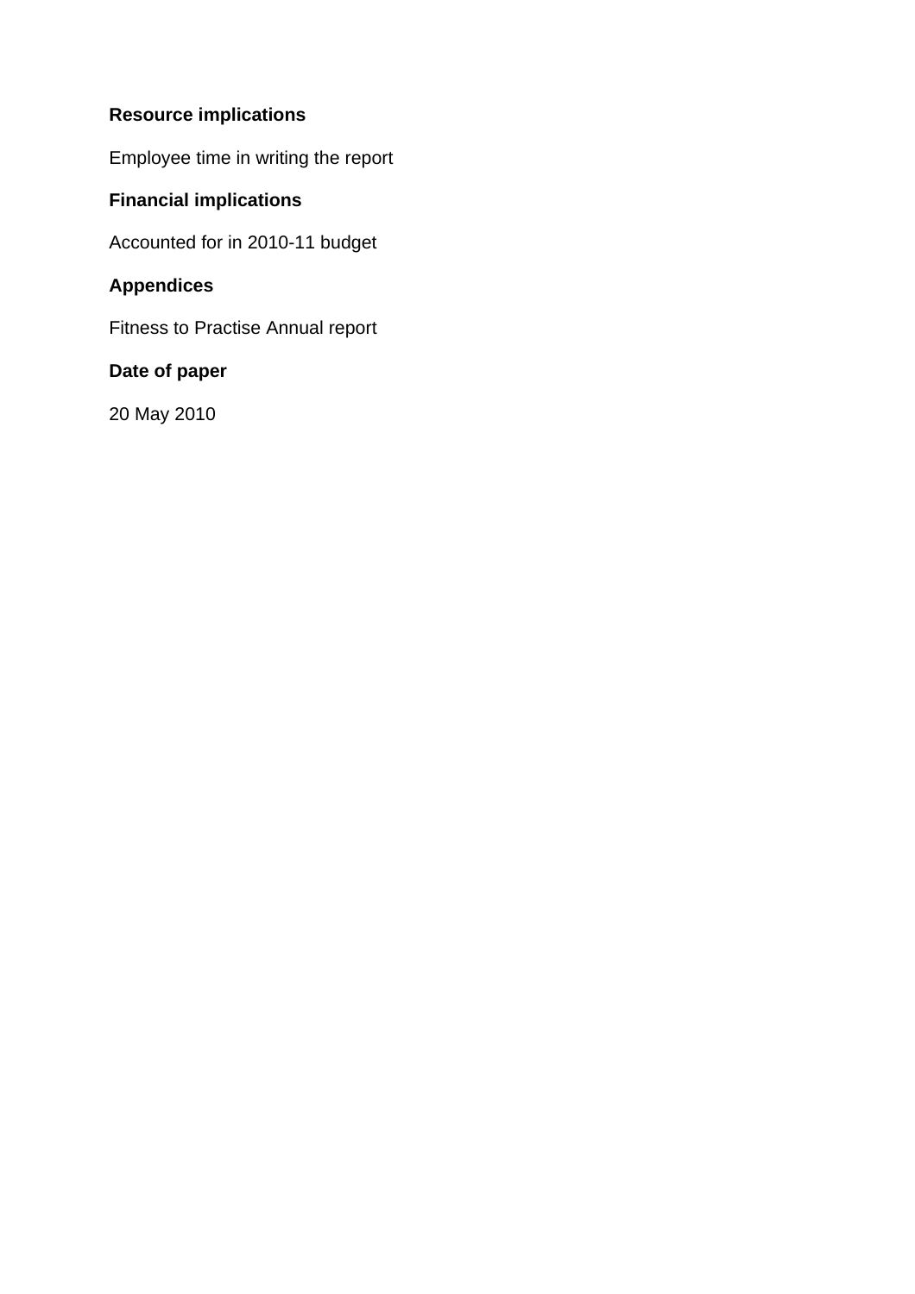# **Resource implications**

Employee time in writing the report

## **Financial implications**

Accounted for in 2010-11 budget

## **Appendices**

Fitness to Practise Annual report

## **Date of paper**

20 May 2010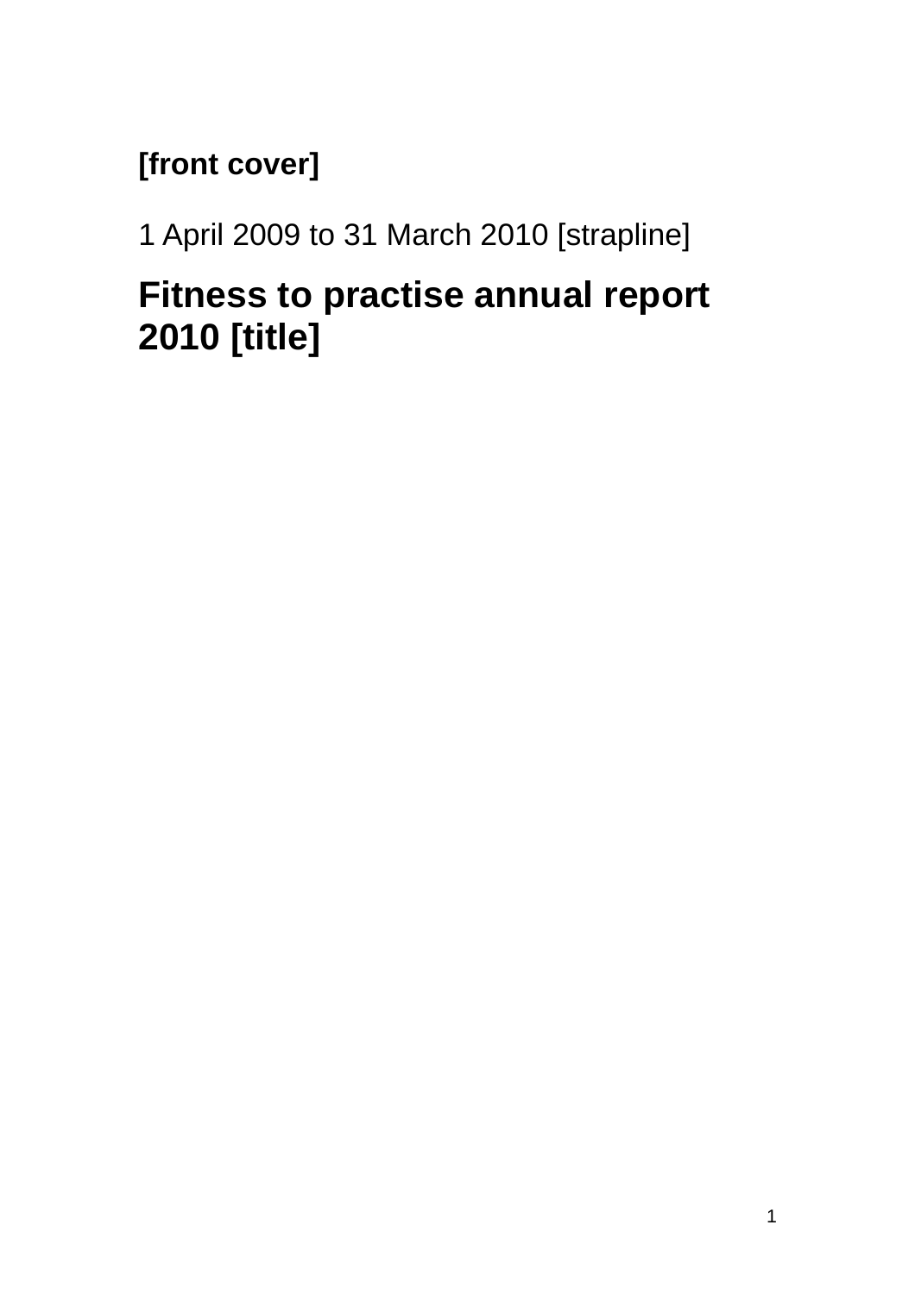# **[front cover]**

1 April 2009 to 31 March 2010 [strapline]

# **Fitness to practise annual report 2010 [title]**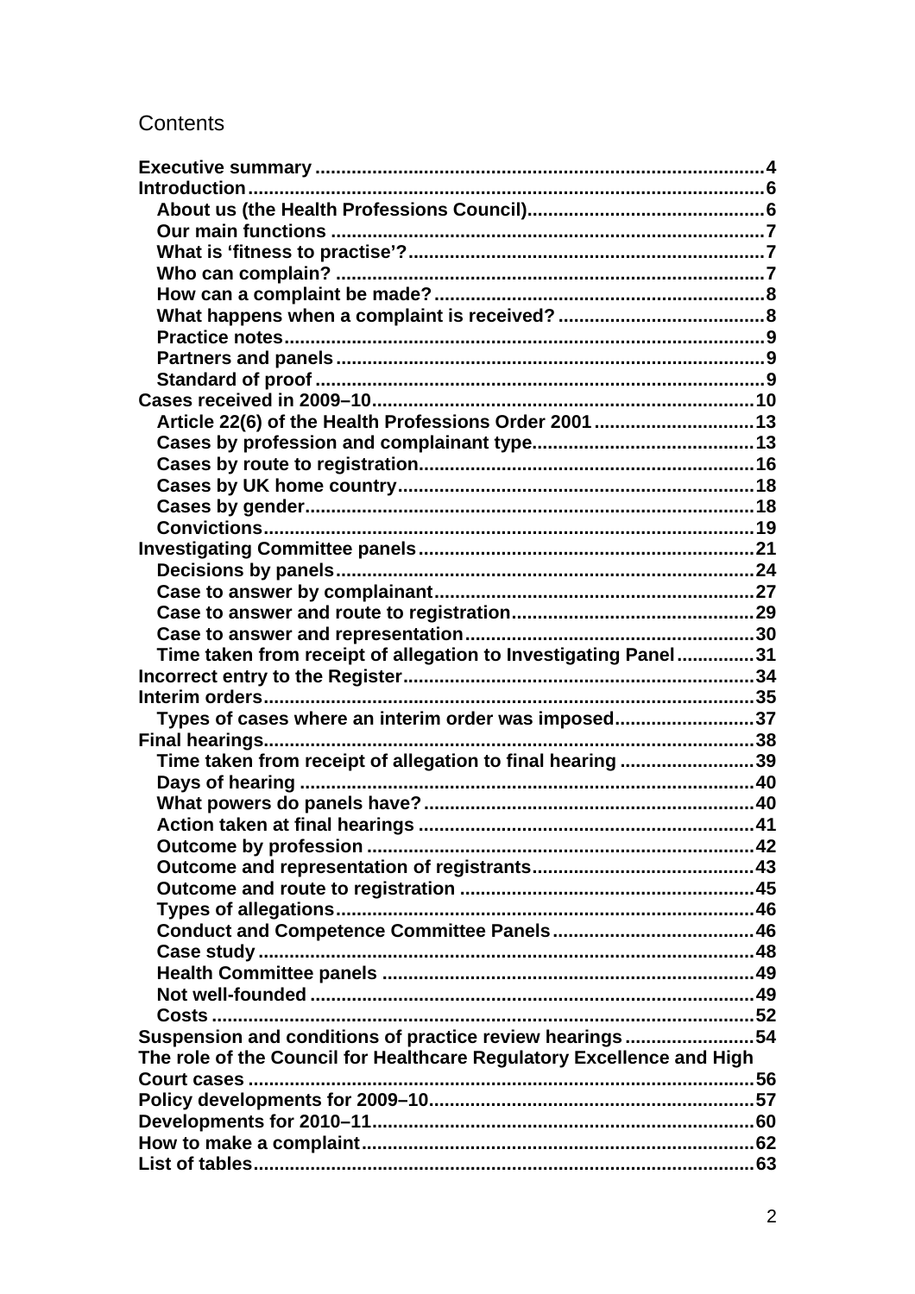# Contents

| Article 22(6) of the Health Professions Order 2001  13                |  |
|-----------------------------------------------------------------------|--|
|                                                                       |  |
|                                                                       |  |
|                                                                       |  |
|                                                                       |  |
|                                                                       |  |
|                                                                       |  |
|                                                                       |  |
|                                                                       |  |
|                                                                       |  |
|                                                                       |  |
| Time taken from receipt of allegation to Investigating Panel31        |  |
|                                                                       |  |
|                                                                       |  |
| Types of cases where an interim order was imposed37                   |  |
|                                                                       |  |
| Time taken from receipt of allegation to final hearing 39             |  |
|                                                                       |  |
|                                                                       |  |
|                                                                       |  |
|                                                                       |  |
|                                                                       |  |
|                                                                       |  |
|                                                                       |  |
|                                                                       |  |
|                                                                       |  |
|                                                                       |  |
|                                                                       |  |
|                                                                       |  |
| Suspension and conditions of practice review hearings54               |  |
| The role of the Council for Healthcare Regulatory Excellence and High |  |
| Court cases                                                           |  |
|                                                                       |  |
|                                                                       |  |
|                                                                       |  |
|                                                                       |  |
|                                                                       |  |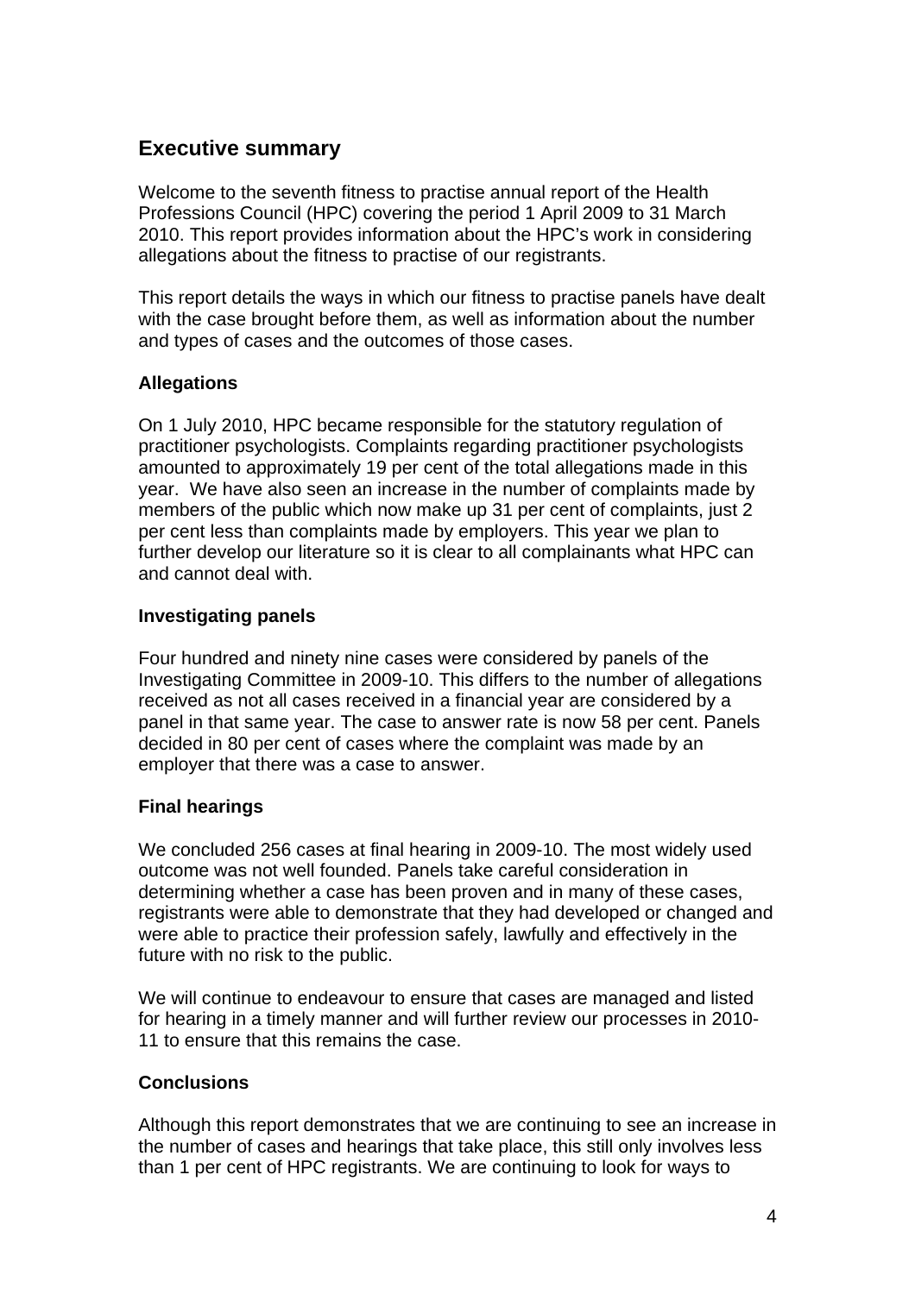## **Executive summary**

Welcome to the seventh fitness to practise annual report of the Health Professions Council (HPC) covering the period 1 April 2009 to 31 March 2010. This report provides information about the HPC's work in considering allegations about the fitness to practise of our registrants.

This report details the ways in which our fitness to practise panels have dealt with the case brought before them, as well as information about the number and types of cases and the outcomes of those cases.

## **Allegations**

On 1 July 2010, HPC became responsible for the statutory regulation of practitioner psychologists. Complaints regarding practitioner psychologists amounted to approximately 19 per cent of the total allegations made in this year. We have also seen an increase in the number of complaints made by members of the public which now make up 31 per cent of complaints, just 2 per cent less than complaints made by employers. This year we plan to further develop our literature so it is clear to all complainants what HPC can and cannot deal with.

## **Investigating panels**

Four hundred and ninety nine cases were considered by panels of the Investigating Committee in 2009-10. This differs to the number of allegations received as not all cases received in a financial year are considered by a panel in that same year. The case to answer rate is now 58 per cent. Panels decided in 80 per cent of cases where the complaint was made by an employer that there was a case to answer.

## **Final hearings**

We concluded 256 cases at final hearing in 2009-10. The most widely used outcome was not well founded. Panels take careful consideration in determining whether a case has been proven and in many of these cases, registrants were able to demonstrate that they had developed or changed and were able to practice their profession safely, lawfully and effectively in the future with no risk to the public.

We will continue to endeavour to ensure that cases are managed and listed for hearing in a timely manner and will further review our processes in 2010- 11 to ensure that this remains the case.

## **Conclusions**

Although this report demonstrates that we are continuing to see an increase in the number of cases and hearings that take place, this still only involves less than 1 per cent of HPC registrants. We are continuing to look for ways to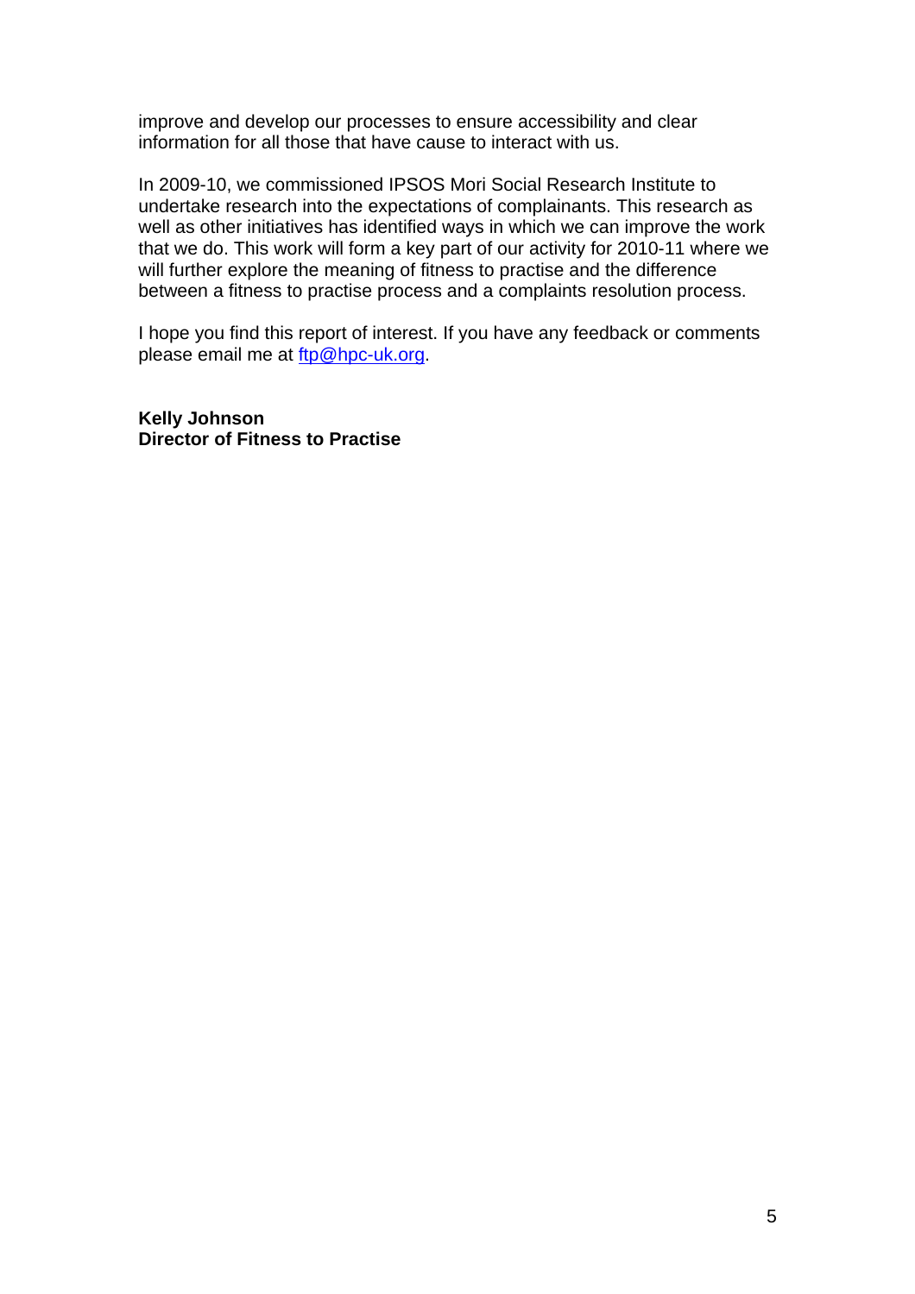improve and develop our processes to ensure accessibility and clear information for all those that have cause to interact with us.

In 2009-10, we commissioned IPSOS Mori Social Research Institute to undertake research into the expectations of complainants. This research as well as other initiatives has identified ways in which we can improve the work that we do. This work will form a key part of our activity for 2010-11 where we will further explore the meaning of fitness to practise and the difference between a fitness to practise process and a complaints resolution process.

I hope you find this report of interest. If you have any feedback or comments please email me at ftp@hpc-uk.org.

**Kelly Johnson Director of Fitness to Practise**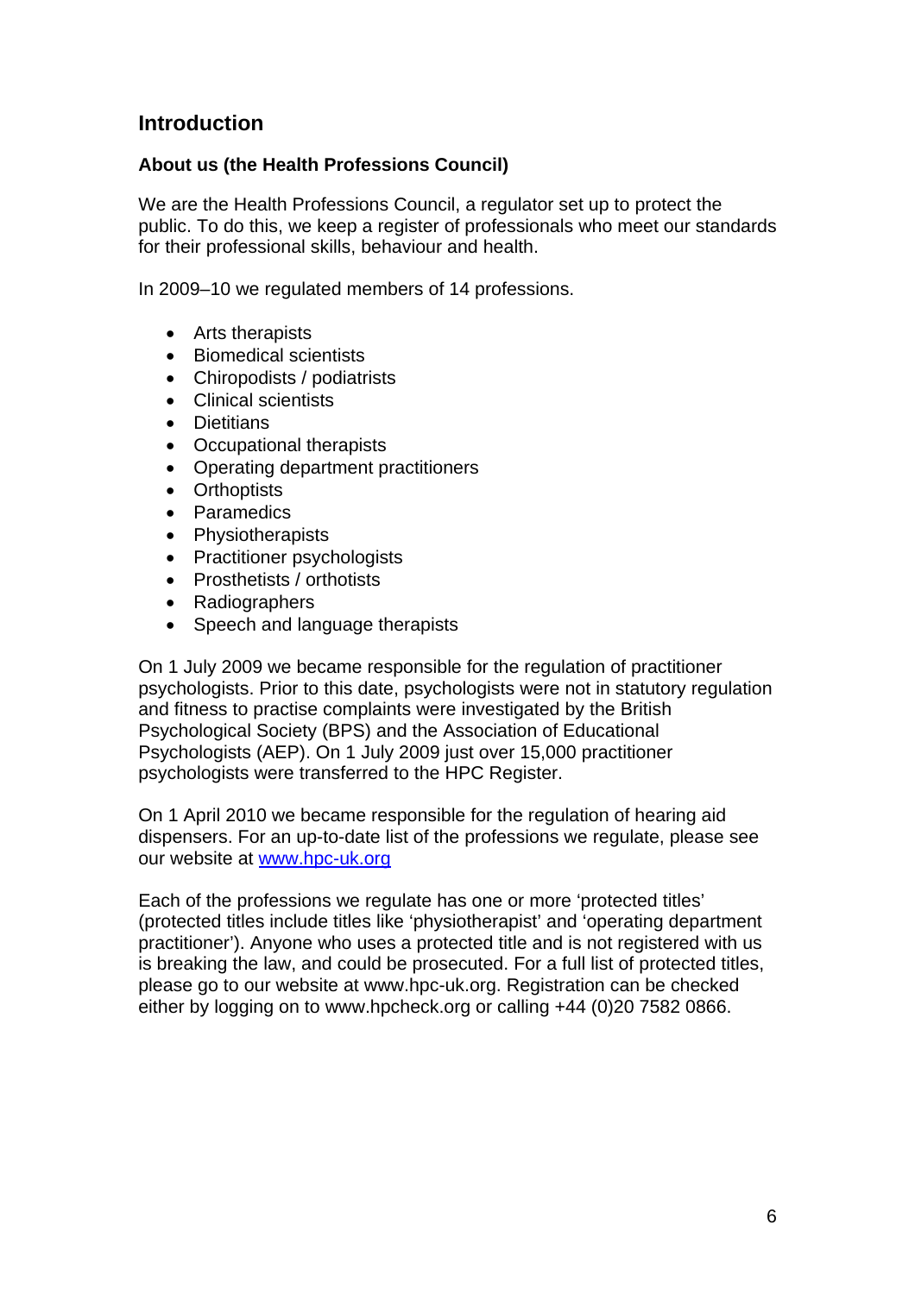## **Introduction**

## **About us (the Health Professions Council)**

We are the Health Professions Council, a regulator set up to protect the public. To do this, we keep a register of professionals who meet our standards for their professional skills, behaviour and health.

In 2009–10 we regulated members of 14 professions.

- Arts therapists
- Biomedical scientists
- Chiropodists / podiatrists
- Clinical scientists
- Dietitians
- Occupational therapists
- Operating department practitioners
- Orthoptists
- Paramedics
- Physiotherapists
- Practitioner psychologists
- Prosthetists / orthotists
- Radiographers
- Speech and language therapists

On 1 July 2009 we became responsible for the regulation of practitioner psychologists. Prior to this date, psychologists were not in statutory regulation and fitness to practise complaints were investigated by the British Psychological Society (BPS) and the Association of Educational Psychologists (AEP). On 1 July 2009 just over 15,000 practitioner psychologists were transferred to the HPC Register.

On 1 April 2010 we became responsible for the regulation of hearing aid dispensers. For an up-to-date list of the professions we regulate, please see our website at www.hpc-uk.org

Each of the professions we regulate has one or more 'protected titles' (protected titles include titles like 'physiotherapist' and 'operating department practitioner'). Anyone who uses a protected title and is not registered with us is breaking the law, and could be prosecuted. For a full list of protected titles, please go to our website at www.hpc-uk.org. Registration can be checked either by logging on to www.hpcheck.org or calling +44 (0)20 7582 0866.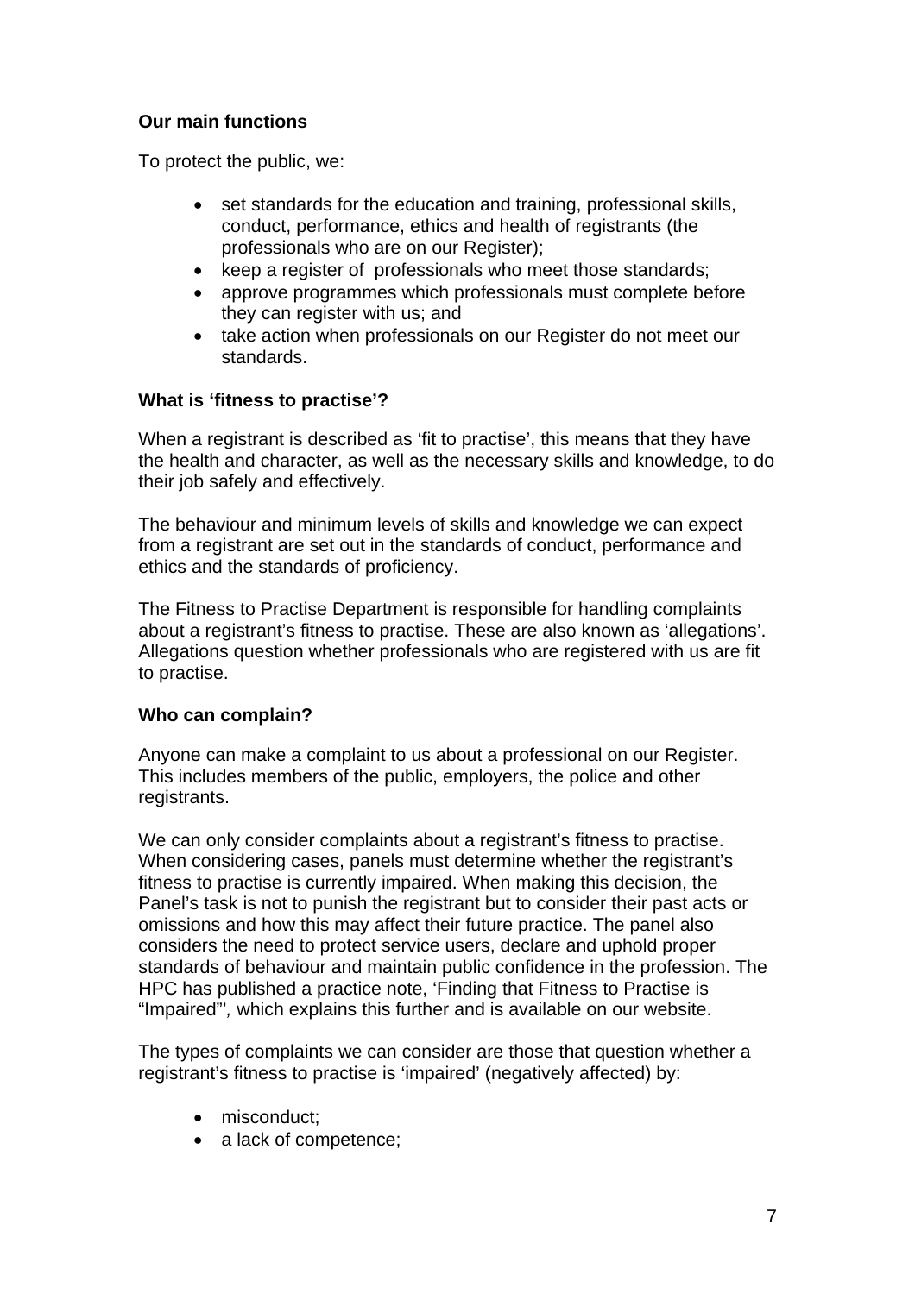## **Our main functions**

To protect the public, we:

- set standards for the education and training, professional skills, conduct, performance, ethics and health of registrants (the professionals who are on our Register);
- keep a register of professionals who meet those standards;
- approve programmes which professionals must complete before they can register with us; and
- take action when professionals on our Register do not meet our standards.

## **What is 'fitness to practise'?**

When a registrant is described as 'fit to practise', this means that they have the health and character, as well as the necessary skills and knowledge, to do their job safely and effectively.

The behaviour and minimum levels of skills and knowledge we can expect from a registrant are set out in the standards of conduct, performance and ethics and the standards of proficiency.

The Fitness to Practise Department is responsible for handling complaints about a registrant's fitness to practise. These are also known as 'allegations'. Allegations question whether professionals who are registered with us are fit to practise.

## **Who can complain?**

Anyone can make a complaint to us about a professional on our Register. This includes members of the public, employers, the police and other registrants.

We can only consider complaints about a registrant's fitness to practise. When considering cases, panels must determine whether the registrant's fitness to practise is currently impaired. When making this decision, the Panel's task is not to punish the registrant but to consider their past acts or omissions and how this may affect their future practice. The panel also considers the need to protect service users, declare and uphold proper standards of behaviour and maintain public confidence in the profession. The HPC has published a practice note, 'Finding that Fitness to Practise is "Impaired"'*,* which explains this further and is available on our website.

The types of complaints we can consider are those that question whether a registrant's fitness to practise is 'impaired' (negatively affected) by:

- misconduct:
- a lack of competence: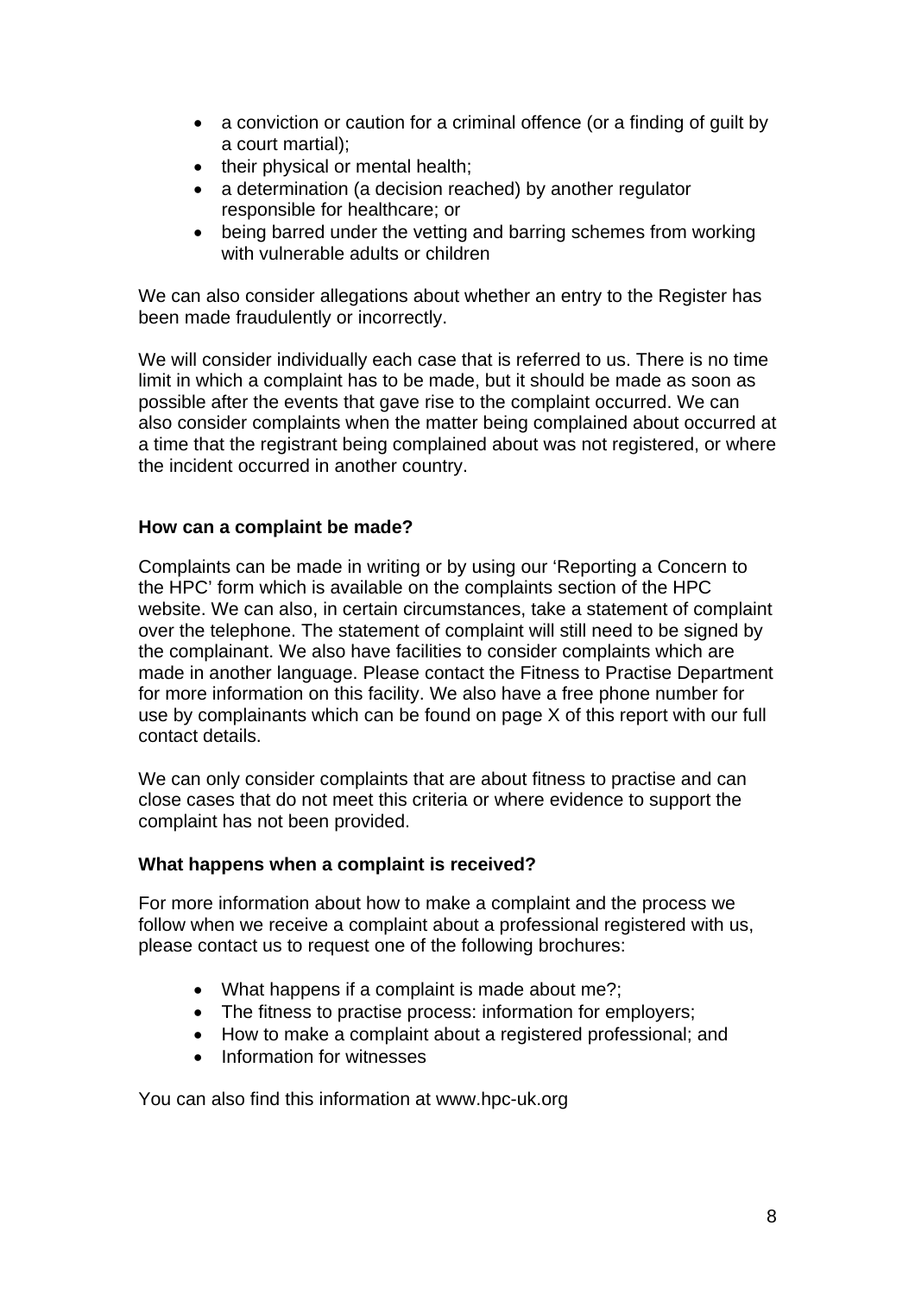- a conviction or caution for a criminal offence (or a finding of guilt by a court martial);
- their physical or mental health;
- a determination (a decision reached) by another regulator responsible for healthcare; or
- being barred under the vetting and barring schemes from working with vulnerable adults or children

We can also consider allegations about whether an entry to the Register has been made fraudulently or incorrectly.

We will consider individually each case that is referred to us. There is no time limit in which a complaint has to be made, but it should be made as soon as possible after the events that gave rise to the complaint occurred. We can also consider complaints when the matter being complained about occurred at a time that the registrant being complained about was not registered, or where the incident occurred in another country.

## **How can a complaint be made?**

Complaints can be made in writing or by using our 'Reporting a Concern to the HPC' form which is available on the complaints section of the HPC website. We can also, in certain circumstances, take a statement of complaint over the telephone. The statement of complaint will still need to be signed by the complainant. We also have facilities to consider complaints which are made in another language. Please contact the Fitness to Practise Department for more information on this facility. We also have a free phone number for use by complainants which can be found on page X of this report with our full contact details.

We can only consider complaints that are about fitness to practise and can close cases that do not meet this criteria or where evidence to support the complaint has not been provided.

## **What happens when a complaint is received?**

For more information about how to make a complaint and the process we follow when we receive a complaint about a professional registered with us, please contact us to request one of the following brochures:

- What happens if a complaint is made about me?;
- The fitness to practise process: information for employers;
- How to make a complaint about a registered professional: and
- Information for witnesses

You can also find this information at www.hpc-uk.org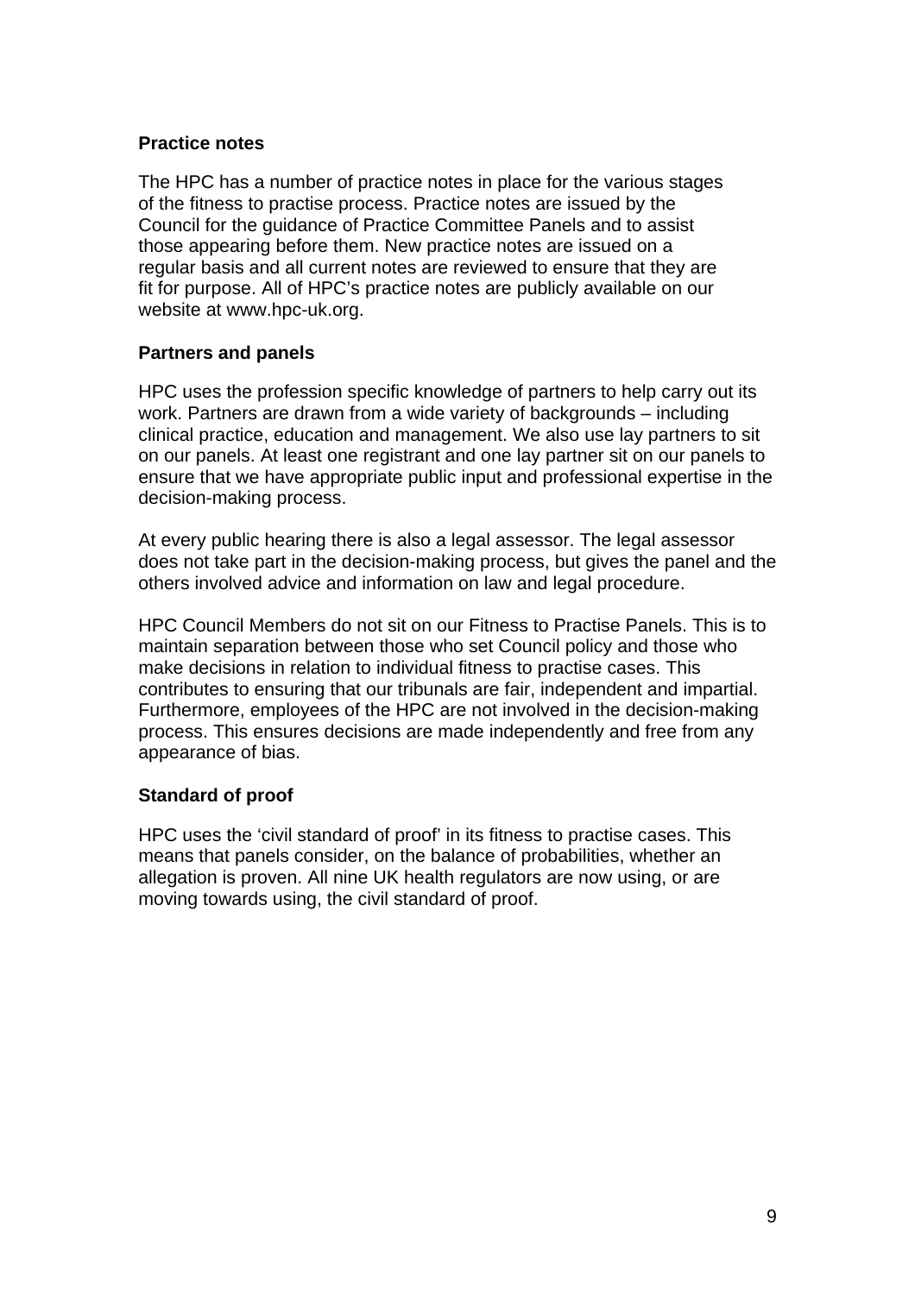## **Practice notes**

The HPC has a number of practice notes in place for the various stages of the fitness to practise process. Practice notes are issued by the Council for the guidance of Practice Committee Panels and to assist those appearing before them. New practice notes are issued on a regular basis and all current notes are reviewed to ensure that they are fit for purpose. All of HPC's practice notes are publicly available on our website at www.hpc-uk.org.

## **Partners and panels**

HPC uses the profession specific knowledge of partners to help carry out its work. Partners are drawn from a wide variety of backgrounds – including clinical practice, education and management. We also use lay partners to sit on our panels. At least one registrant and one lay partner sit on our panels to ensure that we have appropriate public input and professional expertise in the decision-making process.

At every public hearing there is also a legal assessor. The legal assessor does not take part in the decision-making process, but gives the panel and the others involved advice and information on law and legal procedure.

HPC Council Members do not sit on our Fitness to Practise Panels. This is to maintain separation between those who set Council policy and those who make decisions in relation to individual fitness to practise cases. This contributes to ensuring that our tribunals are fair, independent and impartial. Furthermore, employees of the HPC are not involved in the decision-making process. This ensures decisions are made independently and free from any appearance of bias.

## **Standard of proof**

HPC uses the 'civil standard of proof' in its fitness to practise cases. This means that panels consider, on the balance of probabilities, whether an allegation is proven. All nine UK health regulators are now using, or are moving towards using, the civil standard of proof.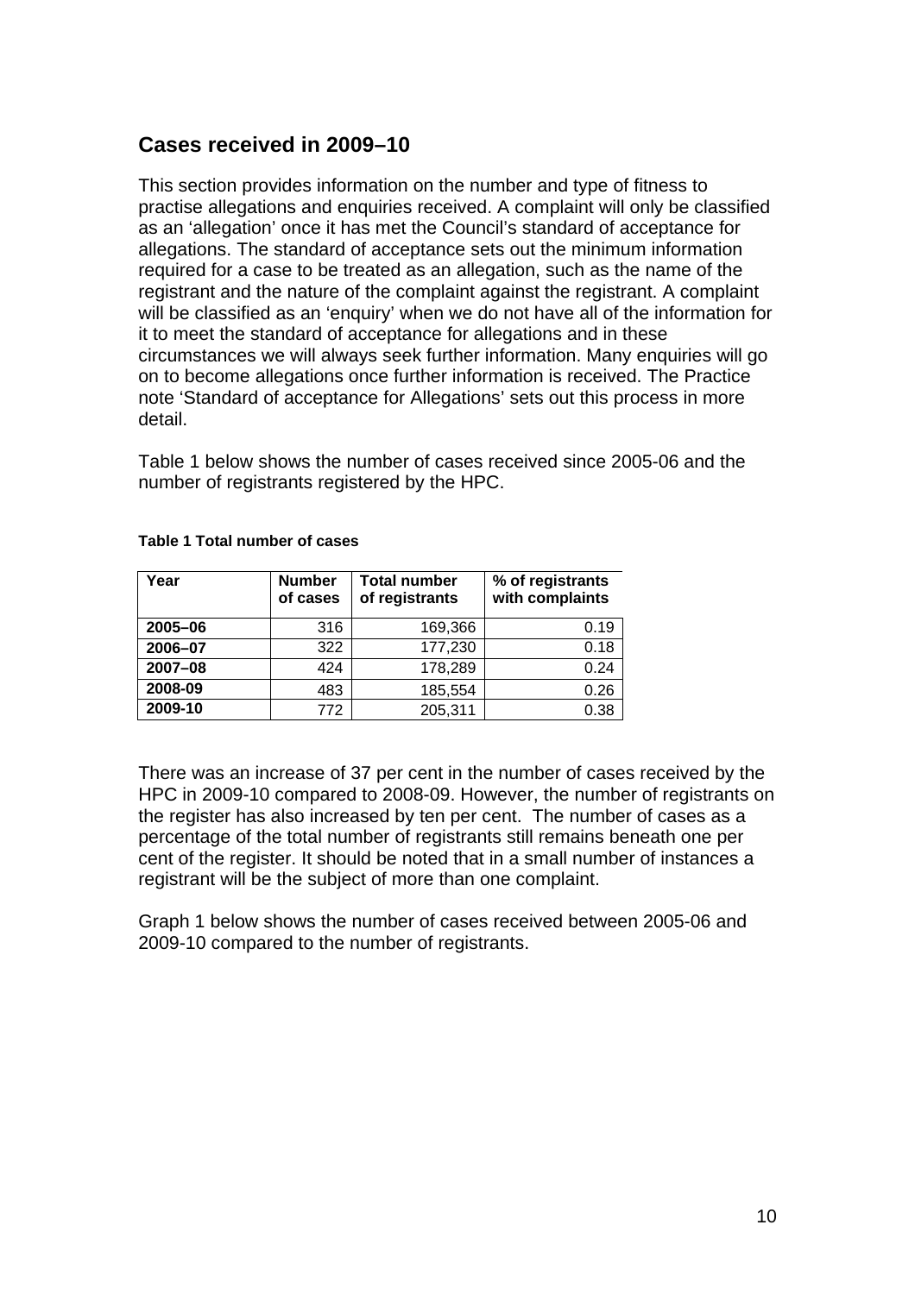## **Cases received in 2009–10**

This section provides information on the number and type of fitness to practise allegations and enquiries received. A complaint will only be classified as an 'allegation' once it has met the Council's standard of acceptance for allegations. The standard of acceptance sets out the minimum information required for a case to be treated as an allegation, such as the name of the registrant and the nature of the complaint against the registrant. A complaint will be classified as an 'enquiry' when we do not have all of the information for it to meet the standard of acceptance for allegations and in these circumstances we will always seek further information. Many enquiries will go on to become allegations once further information is received. The Practice note 'Standard of acceptance for Allegations' sets out this process in more detail.

Table 1 below shows the number of cases received since 2005-06 and the number of registrants registered by the HPC.

| Year    | <b>Number</b><br>of cases | <b>Total number</b><br>of registrants | % of registrants<br>with complaints |
|---------|---------------------------|---------------------------------------|-------------------------------------|
| 2005-06 | 316                       | 169,366                               | 0.19                                |
| 2006-07 | 322                       | 177,230                               | 0.18                                |
| 2007-08 | 424                       | 178,289                               | 0.24                                |
| 2008-09 | 483                       | 185,554                               | 0.26                                |
| 2009-10 | 772                       | 205,311                               | 0.38                                |

#### **Table 1 Total number of cases**

There was an increase of 37 per cent in the number of cases received by the HPC in 2009-10 compared to 2008-09. However, the number of registrants on the register has also increased by ten per cent. The number of cases as a percentage of the total number of registrants still remains beneath one per cent of the register. It should be noted that in a small number of instances a registrant will be the subject of more than one complaint.

Graph 1 below shows the number of cases received between 2005-06 and 2009-10 compared to the number of registrants.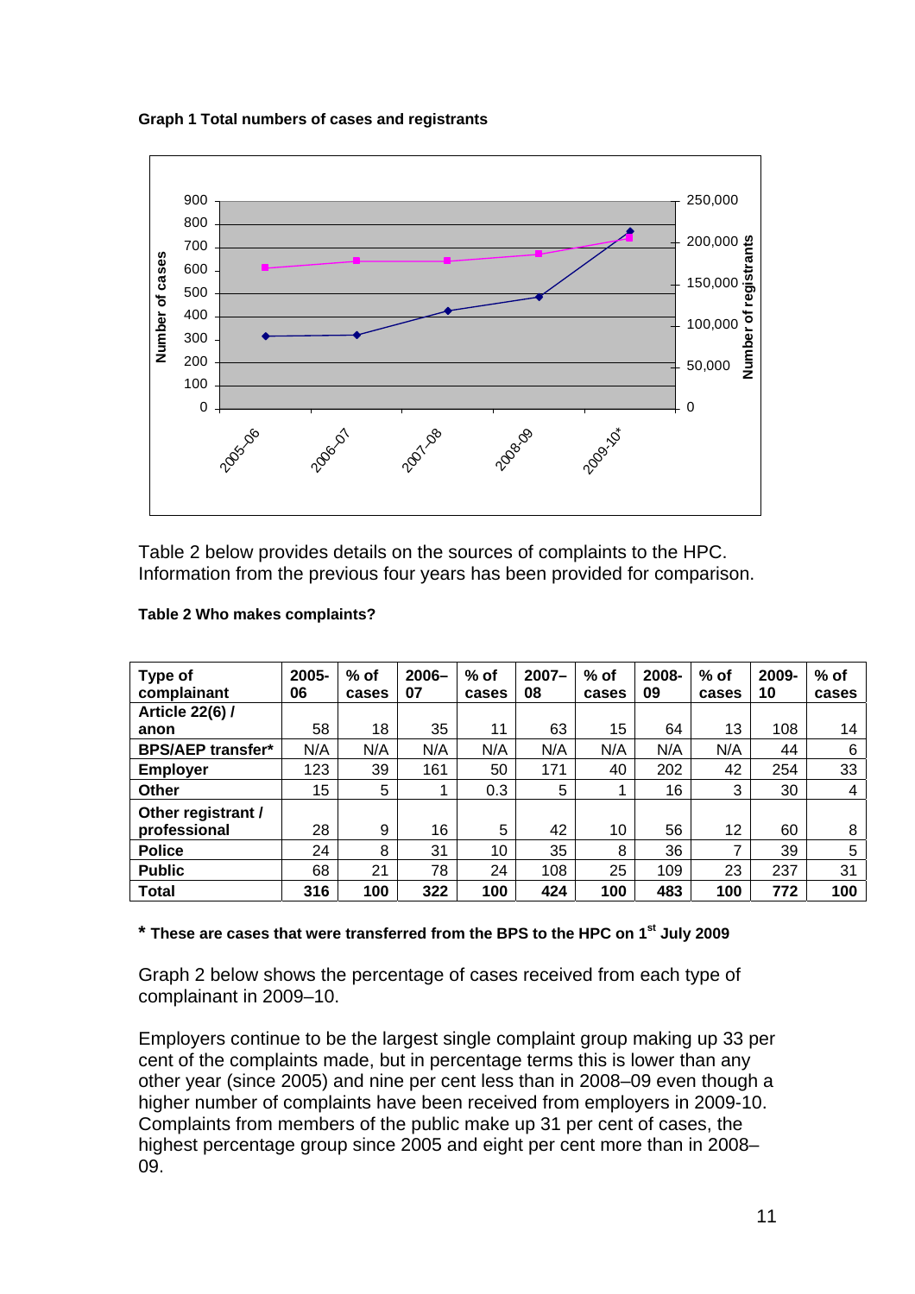**Graph 1 Total numbers of cases and registrants** 



Table 2 below provides details on the sources of complaints to the HPC. Information from the previous four years has been provided for comparison.

| Type of<br>complainant   | 2005-<br>06 | $%$ of<br>cases | $2006 -$<br>07 | $%$ of<br>cases | $2007 -$<br>08 | $%$ of<br>cases | 2008-<br>09 | $%$ of<br>cases   | 2009-<br>10 | $%$ of<br>cases |
|--------------------------|-------------|-----------------|----------------|-----------------|----------------|-----------------|-------------|-------------------|-------------|-----------------|
| <b>Article 22(6) /</b>   |             |                 |                |                 |                |                 |             |                   |             |                 |
| anon                     | 58          | 18              | 35             | 11              | 63             | 15              | 64          | 13                | 108         | 14              |
| <b>BPS/AEP transfer*</b> | N/A         | N/A             | N/A            | N/A             | N/A            | N/A             | N/A         | N/A               | 44          | 6               |
| <b>Employer</b>          | 123         | 39              | 161            | 50              | 171            | 40              | 202         | 42                | 254         | 33              |
| Other                    | 15          | 5               |                | 0.3             | 5              |                 | 16          | 3                 | 30          | 4               |
| Other registrant /       |             |                 |                |                 |                |                 |             |                   |             |                 |
| professional             | 28          | 9               | 16             | 5               | 42             | 10              | 56          | $12 \overline{ }$ | 60          | 8               |
| <b>Police</b>            | 24          | 8               | 31             | 10              | 35             | 8               | 36          | 7                 | 39          | 5               |
| <b>Public</b>            | 68          | 21              | 78             | 24              | 108            | 25              | 109         | 23                | 237         | 31              |
| <b>Total</b>             | 316         | 100             | 322            | 100             | 424            | 100             | 483         | 100               | 772         | 100             |

#### **Table 2 Who makes complaints?**

#### **\* These are cases that were transferred from the BPS to the HPC on 1st July 2009**

Graph 2 below shows the percentage of cases received from each type of complainant in 2009–10.

Employers continue to be the largest single complaint group making up 33 per cent of the complaints made, but in percentage terms this is lower than any other year (since 2005) and nine per cent less than in 2008–09 even though a higher number of complaints have been received from employers in 2009-10. Complaints from members of the public make up 31 per cent of cases, the highest percentage group since 2005 and eight per cent more than in 2008– 09.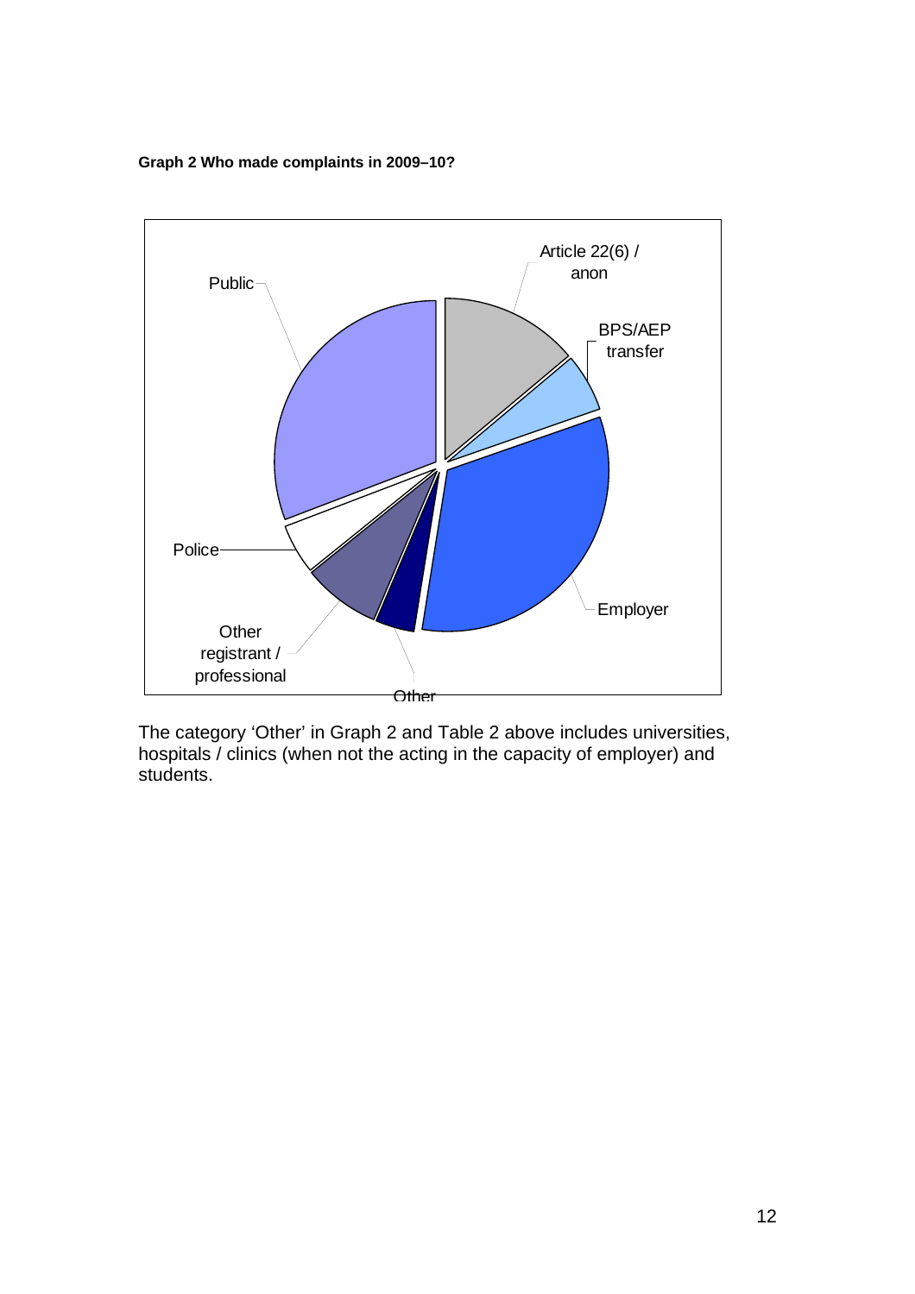**Graph 2 Who made complaints in 2009–10?** 



The category 'Other' in Graph 2 and Table 2 above includes universities, hospitals / clinics (when not the acting in the capacity of employer) and students.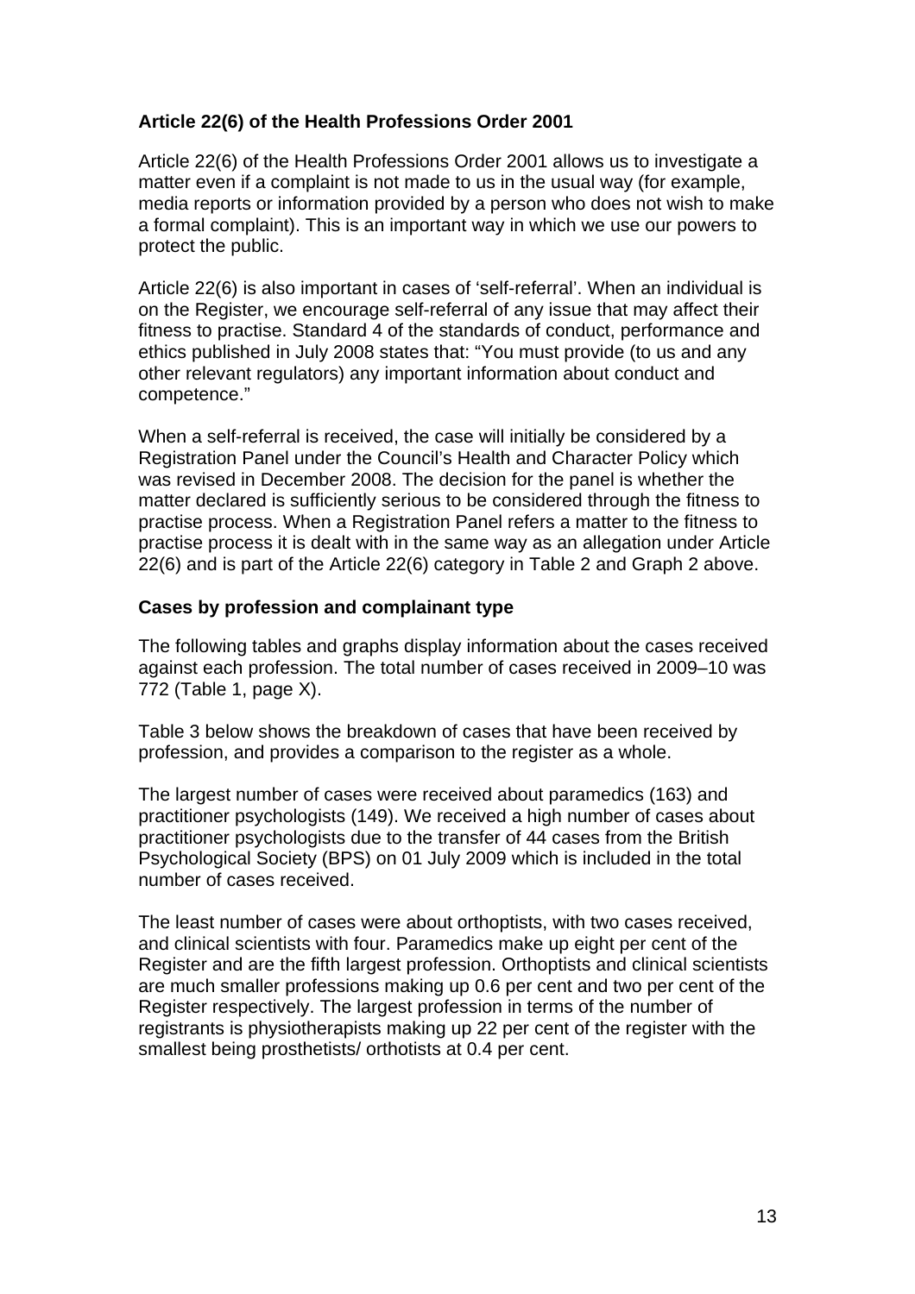## **Article 22(6) of the Health Professions Order 2001**

Article 22(6) of the Health Professions Order 2001 allows us to investigate a matter even if a complaint is not made to us in the usual way (for example, media reports or information provided by a person who does not wish to make a formal complaint). This is an important way in which we use our powers to protect the public.

Article 22(6) is also important in cases of 'self-referral'. When an individual is on the Register, we encourage self-referral of any issue that may affect their fitness to practise. Standard 4 of the standards of conduct, performance and ethics published in July 2008 states that: "You must provide (to us and any other relevant regulators) any important information about conduct and competence."

When a self-referral is received, the case will initially be considered by a Registration Panel under the Council's Health and Character Policy which was revised in December 2008. The decision for the panel is whether the matter declared is sufficiently serious to be considered through the fitness to practise process. When a Registration Panel refers a matter to the fitness to practise process it is dealt with in the same way as an allegation under Article 22(6) and is part of the Article 22(6) category in Table 2 and Graph 2 above.

## **Cases by profession and complainant type**

The following tables and graphs display information about the cases received against each profession. The total number of cases received in 2009–10 was 772 (Table 1, page X).

Table 3 below shows the breakdown of cases that have been received by profession, and provides a comparison to the register as a whole.

The largest number of cases were received about paramedics (163) and practitioner psychologists (149). We received a high number of cases about practitioner psychologists due to the transfer of 44 cases from the British Psychological Society (BPS) on 01 July 2009 which is included in the total number of cases received.

The least number of cases were about orthoptists, with two cases received, and clinical scientists with four. Paramedics make up eight per cent of the Register and are the fifth largest profession. Orthoptists and clinical scientists are much smaller professions making up 0.6 per cent and two per cent of the Register respectively. The largest profession in terms of the number of registrants is physiotherapists making up 22 per cent of the register with the smallest being prosthetists/ orthotists at 0.4 per cent.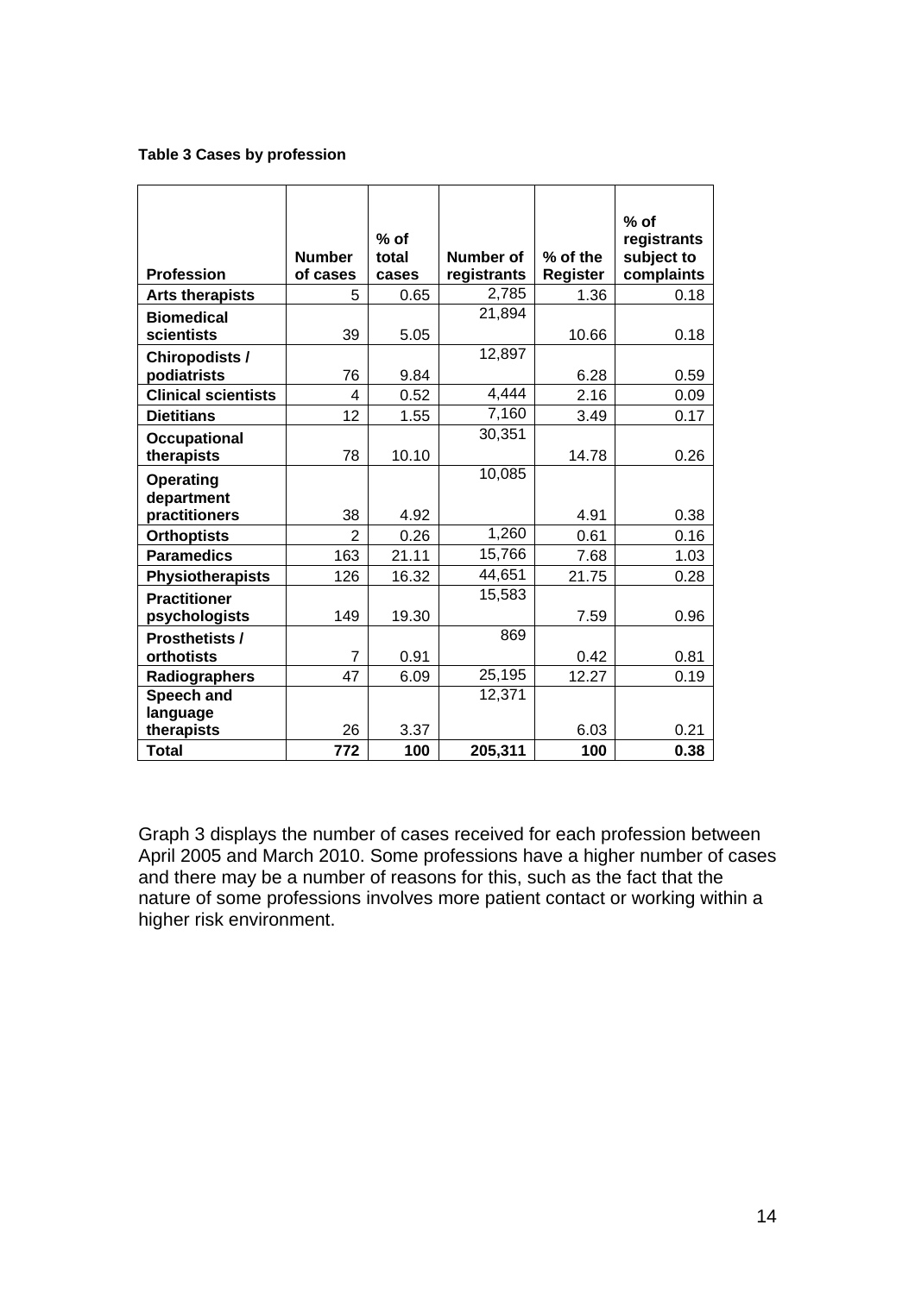#### **Table 3 Cases by profession**

| <b>Profession</b>                    | <b>Number</b><br>of cases | $%$ of<br>total<br>cases | Number of<br>registrants | % of the<br>Register | $%$ of<br>registrants<br>subject to<br>complaints |
|--------------------------------------|---------------------------|--------------------------|--------------------------|----------------------|---------------------------------------------------|
| <b>Arts therapists</b>               | 5                         | 0.65                     | 2,785                    | 1.36                 | 0.18                                              |
| <b>Biomedical</b><br>scientists      | 39                        | 5.05                     | 21,894                   | 10.66                | 0.18                                              |
| <b>Chiropodists /</b><br>podiatrists | 76                        | 9.84                     | 12,897                   | 6.28                 | 0.59                                              |
| <b>Clinical scientists</b>           | 4                         | 0.52                     | 4,444                    | 2.16                 | 0.09                                              |
| <b>Dietitians</b>                    | 12                        | 1.55                     | 7,160                    | 3.49                 | 0.17                                              |
| <b>Occupational</b><br>therapists    | 78                        | 10.10                    | 30,351                   | 14.78                | 0.26                                              |
| <b>Operating</b><br>department       |                           |                          | 10,085                   |                      |                                                   |
| practitioners                        | 38                        | 4.92                     |                          | 4.91                 | 0.38                                              |
| <b>Orthoptists</b>                   | $\overline{2}$            | 0.26                     | 1,260                    | 0.61                 | 0.16                                              |
| <b>Paramedics</b>                    | 163                       | 21.11                    | 15,766                   | 7.68                 | 1.03                                              |
| <b>Physiotherapists</b>              | 126                       | 16.32                    | 44,651                   | 21.75                | 0.28                                              |
| <b>Practitioner</b><br>psychologists | 149                       | 19.30                    | 15,583                   | 7.59                 | 0.96                                              |
| <b>Prosthetists /</b>                |                           |                          | 869                      |                      |                                                   |
| orthotists                           | $\overline{7}$            | 0.91                     |                          | 0.42                 | 0.81                                              |
| Radiographers                        | 47                        | 6.09                     | 25,195                   | 12.27                | 0.19                                              |
| Speech and<br>language               |                           |                          | 12,371                   |                      |                                                   |
| therapists                           | 26                        | 3.37                     |                          | 6.03                 | 0.21                                              |
| <b>Total</b>                         | 772                       | 100                      | 205,311                  | 100                  | 0.38                                              |

Graph 3 displays the number of cases received for each profession between April 2005 and March 2010. Some professions have a higher number of cases and there may be a number of reasons for this, such as the fact that the nature of some professions involves more patient contact or working within a higher risk environment.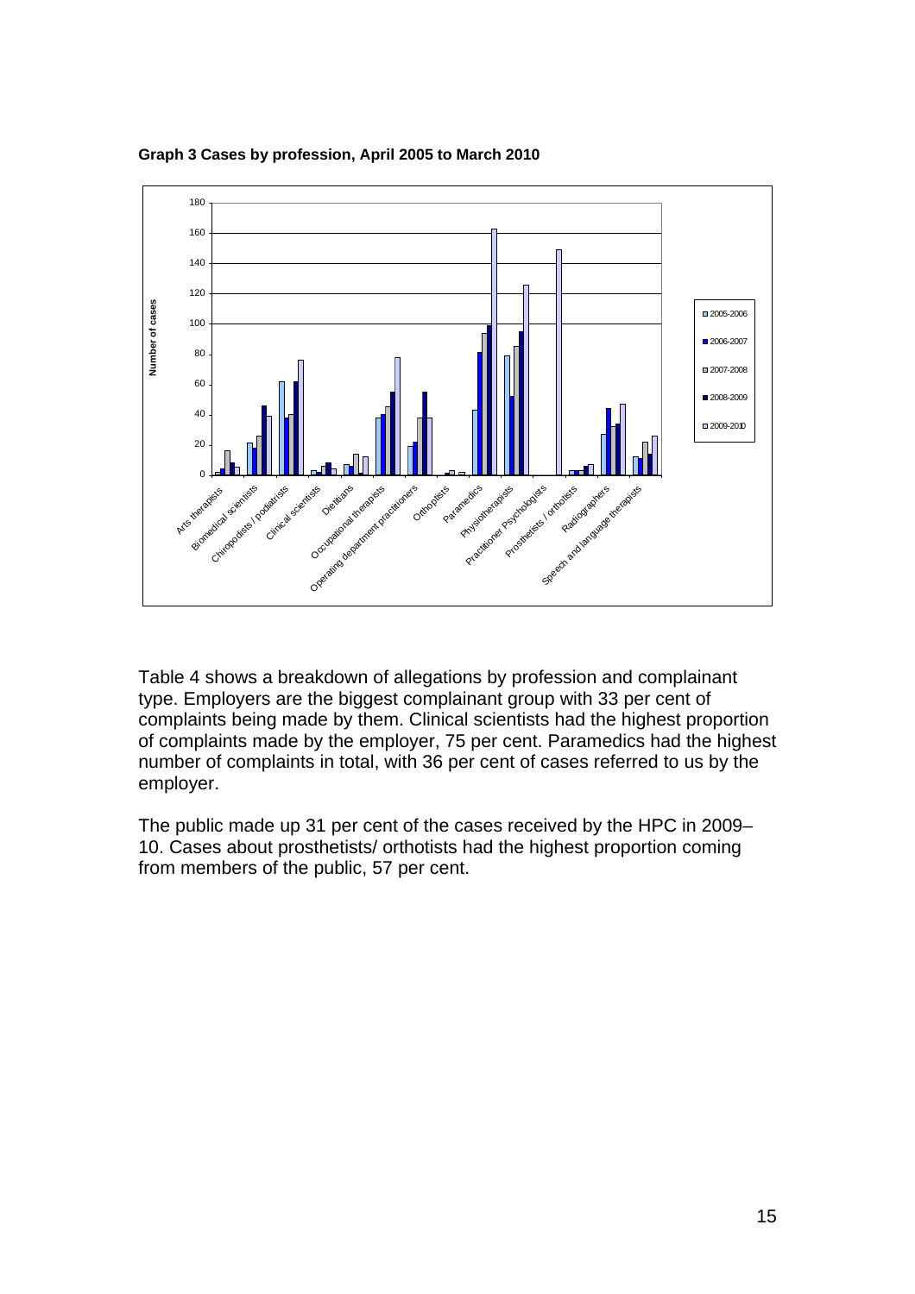

**Graph 3 Cases by profession, April 2005 to March 2010** 

Table 4 shows a breakdown of allegations by profession and complainant type. Employers are the biggest complainant group with 33 per cent of complaints being made by them. Clinical scientists had the highest proportion of complaints made by the employer, 75 per cent. Paramedics had the highest number of complaints in total, with 36 per cent of cases referred to us by the employer.

The public made up 31 per cent of the cases received by the HPC in 2009– 10. Cases about prosthetists/ orthotists had the highest proportion coming from members of the public, 57 per cent.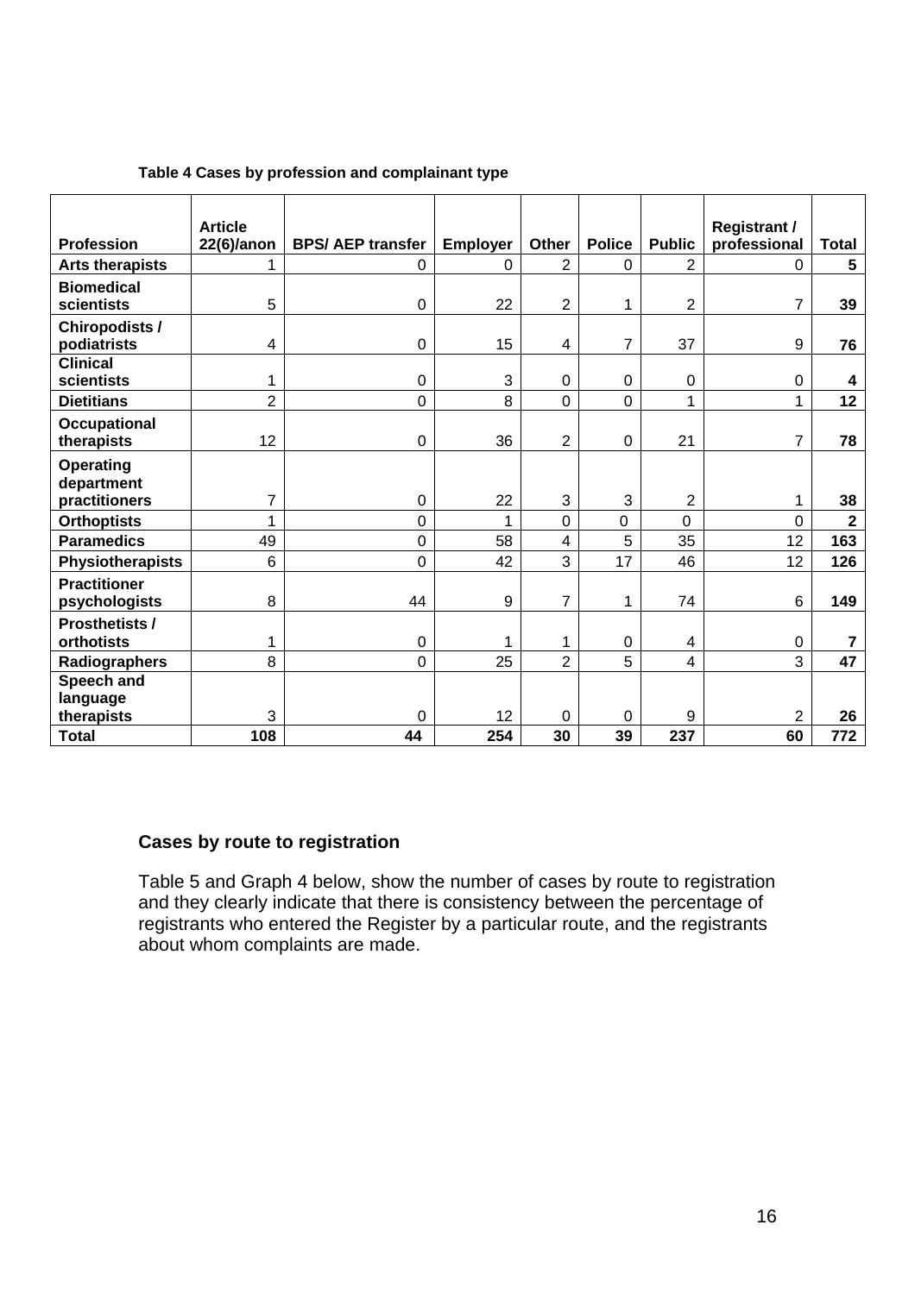|                         | <b>Article</b> |                         |                 |                         |               |                | <b>Registrant /</b> |                         |
|-------------------------|----------------|-------------------------|-----------------|-------------------------|---------------|----------------|---------------------|-------------------------|
| <b>Profession</b>       | $22(6)/$ anon  | <b>BPS/AEP transfer</b> | <b>Employer</b> | Other                   | <b>Police</b> | <b>Public</b>  | professional        | <b>Total</b>            |
| <b>Arts therapists</b>  | 1              | 0                       | 0               | $\overline{2}$          | $\Omega$      | 2              | $\Omega$            | 5                       |
| <b>Biomedical</b>       |                |                         |                 |                         |               |                |                     |                         |
| scientists              | 5              | 0                       | 22              | $\overline{2}$          | 1             | $\overline{2}$ | $\overline{7}$      | 39                      |
| <b>Chiropodists /</b>   |                |                         |                 |                         |               |                |                     |                         |
| podiatrists             | 4              | $\mathbf 0$             | 15              | 4                       | 7             | 37             | 9                   | 76                      |
| <b>Clinical</b>         |                |                         |                 |                         |               |                |                     |                         |
| scientists              | 1              | 0                       | 3               | $\overline{0}$          | $\mathbf 0$   | 0              | 0                   | 4                       |
| <b>Dietitians</b>       | $\overline{2}$ | 0                       | 8               | $\overline{0}$          | $\mathbf 0$   | $\mathbf{1}$   | $\mathbf{1}$        | 12                      |
| Occupational            |                |                         |                 |                         |               |                |                     |                         |
| therapists              | 12             | 0                       | 36              | 2                       | $\mathbf 0$   | 21             | $\overline{7}$      | 78                      |
| <b>Operating</b>        |                |                         |                 |                         |               |                |                     |                         |
| department              |                |                         |                 |                         |               |                |                     |                         |
| practitioners           | 7              | 0                       | 22              | 3                       | 3             | $\overline{2}$ | 1                   | 38                      |
| <b>Orthoptists</b>      | $\mathbf{1}$   | 0                       | 1               | $\overline{0}$          | 0             | 0              | $\mathbf 0$         | $\overline{\mathbf{2}}$ |
| <b>Paramedics</b>       | 49             | 0                       | 58              | $\overline{\mathbf{4}}$ | 5             | 35             | 12                  | 163                     |
| <b>Physiotherapists</b> | 6              | 0                       | 42              | 3                       | 17            | 46             | 12                  | 126                     |
| <b>Practitioner</b>     |                |                         |                 |                         |               |                |                     |                         |
| psychologists           | 8              | 44                      | 9               | $\overline{7}$          | $\mathbf{1}$  | 74             | 6                   | 149                     |
| <b>Prosthetists /</b>   |                |                         |                 |                         |               |                |                     |                         |
| orthotists              | 1              | 0                       | 1               | 1                       | $\mathbf 0$   | 4              | $\mathbf 0$         | 7                       |
| Radiographers           | 8              | $\mathbf 0$             | 25              | $\overline{2}$          | 5             | 4              | 3                   | 47                      |
| Speech and              |                |                         |                 |                         |               |                |                     |                         |
| language                |                |                         |                 |                         |               |                |                     |                         |
| therapists              | 3              | 0                       | 12              | $\mathbf 0$             | $\mathbf 0$   | 9              | $\overline{2}$      | 26                      |
| <b>Total</b>            | 108            | 44                      | 254             | 30                      | 39            | 237            | 60                  | 772                     |

#### **Table 4 Cases by profession and complainant type**

## **Cases by route to registration**

Table 5 and Graph 4 below, show the number of cases by route to registration and they clearly indicate that there is consistency between the percentage of registrants who entered the Register by a particular route, and the registrants about whom complaints are made.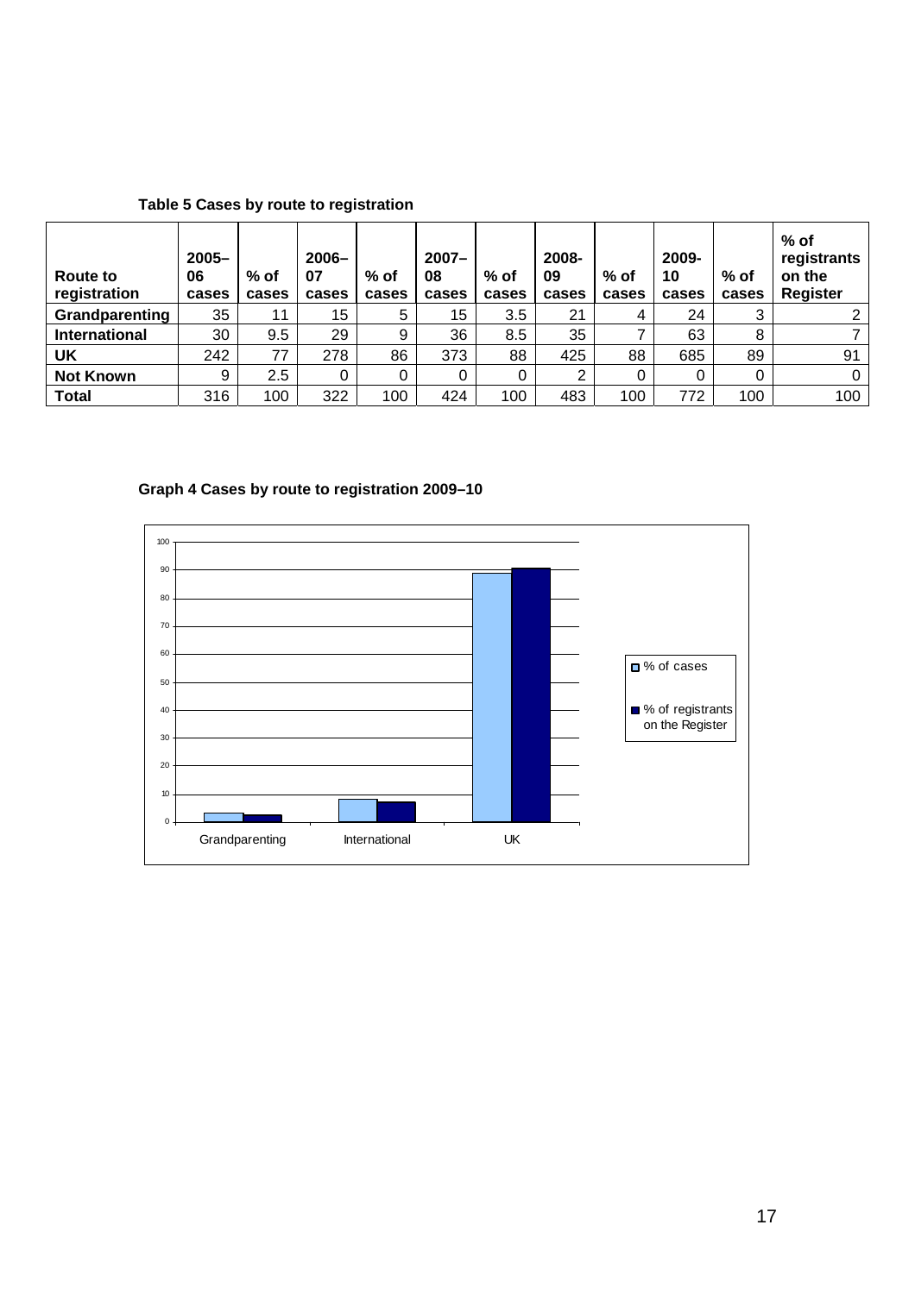| Table 5 Cases by route to registration |
|----------------------------------------|
|----------------------------------------|

| <b>Route to</b><br>registration | $2005 -$<br>06<br>cases | $%$ of<br>cases | $2006 -$<br>07<br>cases | $%$ of<br>cases | $2007 -$<br>08<br>cases | $%$ of<br>cases | 2008-<br>09<br>cases | $%$ of<br>cases | 2009-<br>10<br>cases | $%$ of<br>cases | $%$ of<br>registrants<br>on the<br><b>Register</b> |
|---------------------------------|-------------------------|-----------------|-------------------------|-----------------|-------------------------|-----------------|----------------------|-----------------|----------------------|-----------------|----------------------------------------------------|
| Grandparenting                  | 35                      | 11              | 15                      | 5               | 15                      | 3.5             | 21                   | 4               | 24                   |                 |                                                    |
| International                   | 30                      | 9.5             | 29                      | 9               | 36                      | 8.5             | 35                   |                 | 63                   | 8               |                                                    |
| <b>UK</b>                       | 242                     | 77              | 278                     | 86              | 373                     | 88              | 425                  | 88              | 685                  | 89              | 91                                                 |
| <b>Not Known</b>                | 9                       | 2.5             |                         | 0               |                         |                 | ⌒                    | 0               |                      |                 |                                                    |
| <b>Total</b>                    | 316                     | 100             | 322                     | 100             | 424                     | 100             | 483                  | 100             | 772                  | 100             | 100                                                |

**Graph 4 Cases by route to registration 2009–10** 

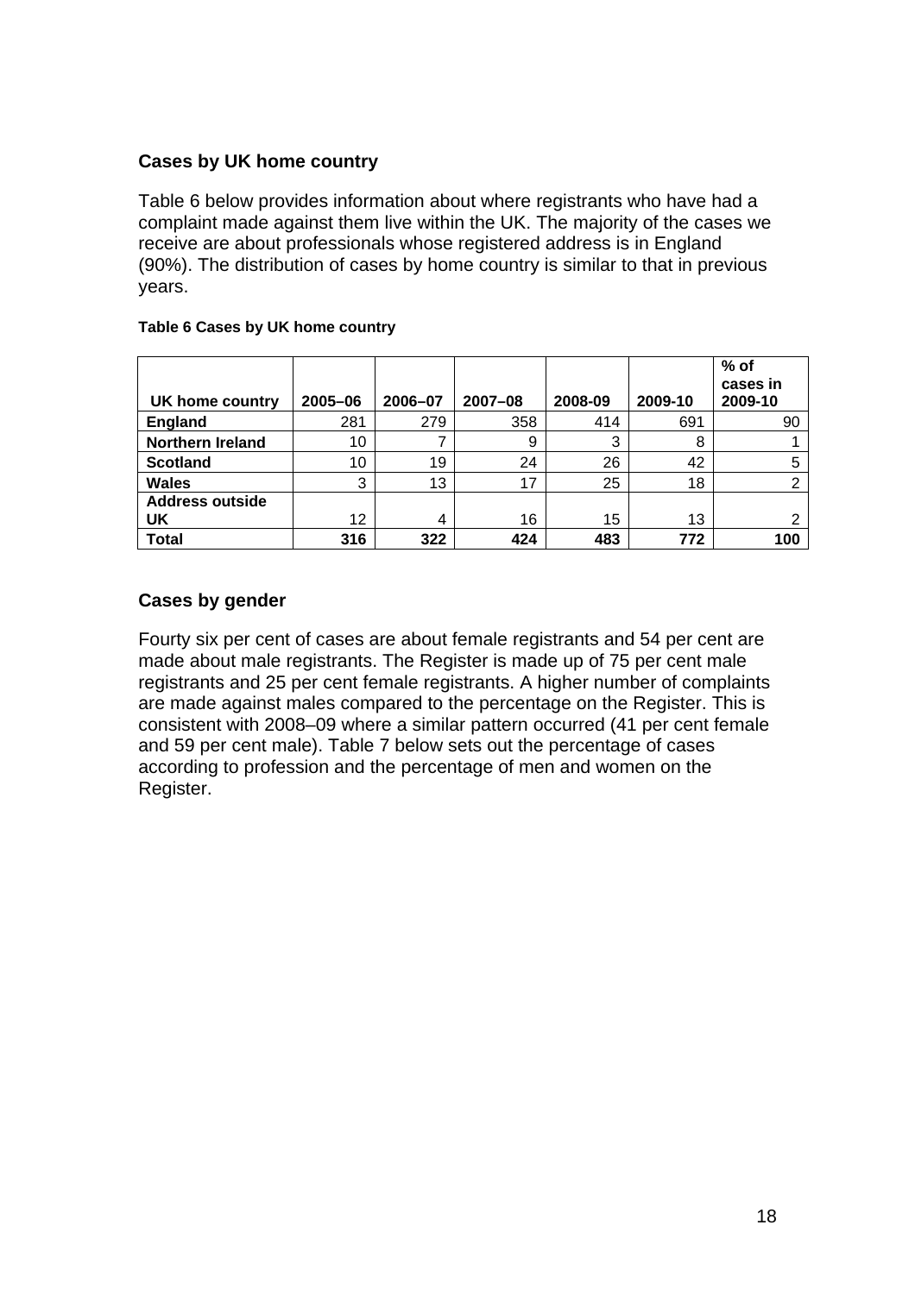## **Cases by UK home country**

Table 6 below provides information about where registrants who have had a complaint made against them live within the UK. The majority of the cases we receive are about professionals whose registered address is in England (90%). The distribution of cases by home country is similar to that in previous years.

| UK home country         | 2005-06 | 2006-07 | 2007-08 | 2008-09 | 2009-10 | $%$ of<br>cases in<br>2009-10 |
|-------------------------|---------|---------|---------|---------|---------|-------------------------------|
| England                 | 281     | 279     | 358     | 414     | 691     | 90                            |
| <b>Northern Ireland</b> | 10      |         | 9       | 3       | 8       |                               |
| <b>Scotland</b>         | 10      | 19      | 24      | 26      | 42      | 5                             |
| <b>Wales</b>            | 3       | 13      | 17      | 25      | 18      | ⌒                             |
| <b>Address outside</b>  |         |         |         |         |         |                               |
| UK                      | 12      | 4       | 16      | 15      | 13      | ∍                             |
| <b>Total</b>            | 316     | 322     | 424     | 483     | 772     | 100                           |

#### **Table 6 Cases by UK home country**

## **Cases by gender**

Fourty six per cent of cases are about female registrants and 54 per cent are made about male registrants. The Register is made up of 75 per cent male registrants and 25 per cent female registrants. A higher number of complaints are made against males compared to the percentage on the Register. This is consistent with 2008–09 where a similar pattern occurred (41 per cent female and 59 per cent male). Table 7 below sets out the percentage of cases according to profession and the percentage of men and women on the Register.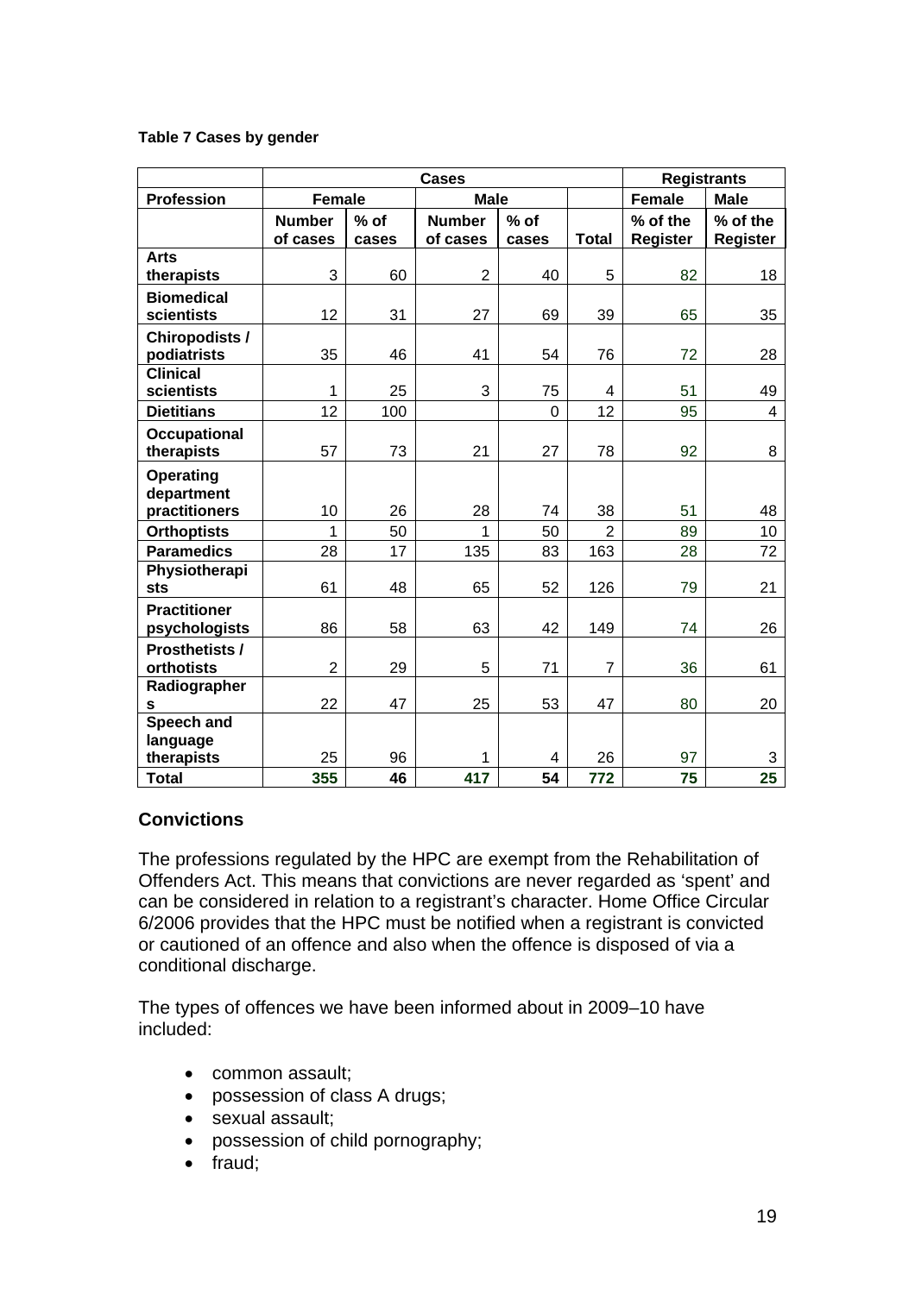#### **Table 7 Cases by gender**

|                                          |                           |                 | <b>Registrants</b>        |                 |                |                      |                             |
|------------------------------------------|---------------------------|-----------------|---------------------------|-----------------|----------------|----------------------|-----------------------------|
| <b>Profession</b>                        | <b>Female</b>             |                 | <b>Male</b>               |                 |                | <b>Female</b>        | <b>Male</b>                 |
|                                          | <b>Number</b><br>of cases | $%$ of<br>cases | <b>Number</b><br>of cases | $%$ of<br>cases | <b>Total</b>   | % of the<br>Register | % of the<br><b>Register</b> |
| <b>Arts</b>                              |                           |                 |                           |                 |                |                      |                             |
| therapists                               | 3                         | 60              | $\overline{2}$            | 40              | 5              | 82                   | 18                          |
| <b>Biomedical</b><br>scientists          | 12                        | 31              | 27                        | 69              | 39             | 65                   | 35                          |
| <b>Chiropodists /</b><br>podiatrists     | 35                        | 46              | 41                        | 54              | 76             | 72                   | 28                          |
| <b>Clinical</b><br>scientists            | 1                         | 25              | 3                         | 75              | 4              | 51                   | 49                          |
| <b>Dietitians</b>                        | 12                        | 100             |                           | 0               | 12             | 95                   | 4                           |
| <b>Occupational</b><br>therapists        | 57                        | 73              | 21                        | 27              | 78             | 92                   | 8                           |
| Operating<br>department<br>practitioners | 10                        | 26              | 28                        | 74              | 38             | 51                   | 48                          |
| <b>Orthoptists</b>                       | 1                         | 50              |                           | 50              | 2              | 89                   | 10                          |
| <b>Paramedics</b>                        | 28                        | 17              | 135                       | 83              | 163            | 28                   | 72                          |
| Physiotherapi<br><b>sts</b>              | 61                        | 48              | 65                        | 52              | 126            | 79                   | 21                          |
| <b>Practitioner</b><br>psychologists     | 86                        | 58              | 63                        | 42              | 149            | 74                   | 26                          |
| <b>Prosthetists /</b><br>orthotists      | $\overline{2}$            | 29              | 5                         | 71              | $\overline{7}$ | 36                   | 61                          |
| Radiographer<br>s                        | 22                        | 47              | 25                        | 53              | 47             | 80                   | 20                          |
| Speech and<br>language                   | 25                        |                 |                           |                 | 26             |                      |                             |
| therapists<br><b>Total</b>               | 355                       | 96<br>46        | 417                       | 4<br>54         | 772            | 97<br>75             | 3<br>25                     |

## **Convictions**

The professions regulated by the HPC are exempt from the Rehabilitation of Offenders Act. This means that convictions are never regarded as 'spent' and can be considered in relation to a registrant's character. Home Office Circular 6/2006 provides that the HPC must be notified when a registrant is convicted or cautioned of an offence and also when the offence is disposed of via a conditional discharge.

The types of offences we have been informed about in 2009–10 have included:

- common assault;
- possession of class A drugs;
- sexual assault;
- possession of child pornography;
- fraud;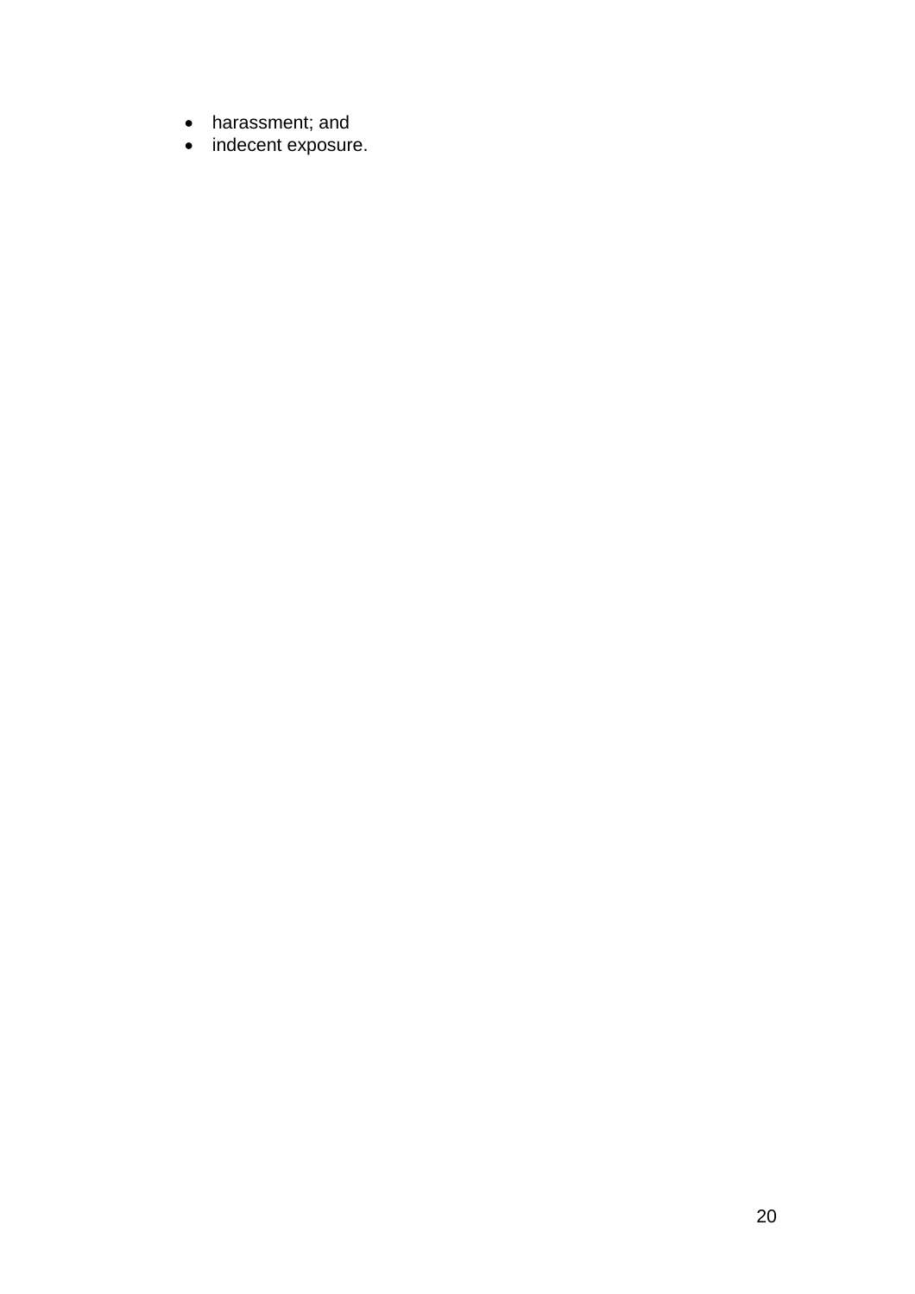- harassment; and
- indecent exposure.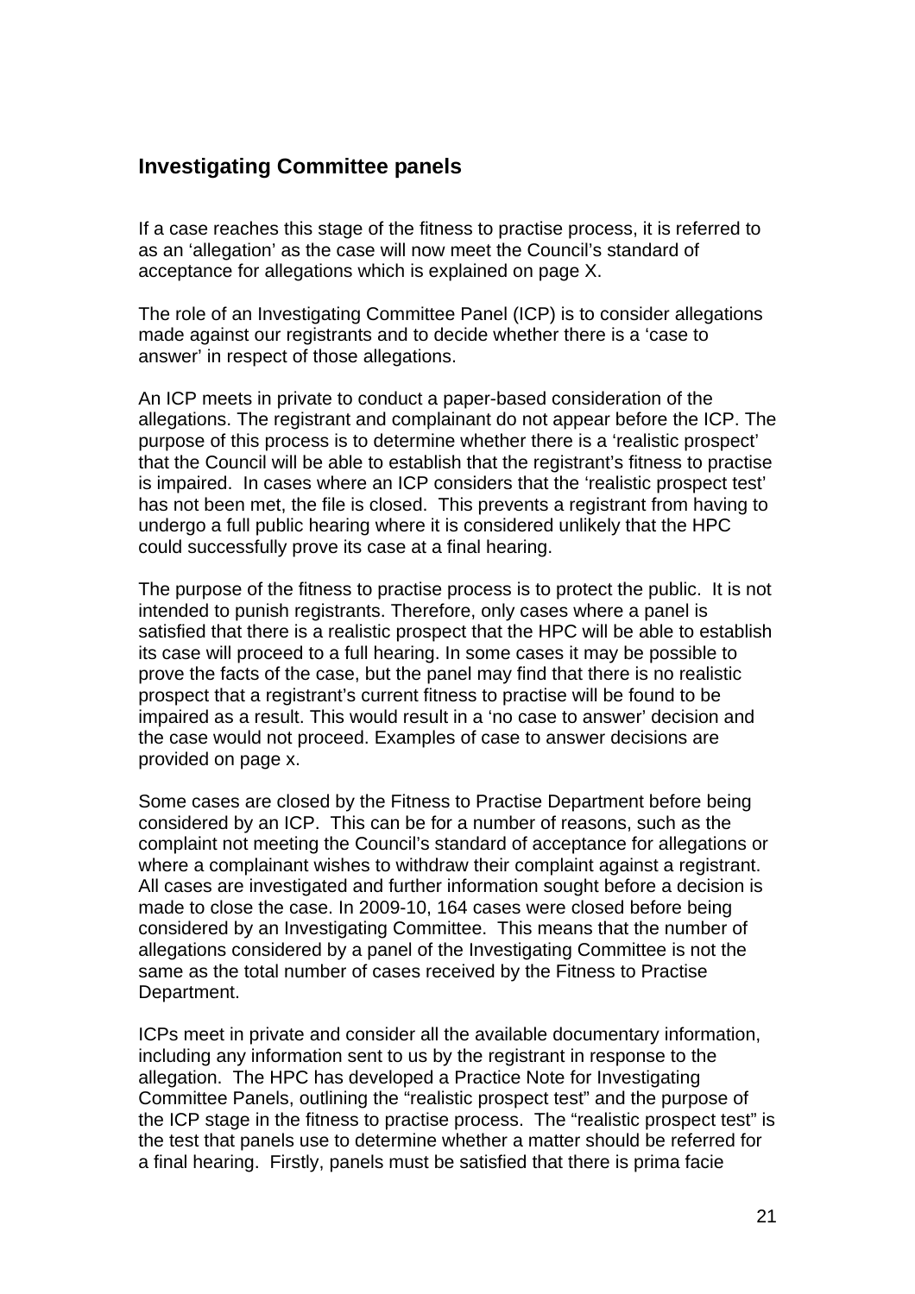## **Investigating Committee panels**

If a case reaches this stage of the fitness to practise process, it is referred to as an 'allegation' as the case will now meet the Council's standard of acceptance for allegations which is explained on page X.

The role of an Investigating Committee Panel (ICP) is to consider allegations made against our registrants and to decide whether there is a 'case to answer' in respect of those allegations.

An ICP meets in private to conduct a paper-based consideration of the allegations. The registrant and complainant do not appear before the ICP. The purpose of this process is to determine whether there is a 'realistic prospect' that the Council will be able to establish that the registrant's fitness to practise is impaired. In cases where an ICP considers that the 'realistic prospect test' has not been met, the file is closed. This prevents a registrant from having to undergo a full public hearing where it is considered unlikely that the HPC could successfully prove its case at a final hearing.

The purpose of the fitness to practise process is to protect the public. It is not intended to punish registrants. Therefore, only cases where a panel is satisfied that there is a realistic prospect that the HPC will be able to establish its case will proceed to a full hearing. In some cases it may be possible to prove the facts of the case, but the panel may find that there is no realistic prospect that a registrant's current fitness to practise will be found to be impaired as a result. This would result in a 'no case to answer' decision and the case would not proceed. Examples of case to answer decisions are provided on page x.

Some cases are closed by the Fitness to Practise Department before being considered by an ICP. This can be for a number of reasons, such as the complaint not meeting the Council's standard of acceptance for allegations or where a complainant wishes to withdraw their complaint against a registrant. All cases are investigated and further information sought before a decision is made to close the case. In 2009-10, 164 cases were closed before being considered by an Investigating Committee. This means that the number of allegations considered by a panel of the Investigating Committee is not the same as the total number of cases received by the Fitness to Practise Department.

ICPs meet in private and consider all the available documentary information, including any information sent to us by the registrant in response to the allegation. The HPC has developed a Practice Note for Investigating Committee Panels, outlining the "realistic prospect test" and the purpose of the ICP stage in the fitness to practise process. The "realistic prospect test" is the test that panels use to determine whether a matter should be referred for a final hearing. Firstly, panels must be satisfied that there is prima facie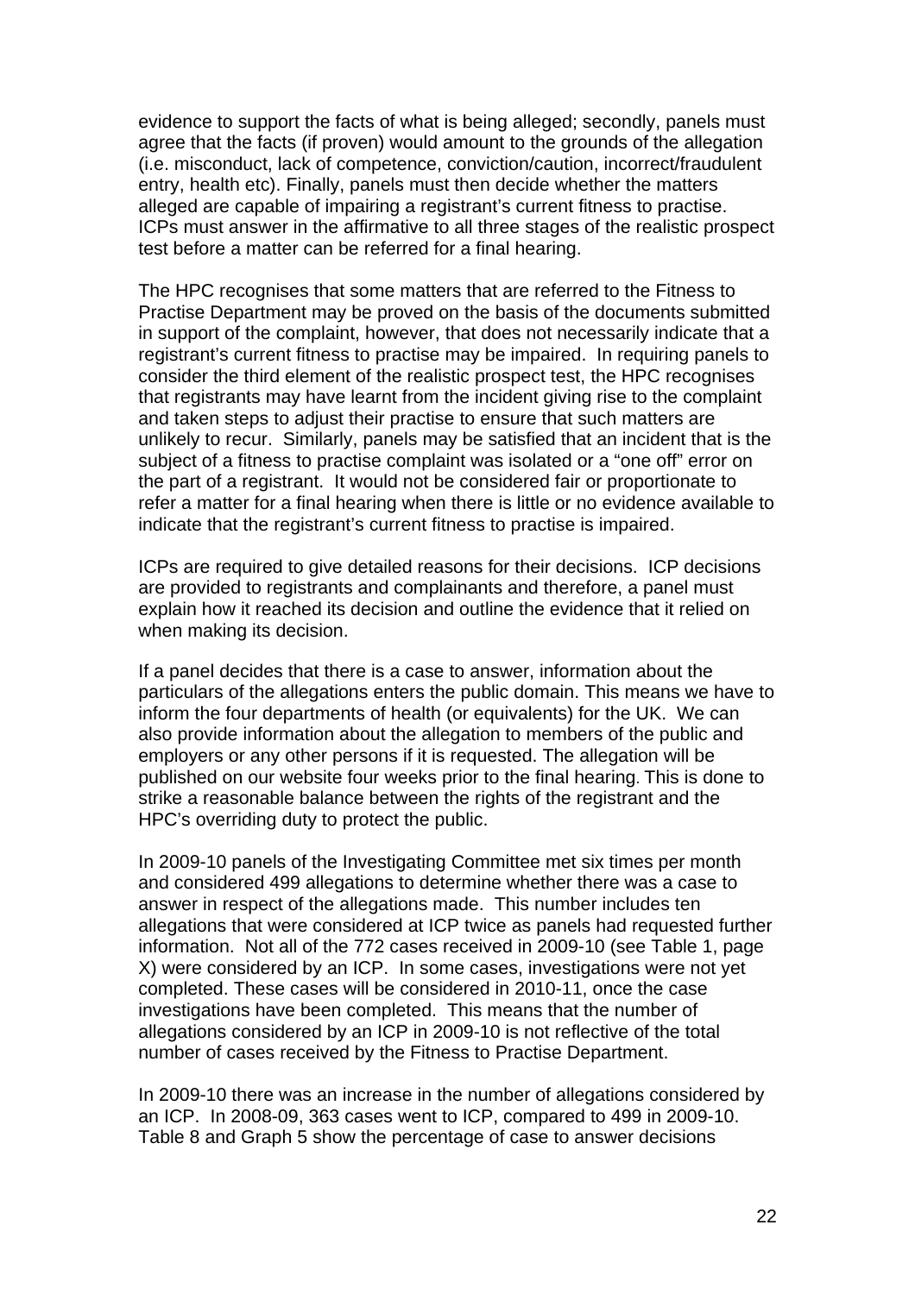evidence to support the facts of what is being alleged; secondly, panels must agree that the facts (if proven) would amount to the grounds of the allegation (i.e. misconduct, lack of competence, conviction/caution, incorrect/fraudulent entry, health etc). Finally, panels must then decide whether the matters alleged are capable of impairing a registrant's current fitness to practise. ICPs must answer in the affirmative to all three stages of the realistic prospect test before a matter can be referred for a final hearing.

The HPC recognises that some matters that are referred to the Fitness to Practise Department may be proved on the basis of the documents submitted in support of the complaint, however, that does not necessarily indicate that a registrant's current fitness to practise may be impaired. In requiring panels to consider the third element of the realistic prospect test, the HPC recognises that registrants may have learnt from the incident giving rise to the complaint and taken steps to adjust their practise to ensure that such matters are unlikely to recur. Similarly, panels may be satisfied that an incident that is the subject of a fitness to practise complaint was isolated or a "one off" error on the part of a registrant. It would not be considered fair or proportionate to refer a matter for a final hearing when there is little or no evidence available to indicate that the registrant's current fitness to practise is impaired.

ICPs are required to give detailed reasons for their decisions. ICP decisions are provided to registrants and complainants and therefore, a panel must explain how it reached its decision and outline the evidence that it relied on when making its decision.

If a panel decides that there is a case to answer, information about the particulars of the allegations enters the public domain. This means we have to inform the four departments of health (or equivalents) for the UK. We can also provide information about the allegation to members of the public and employers or any other persons if it is requested. The allegation will be published on our website four weeks prior to the final hearing. This is done to strike a reasonable balance between the rights of the registrant and the HPC's overriding duty to protect the public.

In 2009-10 panels of the Investigating Committee met six times per month and considered 499 allegations to determine whether there was a case to answer in respect of the allegations made. This number includes ten allegations that were considered at ICP twice as panels had requested further information. Not all of the 772 cases received in 2009-10 (see Table 1, page X) were considered by an ICP. In some cases, investigations were not yet completed. These cases will be considered in 2010-11, once the case investigations have been completed. This means that the number of allegations considered by an ICP in 2009-10 is not reflective of the total number of cases received by the Fitness to Practise Department.

In 2009-10 there was an increase in the number of allegations considered by an ICP. In 2008-09, 363 cases went to ICP, compared to 499 in 2009-10. Table 8 and Graph 5 show the percentage of case to answer decisions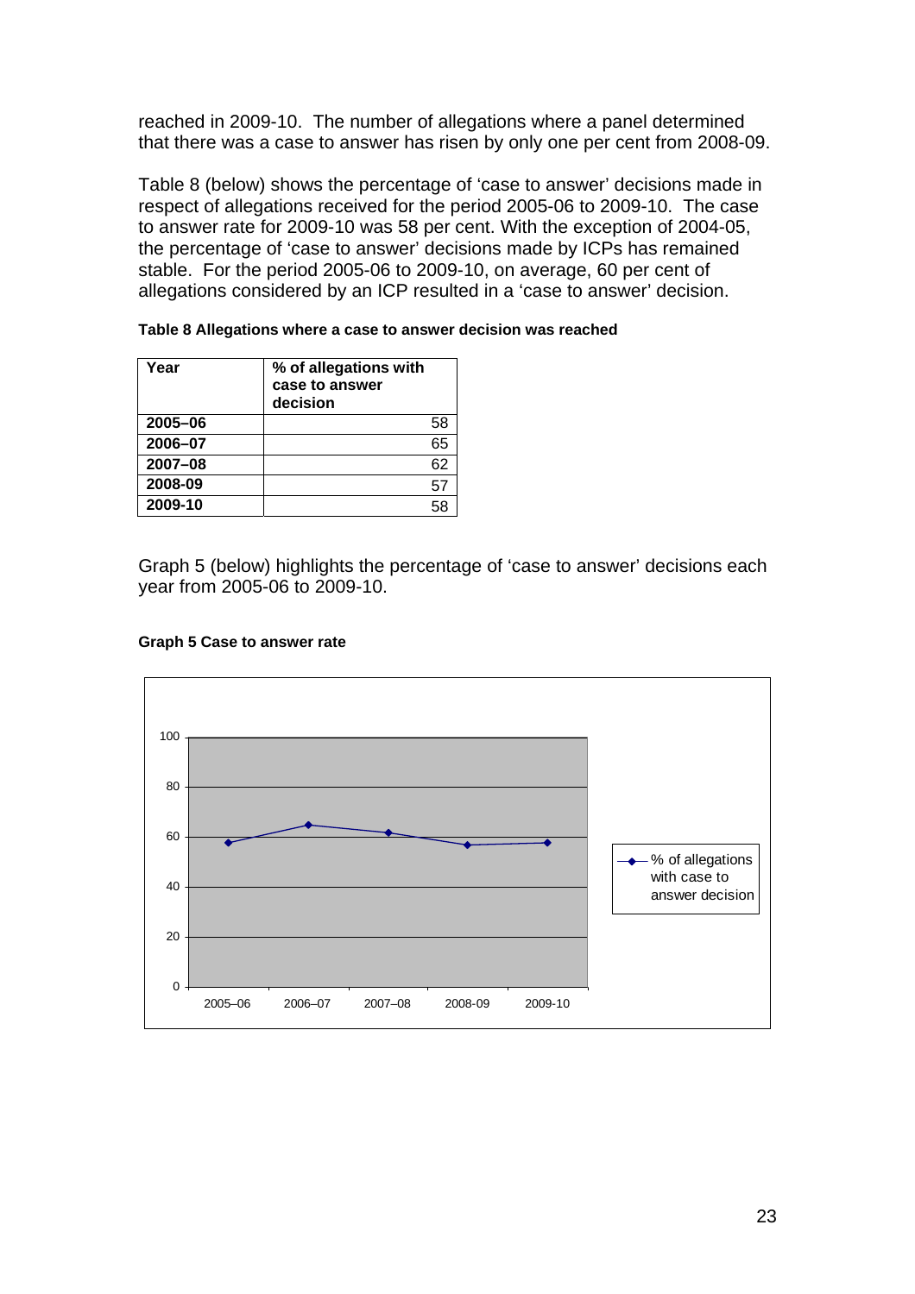reached in 2009-10. The number of allegations where a panel determined that there was a case to answer has risen by only one per cent from 2008-09.

Table 8 (below) shows the percentage of 'case to answer' decisions made in respect of allegations received for the period 2005-06 to 2009-10. The case to answer rate for 2009-10 was 58 per cent. With the exception of 2004-05, the percentage of 'case to answer' decisions made by ICPs has remained stable. For the period 2005-06 to 2009-10, on average, 60 per cent of allegations considered by an ICP resulted in a 'case to answer' decision.

| Table 8 Allegations where a case to answer decision was reached |  |
|-----------------------------------------------------------------|--|
|-----------------------------------------------------------------|--|

| Year    | % of allegations with<br>case to answer<br>decision |
|---------|-----------------------------------------------------|
| 2005-06 | 58                                                  |
| 2006-07 | 65                                                  |
| 2007-08 | 62                                                  |
| 2008-09 | 57                                                  |
| 2009-10 |                                                     |

Graph 5 (below) highlights the percentage of 'case to answer' decisions each year from 2005-06 to 2009-10.



#### **Graph 5 Case to answer rate**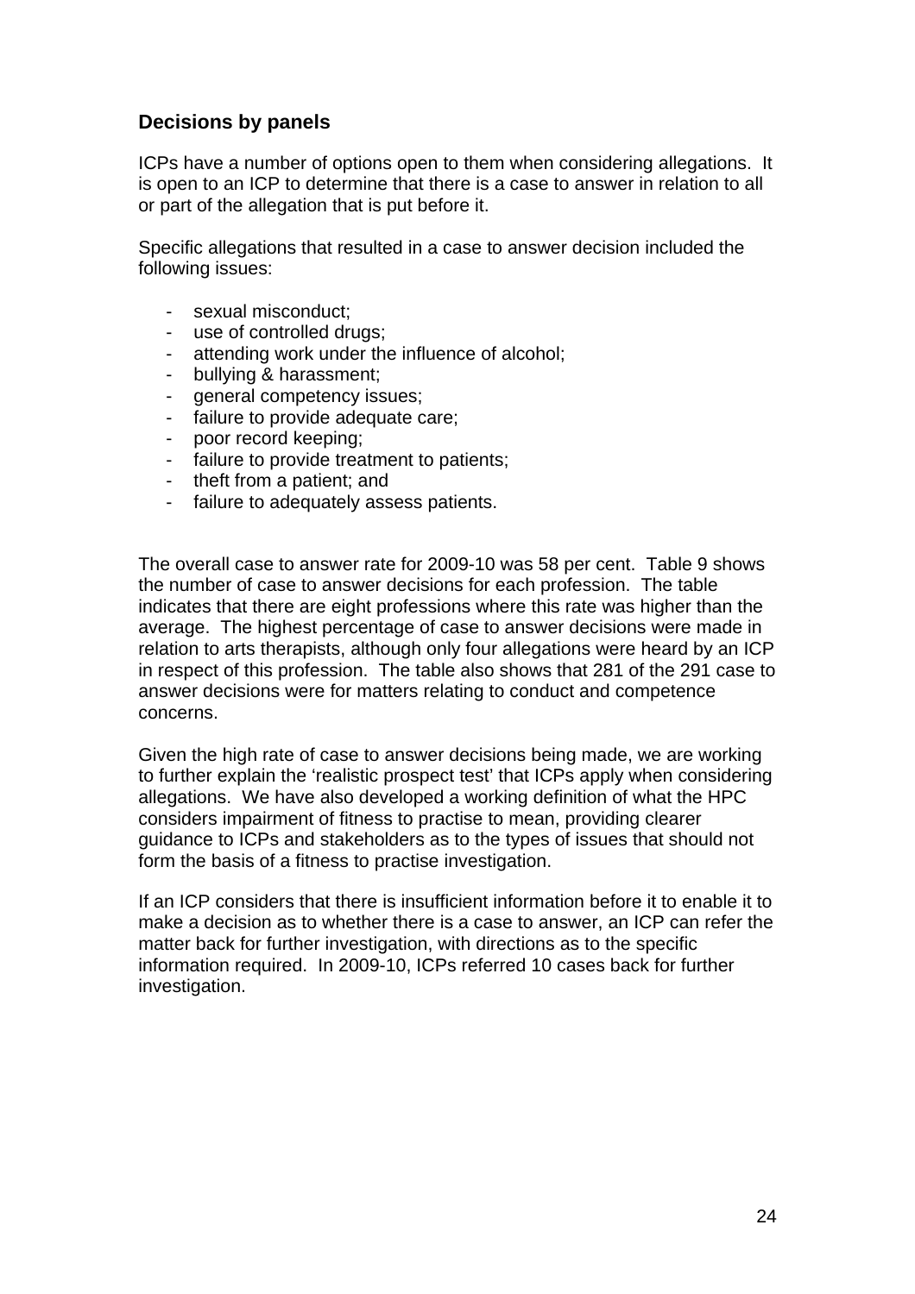## **Decisions by panels**

ICPs have a number of options open to them when considering allegations. It is open to an ICP to determine that there is a case to answer in relation to all or part of the allegation that is put before it.

Specific allegations that resulted in a case to answer decision included the following issues:

- sexual misconduct;
- use of controlled drugs;
- attending work under the influence of alcohol;
- bullying & harassment;
- qeneral competency issues;
- failure to provide adequate care;
- poor record keeping;
- failure to provide treatment to patients;
- theft from a patient; and
- failure to adequately assess patients.

The overall case to answer rate for 2009-10 was 58 per cent. Table 9 shows the number of case to answer decisions for each profession. The table indicates that there are eight professions where this rate was higher than the average. The highest percentage of case to answer decisions were made in relation to arts therapists, although only four allegations were heard by an ICP in respect of this profession. The table also shows that 281 of the 291 case to answer decisions were for matters relating to conduct and competence concerns.

Given the high rate of case to answer decisions being made, we are working to further explain the 'realistic prospect test' that ICPs apply when considering allegations. We have also developed a working definition of what the HPC considers impairment of fitness to practise to mean, providing clearer guidance to ICPs and stakeholders as to the types of issues that should not form the basis of a fitness to practise investigation.

If an ICP considers that there is insufficient information before it to enable it to make a decision as to whether there is a case to answer, an ICP can refer the matter back for further investigation, with directions as to the specific information required. In 2009-10, ICPs referred 10 cases back for further investigation.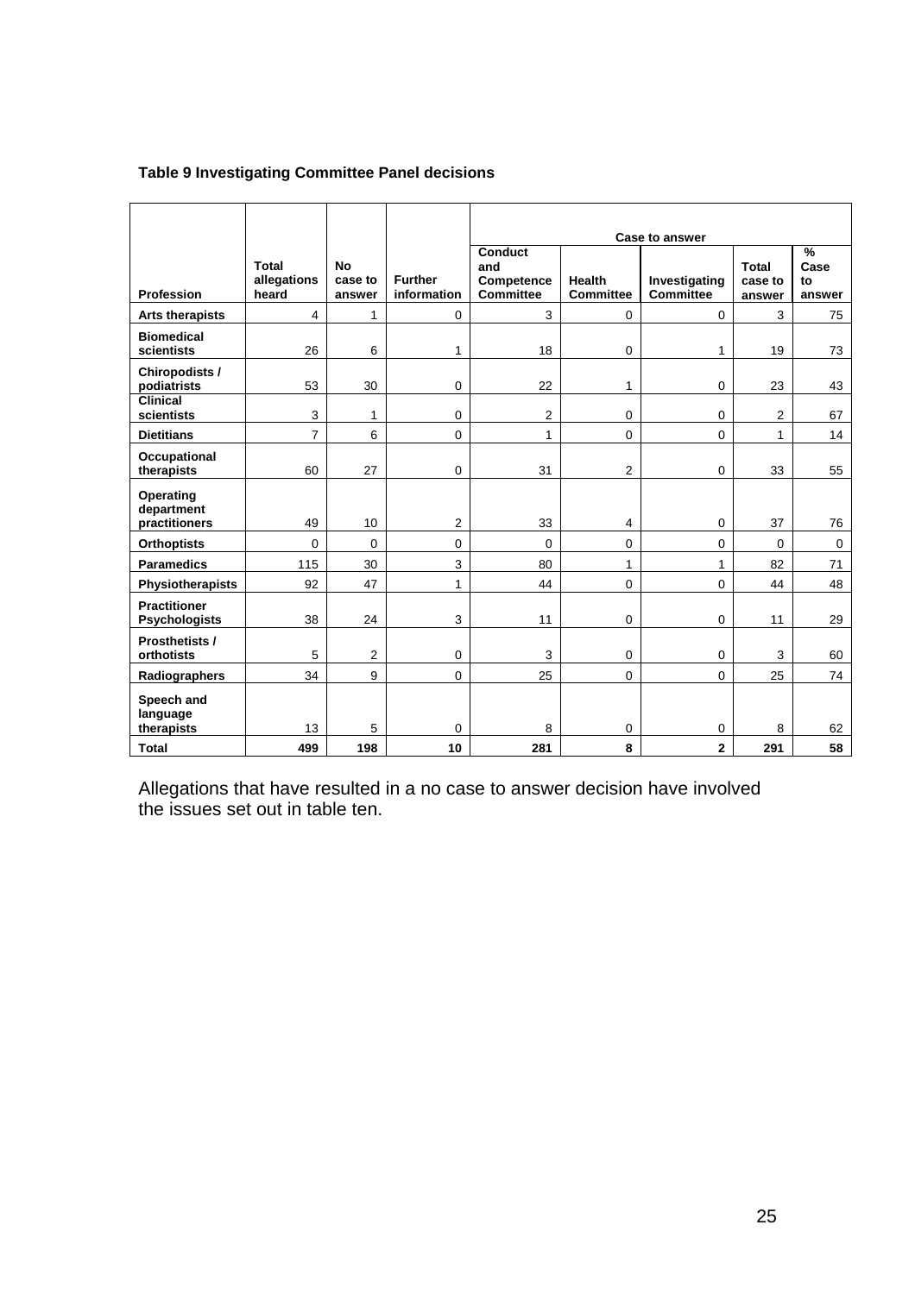## **Table 9 Investigating Committee Panel decisions**

|                                             |                               |                                |                               |                                                  | <b>Case to answer</b>             |                                   |                                   |                                       |  |
|---------------------------------------------|-------------------------------|--------------------------------|-------------------------------|--------------------------------------------------|-----------------------------------|-----------------------------------|-----------------------------------|---------------------------------------|--|
| <b>Profession</b>                           | Total<br>allegations<br>heard | <b>No</b><br>case to<br>answer | <b>Further</b><br>information | Conduct<br>and<br>Competence<br><b>Committee</b> | <b>Health</b><br><b>Committee</b> | Investigating<br><b>Committee</b> | <b>Total</b><br>case to<br>answer | $\frac{9}{6}$<br>Case<br>to<br>answer |  |
| <b>Arts therapists</b>                      | $\overline{4}$                | 1                              | $\mathbf 0$                   | 3                                                | $\mathbf 0$                       | $\mathbf 0$                       | 3                                 | 75                                    |  |
| <b>Biomedical</b><br>scientists             | 26                            | 6                              | 1                             | 18                                               | 0                                 | 1                                 | 19                                | 73                                    |  |
| Chiropodists /<br>podiatrists               | 53                            | 30                             | $\mathbf 0$                   | 22                                               | 1                                 | $\mathbf 0$                       | 23                                | 43                                    |  |
| <b>Clinical</b><br>scientists               | 3                             | 1                              | 0                             | $\overline{2}$                                   | 0                                 | $\mathbf 0$                       | $\overline{2}$                    | 67                                    |  |
| <b>Dietitians</b>                           | $\overline{7}$                | 6                              | $\mathbf 0$                   | $\mathbf{1}$                                     | 0                                 | $\Omega$                          | 1                                 | 14                                    |  |
| Occupational<br>therapists                  | 60                            | 27                             | 0                             | 31                                               | $\mathbf{2}$                      | $\mathbf 0$                       | 33                                | 55                                    |  |
| Operating<br>department<br>practitioners    | 49                            | 10                             | $\overline{2}$                | 33                                               | 4                                 | $\mathbf 0$                       | 37                                | 76                                    |  |
| <b>Orthoptists</b>                          | $\mathbf 0$                   | $\Omega$                       | $\Omega$                      | $\Omega$                                         | 0                                 | $\Omega$                          | $\Omega$                          | $\mathbf 0$                           |  |
| <b>Paramedics</b>                           | 115                           | 30                             | 3                             | 80                                               | 1                                 | 1                                 | 82                                | 71                                    |  |
| Physiotherapists                            | 92                            | 47                             | $\mathbf{1}$                  | 44                                               | 0                                 | 0                                 | 44                                | 48                                    |  |
| <b>Practitioner</b><br><b>Psychologists</b> | 38                            | 24                             | 3                             | 11                                               | 0                                 | $\mathbf 0$                       | 11                                | 29                                    |  |
| Prosthetists /<br>orthotists                | 5                             | $\overline{2}$                 | $\mathbf 0$                   | 3                                                | 0                                 | $\mathbf 0$                       | 3                                 | 60                                    |  |
| Radiographers                               | 34                            | 9                              | $\mathbf 0$                   | 25                                               | 0                                 | $\mathbf 0$                       | 25                                | 74                                    |  |
| Speech and<br>language<br>therapists        | 13                            | 5                              | 0                             | 8                                                | 0                                 | 0                                 | 8                                 | 62                                    |  |
| <b>Total</b>                                | 499                           | 198                            | 10                            | 281                                              | 8                                 | $\mathbf{2}$                      | 291                               | 58                                    |  |

Allegations that have resulted in a no case to answer decision have involved the issues set out in table ten.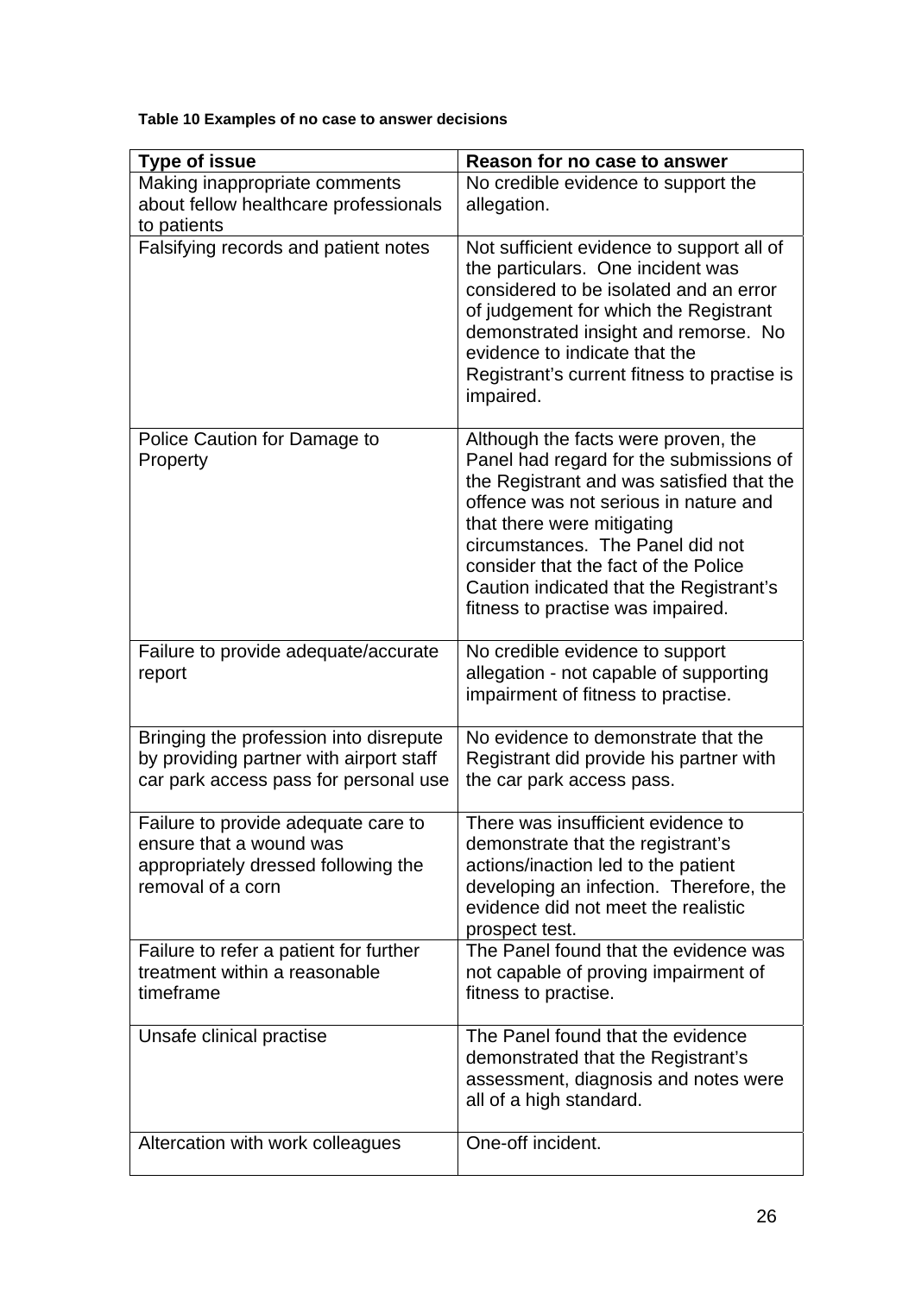## **Table 10 Examples of no case to answer decisions**

| <b>Type of issue</b>                                                                                                       | Reason for no case to answer                                                                                                                                                                                                                                                                                                                                   |
|----------------------------------------------------------------------------------------------------------------------------|----------------------------------------------------------------------------------------------------------------------------------------------------------------------------------------------------------------------------------------------------------------------------------------------------------------------------------------------------------------|
| Making inappropriate comments<br>about fellow healthcare professionals<br>to patients                                      | No credible evidence to support the<br>allegation.                                                                                                                                                                                                                                                                                                             |
| Falsifying records and patient notes                                                                                       | Not sufficient evidence to support all of<br>the particulars. One incident was<br>considered to be isolated and an error<br>of judgement for which the Registrant<br>demonstrated insight and remorse. No<br>evidence to indicate that the<br>Registrant's current fitness to practise is<br>impaired.                                                         |
| Police Caution for Damage to<br>Property                                                                                   | Although the facts were proven, the<br>Panel had regard for the submissions of<br>the Registrant and was satisfied that the<br>offence was not serious in nature and<br>that there were mitigating<br>circumstances. The Panel did not<br>consider that the fact of the Police<br>Caution indicated that the Registrant's<br>fitness to practise was impaired. |
| Failure to provide adequate/accurate<br>report                                                                             | No credible evidence to support<br>allegation - not capable of supporting<br>impairment of fitness to practise.                                                                                                                                                                                                                                                |
| Bringing the profession into disrepute<br>by providing partner with airport staff<br>car park access pass for personal use | No evidence to demonstrate that the<br>Registrant did provide his partner with<br>the car park access pass.                                                                                                                                                                                                                                                    |
| Failure to provide adequate care to<br>ensure that a wound was<br>appropriately dressed following the<br>removal of a corn | There was insufficient evidence to<br>demonstrate that the registrant's<br>actions/inaction led to the patient<br>developing an infection. Therefore, the<br>evidence did not meet the realistic<br>prospect test.                                                                                                                                             |
| Failure to refer a patient for further<br>treatment within a reasonable<br>timeframe                                       | The Panel found that the evidence was<br>not capable of proving impairment of<br>fitness to practise.                                                                                                                                                                                                                                                          |
| Unsafe clinical practise                                                                                                   | The Panel found that the evidence<br>demonstrated that the Registrant's<br>assessment, diagnosis and notes were<br>all of a high standard.                                                                                                                                                                                                                     |
| Altercation with work colleagues                                                                                           | One-off incident.                                                                                                                                                                                                                                                                                                                                              |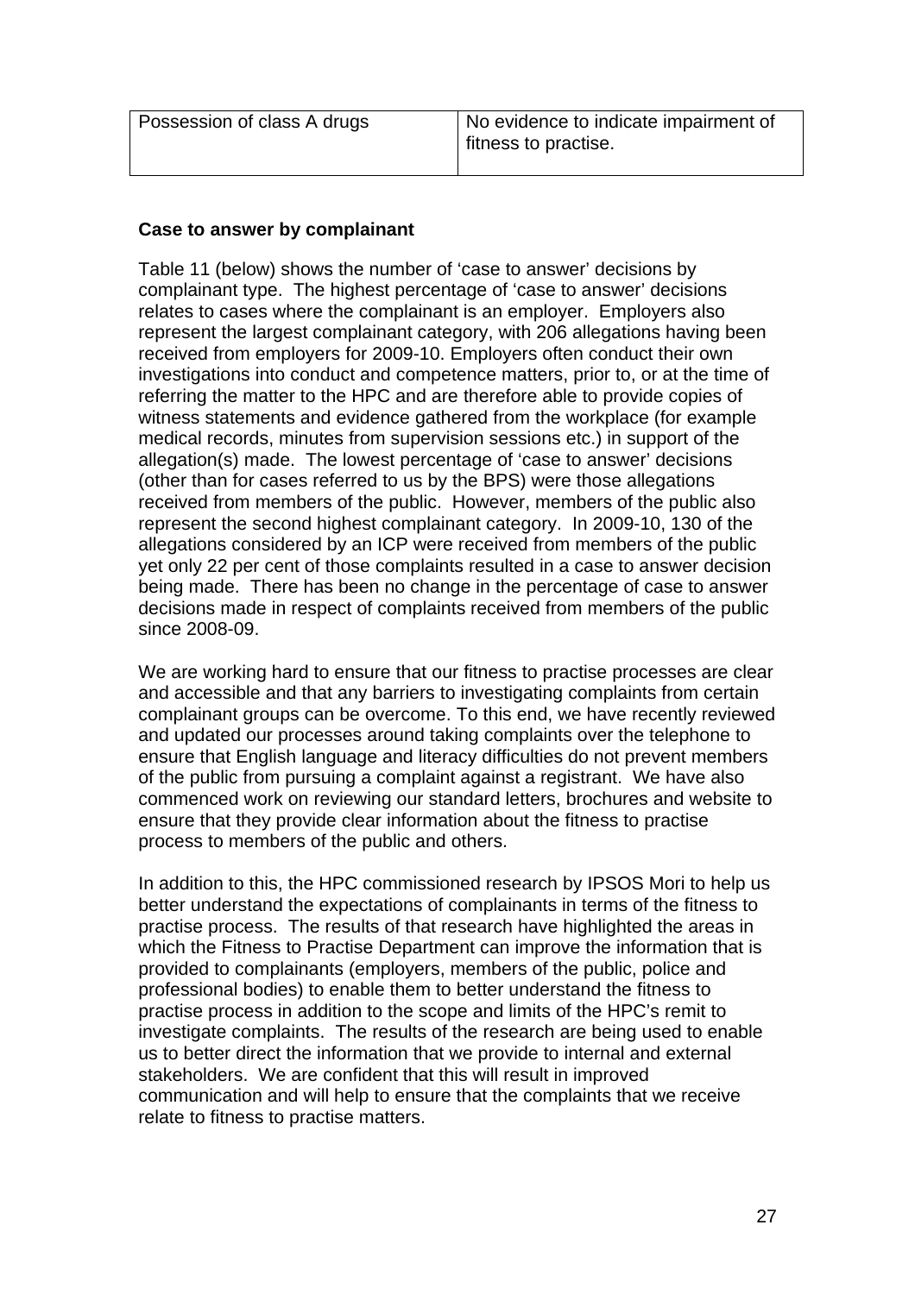| Possession of class A drugs | No evidence to indicate impairment of<br>fitness to practise. |
|-----------------------------|---------------------------------------------------------------|
|                             |                                                               |

## **Case to answer by complainant**

Table 11 (below) shows the number of 'case to answer' decisions by complainant type. The highest percentage of 'case to answer' decisions relates to cases where the complainant is an employer. Employers also represent the largest complainant category, with 206 allegations having been received from employers for 2009-10. Employers often conduct their own investigations into conduct and competence matters, prior to, or at the time of referring the matter to the HPC and are therefore able to provide copies of witness statements and evidence gathered from the workplace (for example medical records, minutes from supervision sessions etc.) in support of the allegation(s) made. The lowest percentage of 'case to answer' decisions (other than for cases referred to us by the BPS) were those allegations received from members of the public. However, members of the public also represent the second highest complainant category. In 2009-10, 130 of the allegations considered by an ICP were received from members of the public yet only 22 per cent of those complaints resulted in a case to answer decision being made. There has been no change in the percentage of case to answer decisions made in respect of complaints received from members of the public since 2008-09.

We are working hard to ensure that our fitness to practise processes are clear and accessible and that any barriers to investigating complaints from certain complainant groups can be overcome. To this end, we have recently reviewed and updated our processes around taking complaints over the telephone to ensure that English language and literacy difficulties do not prevent members of the public from pursuing a complaint against a registrant. We have also commenced work on reviewing our standard letters, brochures and website to ensure that they provide clear information about the fitness to practise process to members of the public and others.

In addition to this, the HPC commissioned research by IPSOS Mori to help us better understand the expectations of complainants in terms of the fitness to practise process. The results of that research have highlighted the areas in which the Fitness to Practise Department can improve the information that is provided to complainants (employers, members of the public, police and professional bodies) to enable them to better understand the fitness to practise process in addition to the scope and limits of the HPC's remit to investigate complaints. The results of the research are being used to enable us to better direct the information that we provide to internal and external stakeholders. We are confident that this will result in improved communication and will help to ensure that the complaints that we receive relate to fitness to practise matters.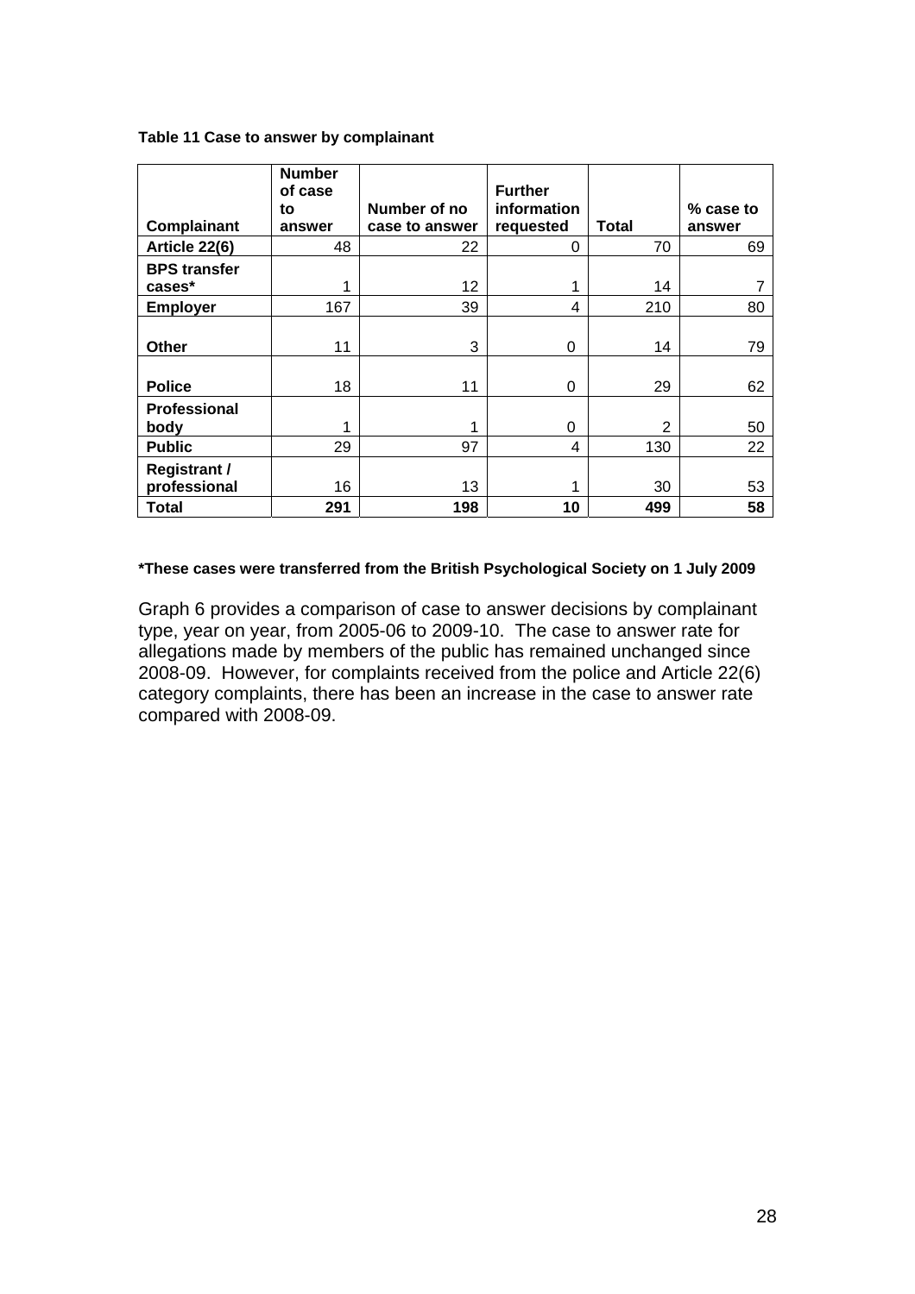|  |  |  | Table 11 Case to answer by complainant |
|--|--|--|----------------------------------------|
|--|--|--|----------------------------------------|

|                     | <b>Number</b><br>of case |                | <b>Further</b> |                |           |
|---------------------|--------------------------|----------------|----------------|----------------|-----------|
|                     | to                       | Number of no   | information    |                | % case to |
| Complainant         | answer                   | case to answer | requested      | Total          | answer    |
| Article 22(6)       | 48                       | 22             | 0              | 70             | 69        |
| <b>BPS transfer</b> |                          |                |                |                |           |
| cases*              | 1                        | 12             |                | 14             |           |
| <b>Employer</b>     | 167                      | 39             | 4              | 210            | 80        |
|                     |                          |                |                |                |           |
| <b>Other</b>        | 11                       | 3              | 0              | 14             | 79        |
|                     |                          |                |                |                |           |
| <b>Police</b>       | 18                       | 11             | 0              | 29             | 62        |
| <b>Professional</b> |                          |                |                |                |           |
| body                | 1                        | 1              | 0              | $\overline{2}$ | 50        |
| <b>Public</b>       | 29                       | 97             | 4              | 130            | 22        |
| <b>Registrant /</b> |                          |                |                |                |           |
| professional        | 16                       | 13             |                | 30             | 53        |
| <b>Total</b>        | 291                      | 198            | 10             | 499            | 58        |

#### **\*These cases were transferred from the British Psychological Society on 1 July 2009**

Graph 6 provides a comparison of case to answer decisions by complainant type, year on year, from 2005-06 to 2009-10. The case to answer rate for allegations made by members of the public has remained unchanged since 2008-09. However, for complaints received from the police and Article 22(6) category complaints, there has been an increase in the case to answer rate compared with 2008-09.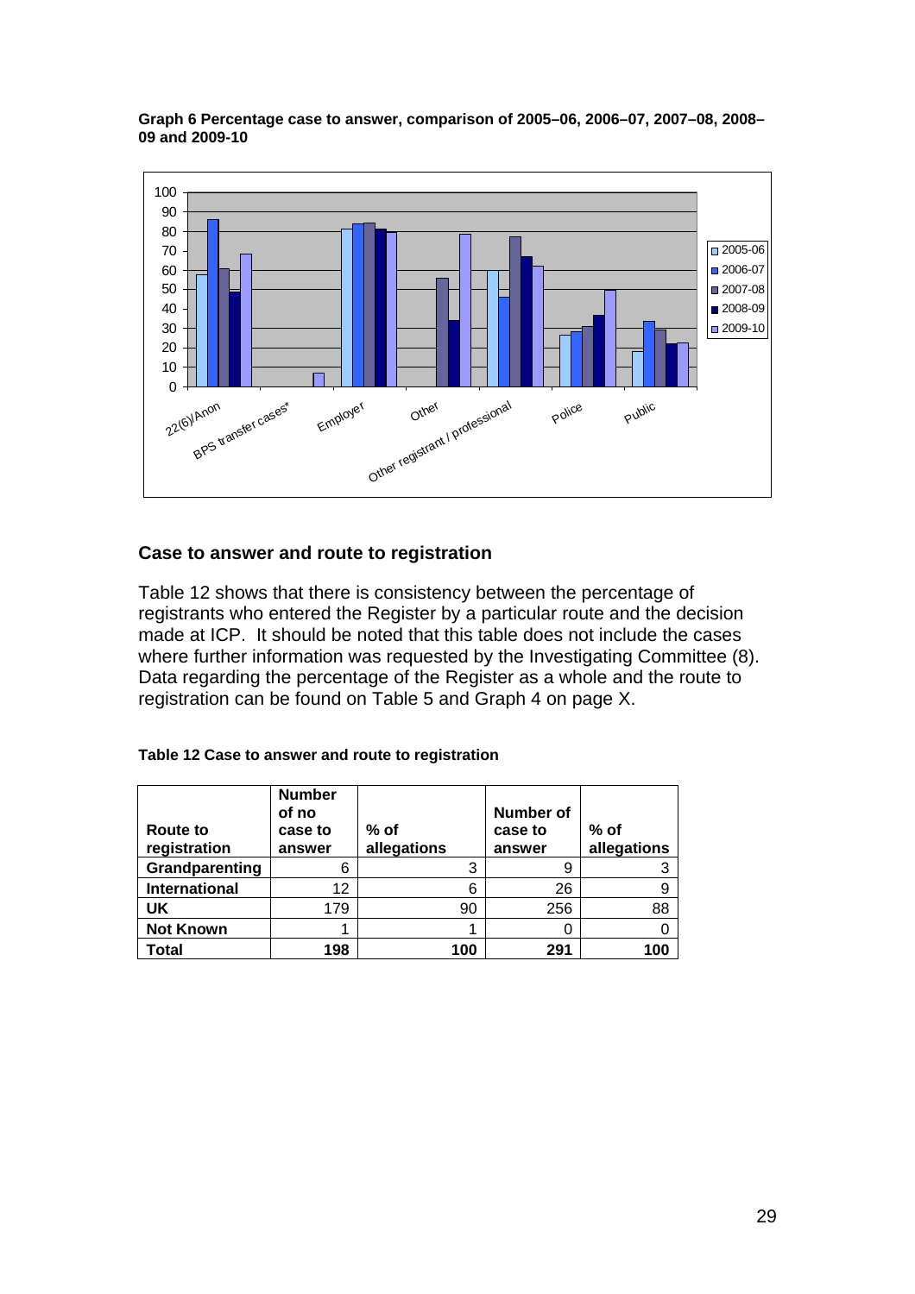**Graph 6 Percentage case to answer, comparison of 2005–06, 2006–07, 2007–08, 2008– 09 and 2009-10** 



## **Case to answer and route to registration**

Table 12 shows that there is consistency between the percentage of registrants who entered the Register by a particular route and the decision made at ICP. It should be noted that this table does not include the cases where further information was requested by the Investigating Committee (8). Data regarding the percentage of the Register as a whole and the route to registration can be found on Table 5 and Graph 4 on page X.

| Table 12 Case to answer and route to registration |  |  |  |
|---------------------------------------------------|--|--|--|
|---------------------------------------------------|--|--|--|

| Route to<br>registration | <b>Number</b><br>of no<br>case to<br>answer | $%$ of<br>allegations | <b>Number of</b><br>case to<br>answer | $%$ of<br>allegations |
|--------------------------|---------------------------------------------|-----------------------|---------------------------------------|-----------------------|
| Grandparenting           | 6                                           | 3                     | 9                                     |                       |
| <b>International</b>     | 12                                          | 6                     | 26                                    |                       |
| UK                       | 179                                         | 90                    | 256                                   | 88                    |
| <b>Not Known</b>         |                                             |                       |                                       |                       |
| Total                    | 198                                         | 100                   | 291                                   | 100                   |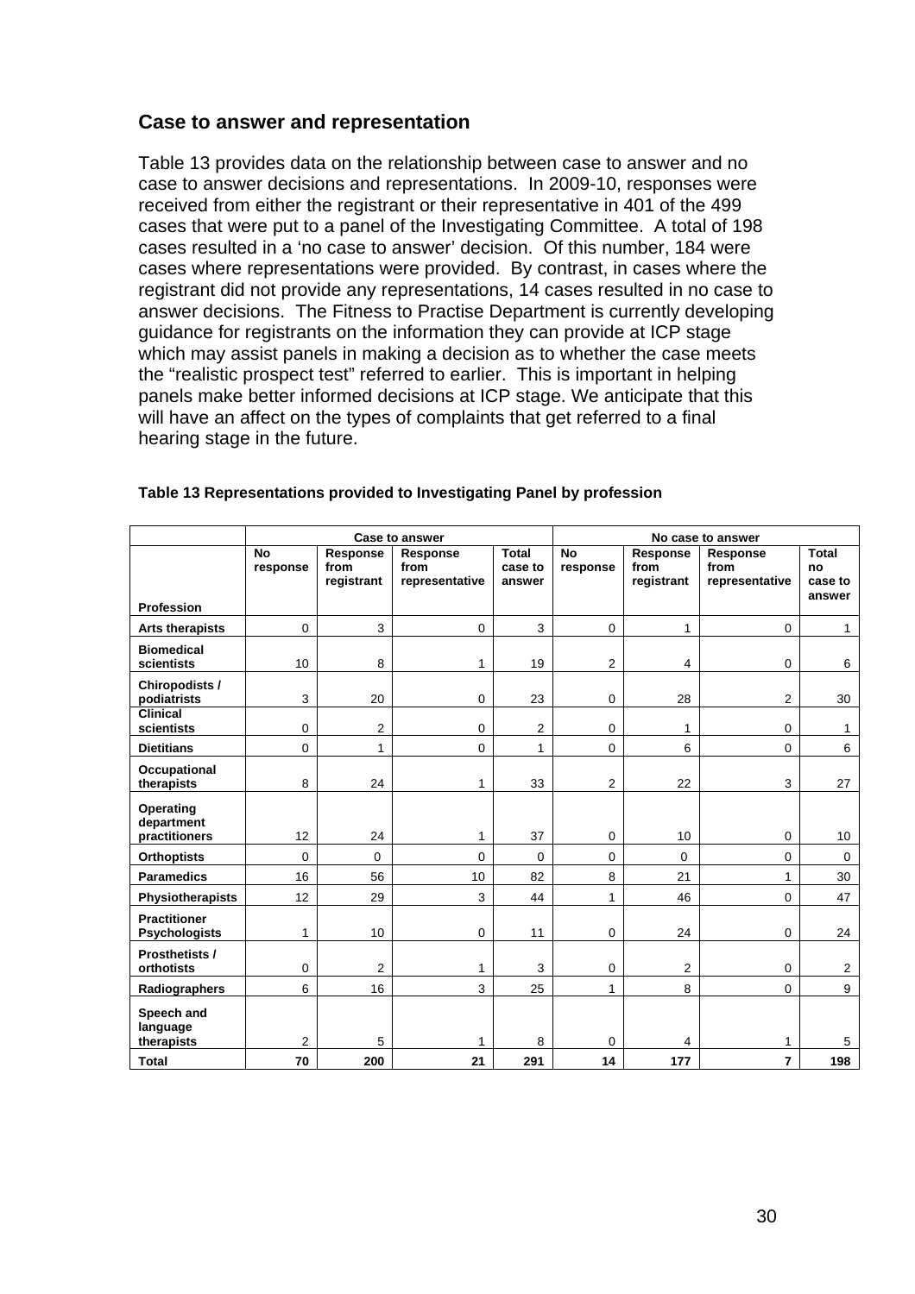## **Case to answer and representation**

Table 13 provides data on the relationship between case to answer and no case to answer decisions and representations. In 2009-10, responses were received from either the registrant or their representative in 401 of the 499 cases that were put to a panel of the Investigating Committee. A total of 198 cases resulted in a 'no case to answer' decision. Of this number, 184 were cases where representations were provided. By contrast, in cases where the registrant did not provide any representations, 14 cases resulted in no case to answer decisions. The Fitness to Practise Department is currently developing guidance for registrants on the information they can provide at ICP stage which may assist panels in making a decision as to whether the case meets the "realistic prospect test" referred to earlier. This is important in helping panels make better informed decisions at ICP stage. We anticipate that this will have an affect on the types of complaints that get referred to a final hearing stage in the future.

|                                             |                       |                                | <b>Case to answer</b>              | No case to answer          |                       |                                |                                    |                                         |
|---------------------------------------------|-----------------------|--------------------------------|------------------------------------|----------------------------|-----------------------|--------------------------------|------------------------------------|-----------------------------------------|
|                                             | <b>No</b><br>response | Response<br>from<br>registrant | Response<br>from<br>representative | Total<br>case to<br>answer | <b>No</b><br>response | Response<br>from<br>registrant | Response<br>from<br>representative | <b>Total</b><br>no<br>case to<br>answer |
| <b>Profession</b>                           |                       |                                |                                    |                            |                       |                                |                                    |                                         |
| Arts therapists                             | $\mathbf 0$           | 3                              | 0                                  | 3                          | $\mathbf 0$           | 1                              | $\mathbf 0$                        | $\mathbf{1}$                            |
| <b>Biomedical</b><br>scientists             | 10                    | 8                              | 1                                  | 19                         | $\overline{2}$        | 4                              | $\mathbf 0$                        | 6                                       |
| Chiropodists /<br>podiatrists               | 3                     | 20                             | 0                                  | 23                         | $\mathbf 0$           | 28                             | $\overline{2}$                     | 30                                      |
| <b>Clinical</b><br>scientists               | 0                     | 2                              | 0                                  | $\overline{2}$             | $\mathbf 0$           | 1                              | $\mathbf 0$                        | $\mathbf{1}$                            |
| <b>Dietitians</b>                           | 0                     | 1                              | 0                                  | 1                          | $\Omega$              | 6                              | $\Omega$                           | 6                                       |
| <b>Occupational</b><br>therapists           | 8                     | 24                             | 1                                  | 33                         | $\overline{2}$        | 22                             | 3                                  | 27                                      |
| Operating<br>department<br>practitioners    | 12                    | 24                             | 1                                  | 37                         | $\mathbf 0$           | 10                             | $\mathbf 0$                        | 10 <sup>°</sup>                         |
| <b>Orthoptists</b>                          | 0                     | $\Omega$                       | 0                                  | 0                          | $\Omega$              | $\Omega$                       | $\mathbf 0$                        | $\mathbf 0$                             |
| <b>Paramedics</b>                           | 16                    | 56                             | 10                                 | 82                         | 8                     | 21                             | 1                                  | 30                                      |
| Physiotherapists                            | 12                    | 29                             | 3                                  | 44                         | 1                     | 46                             | $\mathbf 0$                        | 47                                      |
| <b>Practitioner</b><br><b>Psychologists</b> | 1                     | 10                             | 0                                  | 11                         | $\mathbf 0$           | 24                             | $\mathbf 0$                        | 24                                      |
| Prosthetists /<br>orthotists                | 0                     | 2                              | 1                                  | 3                          | $\mathbf 0$           | 2                              | $\mathbf 0$                        | $\overline{2}$                          |
| Radiographers                               | 6                     | 16                             | 3                                  | 25                         | 1                     | 8                              | $\Omega$                           | 9                                       |
| Speech and<br>language<br>therapists        | 2                     | 5                              | 1                                  | 8                          | $\Omega$              | 4                              | 1                                  | 5                                       |
| <b>Total</b>                                | 70                    | 200                            | 21                                 | 291                        | 14                    | 177                            | 7                                  | 198                                     |

#### **Table 13 Representations provided to Investigating Panel by profession**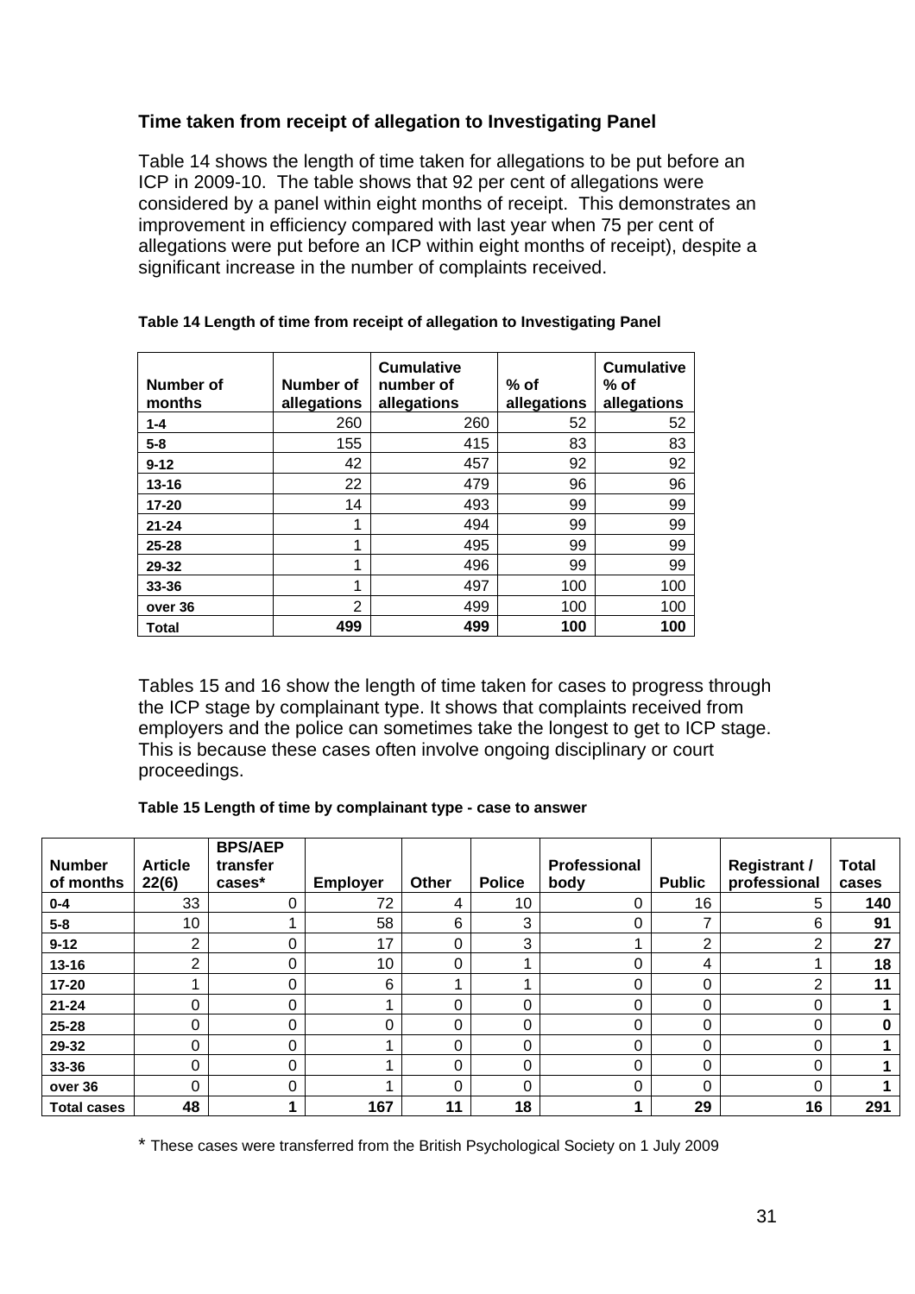## **Time taken from receipt of allegation to Investigating Panel**

Table 14 shows the length of time taken for allegations to be put before an ICP in 2009-10. The table shows that 92 per cent of allegations were considered by a panel within eight months of receipt. This demonstrates an improvement in efficiency compared with last year when 75 per cent of allegations were put before an ICP within eight months of receipt), despite a significant increase in the number of complaints received.

| Number of<br>months | Number of<br>allegations | <b>Cumulative</b><br>number of<br>allegations | $%$ of<br>allegations | <b>Cumulative</b><br>% of<br>allegations |
|---------------------|--------------------------|-----------------------------------------------|-----------------------|------------------------------------------|
| $1 - 4$             | 260                      | 260                                           | 52                    | 52                                       |
| $5 - 8$             | 155                      | 415                                           | 83                    | 83                                       |
| $9 - 12$            | 42                       | 457                                           | 92                    | 92                                       |
| $13 - 16$           | 22                       | 479                                           | 96                    | 96                                       |
| $17 - 20$           | 14                       | 493                                           | 99                    | 99                                       |
| $21 - 24$           | 1                        | 494                                           | 99                    | 99                                       |
| $25 - 28$           | 4                        | 495                                           | 99                    | 99                                       |
| 29-32               | 4                        | 496                                           | 99                    | 99                                       |
| $33 - 36$           | 4                        | 497                                           | 100                   | 100                                      |
| over 36             | $\overline{2}$           | 499                                           | 100                   | 100                                      |
| Total               | 499                      | 499                                           | 100                   | 100                                      |

#### **Table 14 Length of time from receipt of allegation to Investigating Panel**

Tables 15 and 16 show the length of time taken for cases to progress through the ICP stage by complainant type. It shows that complaints received from employers and the police can sometimes take the longest to get to ICP stage. This is because these cases often involve ongoing disciplinary or court proceedings.

#### **Table 15 Length of time by complainant type - case to answer**

| <b>Number</b><br>of months | <b>Article</b><br>22(6) | <b>BPS/AEP</b><br>transfer<br>cases* | <b>Employer</b> | Other | <b>Police</b> | Professional<br>body | <b>Public</b> | <b>Registrant /</b><br>professional | <b>Total</b><br>cases |
|----------------------------|-------------------------|--------------------------------------|-----------------|-------|---------------|----------------------|---------------|-------------------------------------|-----------------------|
| $0 - 4$                    | 33                      | 0                                    | 72              | 4     | 10            | 0                    | 16            | 5                                   | 140                   |
| $5-8$                      | 10                      |                                      | 58              | 6     | 3             | 0                    | ⇁             | 6                                   | 91                    |
| $9 - 12$                   | ◠                       | 0                                    | 17              | 0     | 3             |                      | C             | 2                                   | 27                    |
| $13 - 16$                  | C                       | 0                                    | 10              | 0     |               | 0                    | 4             |                                     | 18                    |
| $17 - 20$                  |                         | 0                                    | 6               |       |               | 0                    | 0             | っ                                   | 11                    |
| $21 - 24$                  |                         | 0                                    |                 | 0     | 0             | 0                    | 0             | 0                                   |                       |
| 25-28                      |                         | 0                                    | 0               | 0     | 0             | 0                    | 0             | 0                                   | 0                     |
| 29-32                      | 0                       | 0                                    |                 | 0     | 0             | 0                    | 0             | 0                                   |                       |
| 33-36                      | 0                       | 0                                    |                 | 0     | 0             | 0                    | 0             | 0                                   |                       |
| over 36                    | 0                       | 0                                    |                 | 0     | 0             | 0                    | 0             | 0                                   |                       |
| <b>Total cases</b>         | 48                      |                                      | 167             | 11    | 18            | 4.                   | 29            | 16                                  | 291                   |

\* These cases were transferred from the British Psychological Society on 1 July 2009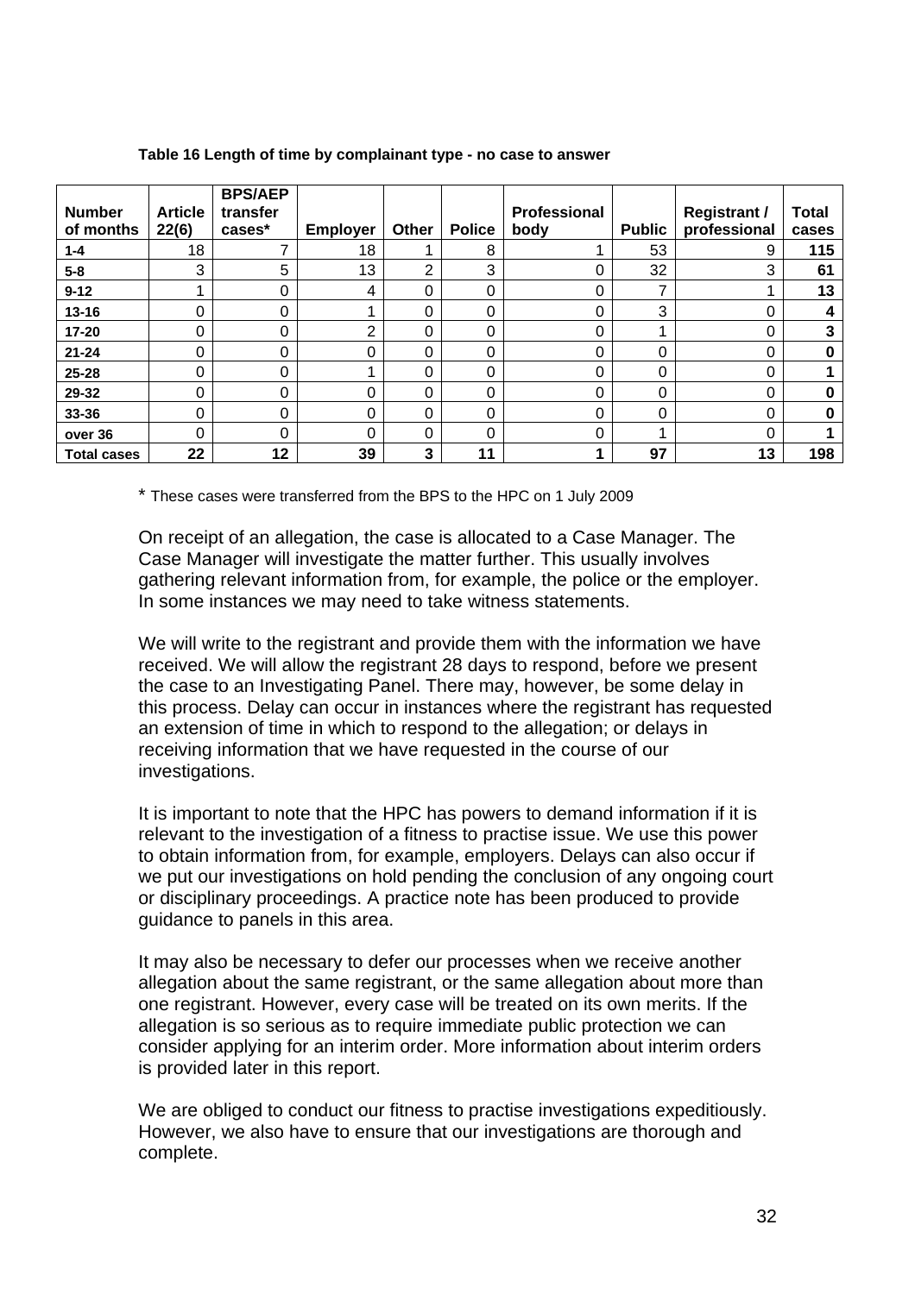| <b>Number</b><br>of months | <b>Article</b><br>22(6) | <b>BPS/AEP</b><br>transfer<br>cases* | <b>Employer</b> | <b>Other</b> | <b>Police</b> | Professional<br>body | <b>Public</b> | <b>Registrant /</b><br>professional | <b>Total</b><br>cases |
|----------------------------|-------------------------|--------------------------------------|-----------------|--------------|---------------|----------------------|---------------|-------------------------------------|-----------------------|
| $1 - 4$                    | 18                      |                                      | 18              |              | 8             |                      | 53            | 9                                   | 115                   |
| $5 - 8$                    | 3                       | 5                                    | 13              | ⌒            | 3             | 0                    | 32            | 3                                   | 61                    |
| $9 - 12$                   |                         | 0                                    | 4               | 0            | $\Omega$      | 0                    | ⇁             |                                     | 13                    |
| $13 - 16$                  | 0                       | $\Omega$                             |                 | 0            | $\Omega$      | 0                    | 3             | 0                                   | 4                     |
| $17 - 20$                  | 0                       | 0                                    | 2               | 0            | 0             | 0                    |               | 0                                   | 3                     |
| $21 - 24$                  | 0                       | 0                                    | 0               | 0            | 0             | 0                    | 0             | 0                                   |                       |
| $25 - 28$                  | 0                       | $\Omega$                             |                 | 0            | 0             | 0                    | 0             | $\Omega$                            |                       |
| 29-32                      | 0                       | $\Omega$                             | 0               | 0            | 0             | 0                    | 0             | $\Omega$                            |                       |
| 33-36                      | 0                       | 0                                    | 0               | 0            | 0             | 0                    | 0             | 0                                   |                       |
| over 36                    | 0                       | $\Omega$                             | 0               | 0            | $\Omega$      | 0                    |               | $\Omega$                            |                       |
| <b>Total cases</b>         | 22                      | 12                                   | 39              | 3            | 11            |                      | 97            | 13                                  | 198                   |

#### **Table 16 Length of time by complainant type - no case to answer**

\* These cases were transferred from the BPS to the HPC on 1 July 2009

On receipt of an allegation, the case is allocated to a Case Manager. The Case Manager will investigate the matter further. This usually involves gathering relevant information from, for example, the police or the employer. In some instances we may need to take witness statements.

We will write to the registrant and provide them with the information we have received. We will allow the registrant 28 days to respond, before we present the case to an Investigating Panel. There may, however, be some delay in this process. Delay can occur in instances where the registrant has requested an extension of time in which to respond to the allegation; or delays in receiving information that we have requested in the course of our investigations.

It is important to note that the HPC has powers to demand information if it is relevant to the investigation of a fitness to practise issue. We use this power to obtain information from, for example, employers. Delays can also occur if we put our investigations on hold pending the conclusion of any ongoing court or disciplinary proceedings. A practice note has been produced to provide guidance to panels in this area.

It may also be necessary to defer our processes when we receive another allegation about the same registrant, or the same allegation about more than one registrant. However, every case will be treated on its own merits. If the allegation is so serious as to require immediate public protection we can consider applying for an interim order. More information about interim orders is provided later in this report.

We are obliged to conduct our fitness to practise investigations expeditiously. However, we also have to ensure that our investigations are thorough and complete.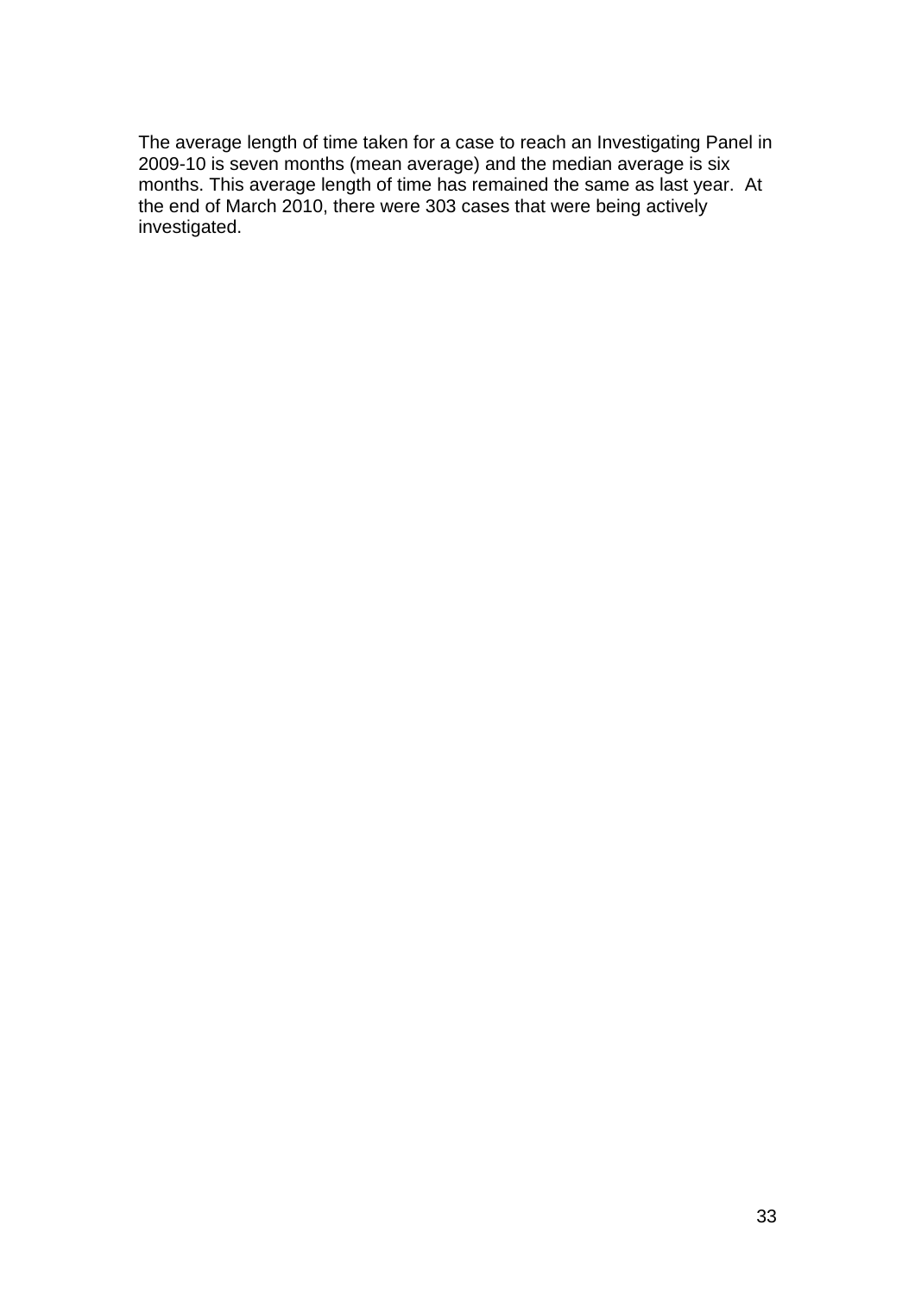The average length of time taken for a case to reach an Investigating Panel in 2009-10 is seven months (mean average) and the median average is six months. This average length of time has remained the same as last year. At the end of March 2010, there were 303 cases that were being actively investigated.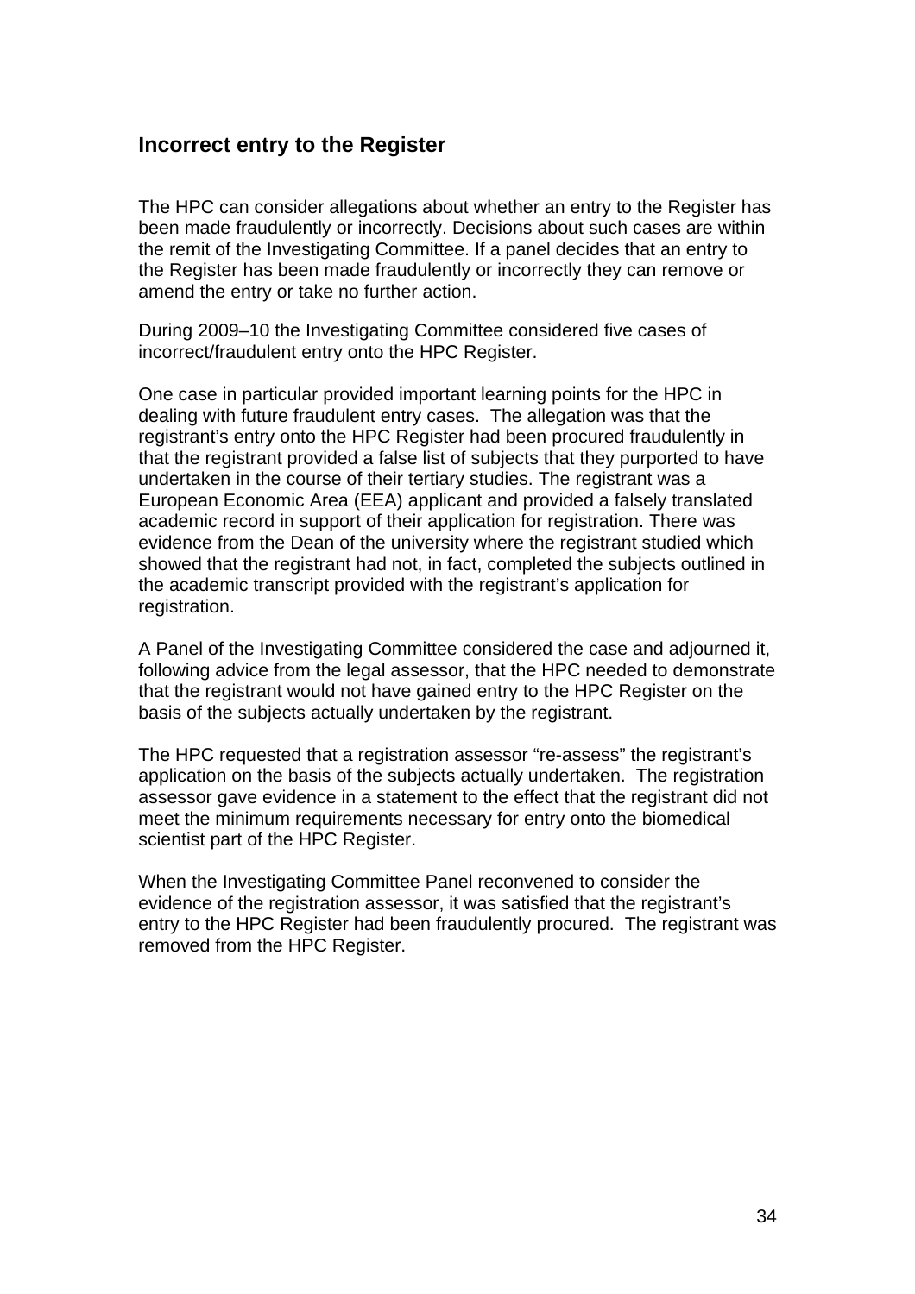## **Incorrect entry to the Register**

The HPC can consider allegations about whether an entry to the Register has been made fraudulently or incorrectly. Decisions about such cases are within the remit of the Investigating Committee. If a panel decides that an entry to the Register has been made fraudulently or incorrectly they can remove or amend the entry or take no further action.

During 2009–10 the Investigating Committee considered five cases of incorrect/fraudulent entry onto the HPC Register.

One case in particular provided important learning points for the HPC in dealing with future fraudulent entry cases. The allegation was that the registrant's entry onto the HPC Register had been procured fraudulently in that the registrant provided a false list of subjects that they purported to have undertaken in the course of their tertiary studies. The registrant was a European Economic Area (EEA) applicant and provided a falsely translated academic record in support of their application for registration. There was evidence from the Dean of the university where the registrant studied which showed that the registrant had not, in fact, completed the subjects outlined in the academic transcript provided with the registrant's application for registration.

A Panel of the Investigating Committee considered the case and adjourned it, following advice from the legal assessor, that the HPC needed to demonstrate that the registrant would not have gained entry to the HPC Register on the basis of the subjects actually undertaken by the registrant.

The HPC requested that a registration assessor "re-assess" the registrant's application on the basis of the subjects actually undertaken. The registration assessor gave evidence in a statement to the effect that the registrant did not meet the minimum requirements necessary for entry onto the biomedical scientist part of the HPC Register.

When the Investigating Committee Panel reconvened to consider the evidence of the registration assessor, it was satisfied that the registrant's entry to the HPC Register had been fraudulently procured. The registrant was removed from the HPC Register.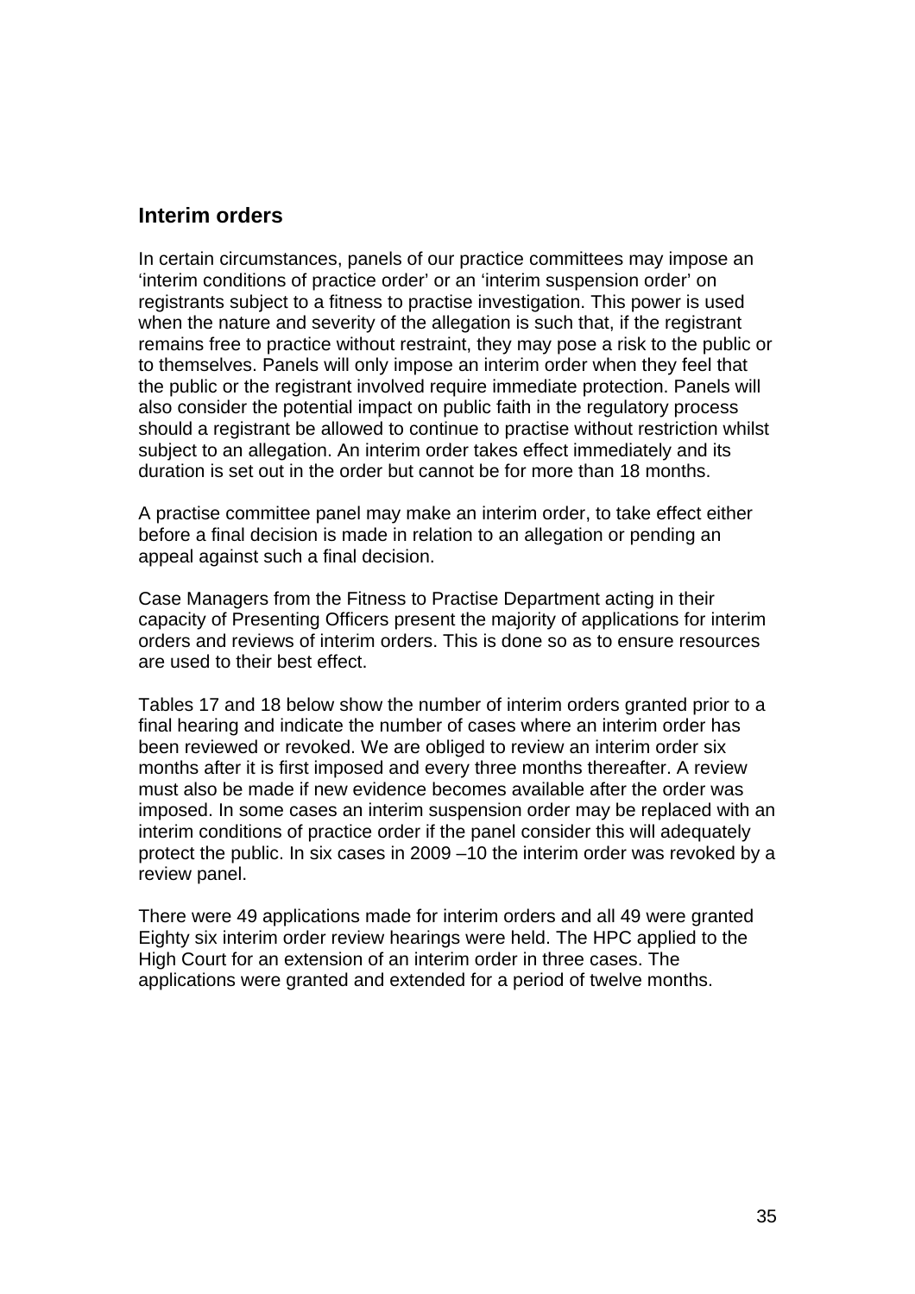## **Interim orders**

In certain circumstances, panels of our practice committees may impose an 'interim conditions of practice order' or an 'interim suspension order' on registrants subject to a fitness to practise investigation. This power is used when the nature and severity of the allegation is such that, if the registrant remains free to practice without restraint, they may pose a risk to the public or to themselves. Panels will only impose an interim order when they feel that the public or the registrant involved require immediate protection. Panels will also consider the potential impact on public faith in the regulatory process should a registrant be allowed to continue to practise without restriction whilst subject to an allegation. An interim order takes effect immediately and its duration is set out in the order but cannot be for more than 18 months.

A practise committee panel may make an interim order, to take effect either before a final decision is made in relation to an allegation or pending an appeal against such a final decision.

Case Managers from the Fitness to Practise Department acting in their capacity of Presenting Officers present the majority of applications for interim orders and reviews of interim orders. This is done so as to ensure resources are used to their best effect.

Tables 17 and 18 below show the number of interim orders granted prior to a final hearing and indicate the number of cases where an interim order has been reviewed or revoked. We are obliged to review an interim order six months after it is first imposed and every three months thereafter. A review must also be made if new evidence becomes available after the order was imposed. In some cases an interim suspension order may be replaced with an interim conditions of practice order if the panel consider this will adequately protect the public. In six cases in 2009 –10 the interim order was revoked by a review panel.

There were 49 applications made for interim orders and all 49 were granted Eighty six interim order review hearings were held. The HPC applied to the High Court for an extension of an interim order in three cases. The applications were granted and extended for a period of twelve months.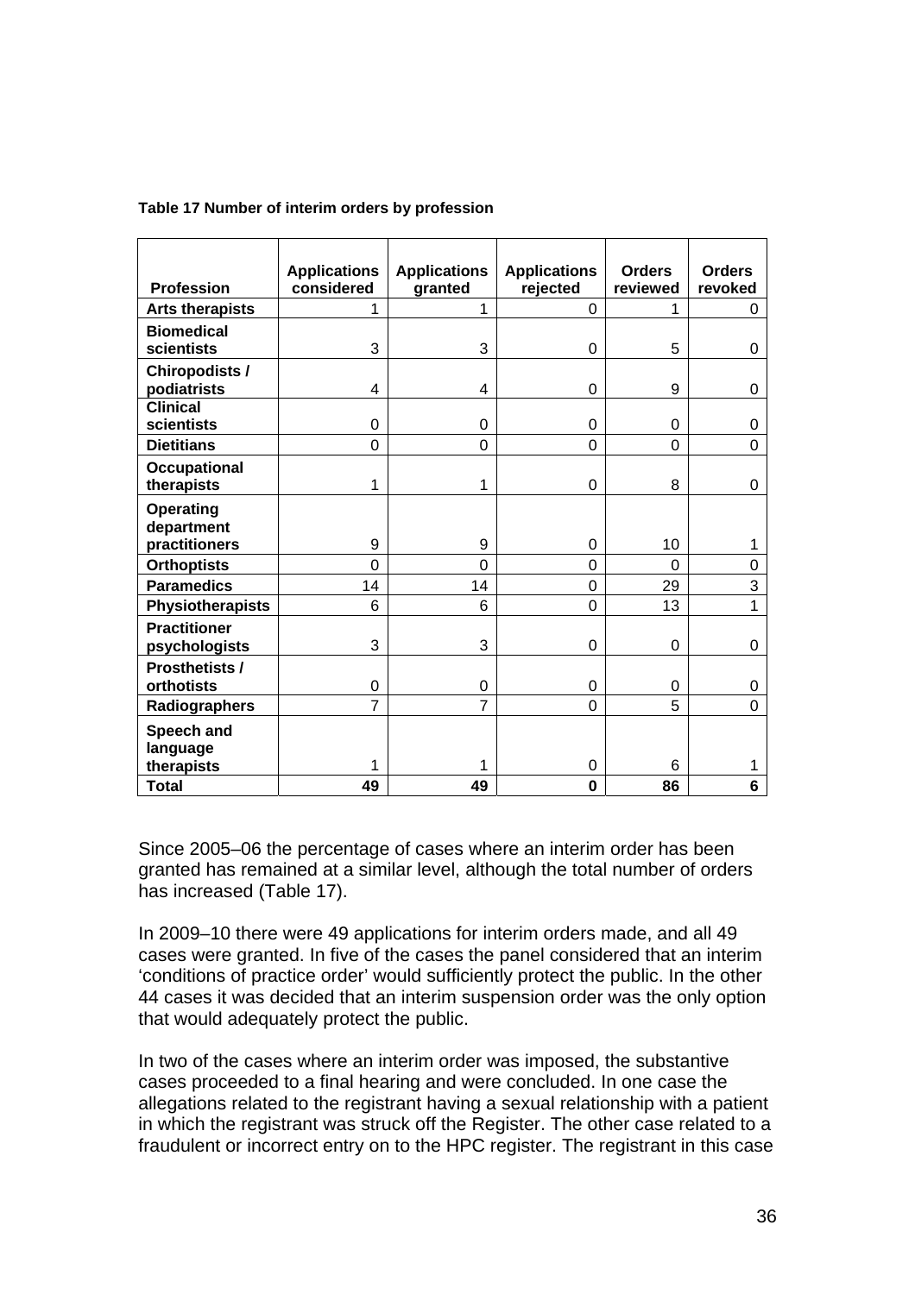| <b>Profession</b>                    | <b>Applications</b><br>considered | <b>Applications</b><br>granted | <b>Applications</b><br>rejected | <b>Orders</b><br>reviewed | <b>Orders</b><br>revoked |
|--------------------------------------|-----------------------------------|--------------------------------|---------------------------------|---------------------------|--------------------------|
| <b>Arts therapists</b>               | 1                                 | 1                              | 0                               | 1                         | 0                        |
| <b>Biomedical</b><br>scientists      | 3                                 | 3                              | 0                               | 5                         | 0                        |
| <b>Chiropodists /</b><br>podiatrists | 4                                 | 4                              | $\mathbf 0$                     | 9                         | $\mathbf 0$              |
| <b>Clinical</b><br>scientists        | 0                                 | 0                              | 0                               | 0                         | 0                        |
| <b>Dietitians</b>                    | $\overline{0}$                    | $\overline{0}$                 | $\overline{0}$                  | 0                         | $\overline{0}$           |
| <b>Occupational</b><br>therapists    | 1                                 | 1                              | 0                               | 8                         | 0                        |
| <b>Operating</b><br>department       | 9                                 | 9                              |                                 | 10                        |                          |
| practitioners                        | $\overline{0}$                    | $\overline{0}$                 | 0                               |                           | 1                        |
| <b>Orthoptists</b>                   |                                   |                                | 0                               | 0                         | $\boldsymbol{0}$         |
| <b>Paramedics</b>                    | 14                                | 14<br>6                        | 0                               | 29<br>13                  | 3<br>$\overline{1}$      |
| <b>Physiotherapists</b>              | 6                                 |                                | 0                               |                           |                          |
| <b>Practitioner</b><br>psychologists | 3                                 | 3                              | 0                               | 0                         | $\pmb{0}$                |
| <b>Prosthetists /</b><br>orthotists  | 0                                 | 0                              | 0                               | 0                         | 0                        |
| Radiographers                        | $\overline{7}$                    | $\overline{7}$                 | 0                               | 5                         | $\overline{0}$           |
| Speech and<br>language               |                                   |                                |                                 |                           |                          |
| therapists                           | 1                                 | 1                              | 0                               | 6                         | 1                        |
| <b>Total</b>                         | 49                                | 49                             | $\bf{0}$                        | 86                        | 6                        |

#### **Table 17 Number of interim orders by profession**

Since 2005–06 the percentage of cases where an interim order has been granted has remained at a similar level, although the total number of orders has increased (Table 17).

In 2009–10 there were 49 applications for interim orders made, and all 49 cases were granted. In five of the cases the panel considered that an interim 'conditions of practice order' would sufficiently protect the public. In the other 44 cases it was decided that an interim suspension order was the only option that would adequately protect the public.

In two of the cases where an interim order was imposed, the substantive cases proceeded to a final hearing and were concluded. In one case the allegations related to the registrant having a sexual relationship with a patient in which the registrant was struck off the Register. The other case related to a fraudulent or incorrect entry on to the HPC register. The registrant in this case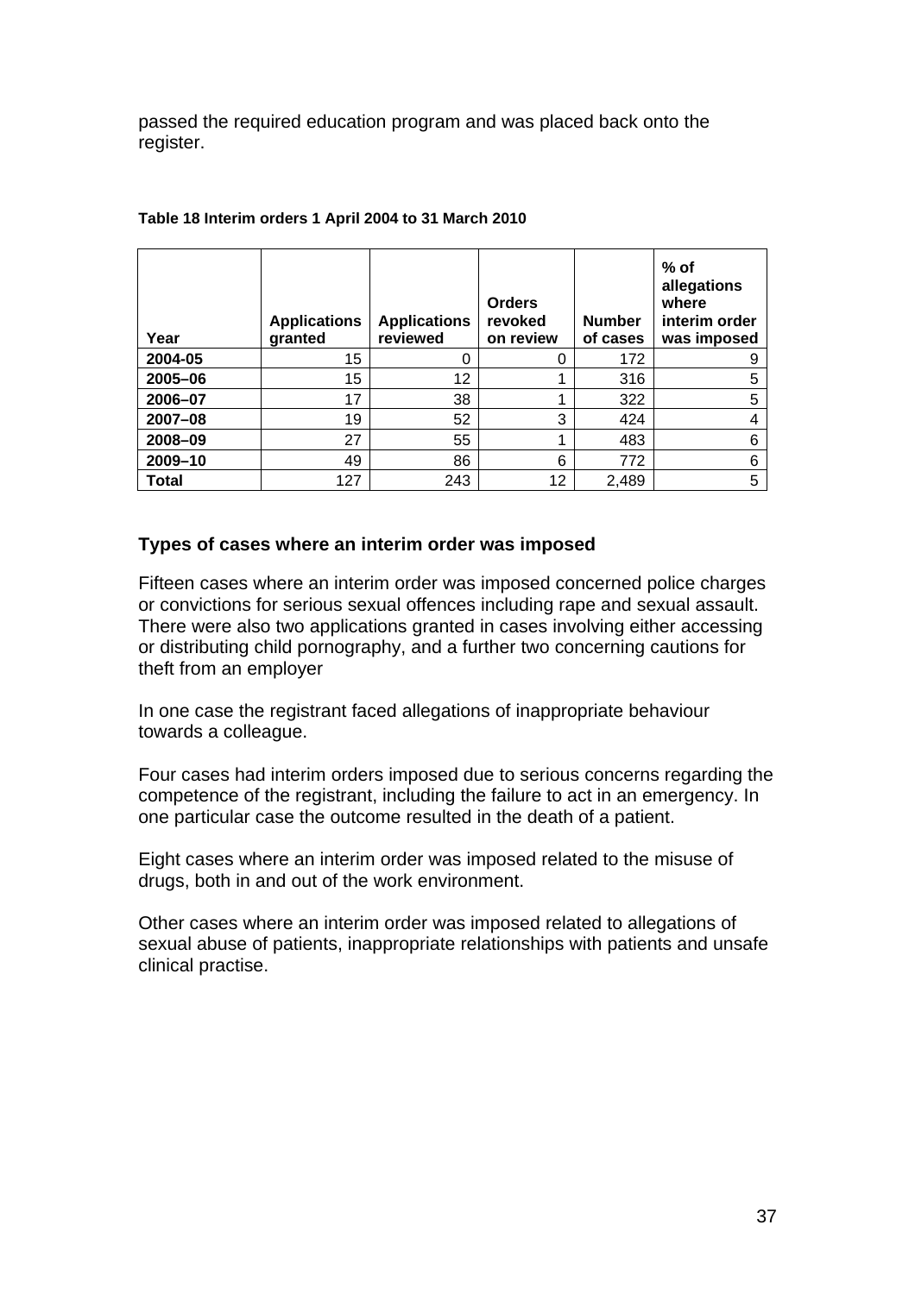passed the required education program and was placed back onto the register.

| Year    | <b>Applications</b><br>granted | <b>Applications</b><br>reviewed | <b>Orders</b><br>revoked<br>on review | <b>Number</b><br>of cases | $%$ of<br>allegations<br>where<br>interim order<br>was imposed |
|---------|--------------------------------|---------------------------------|---------------------------------------|---------------------------|----------------------------------------------------------------|
| 2004-05 | 15                             | 0                               | 0                                     | 172                       | 9                                                              |
| 2005-06 | 15                             | 12                              |                                       | 316                       | 5                                                              |
| 2006-07 | 17                             | 38                              |                                       | 322                       | 5                                                              |
| 2007-08 | 19                             | 52                              | 3                                     | 424                       | 4                                                              |
| 2008-09 | 27                             | 55                              |                                       | 483                       | 6                                                              |
| 2009-10 | 49                             | 86                              | 6                                     | 772                       | 6                                                              |
| Total   | 127                            | 243                             | 12                                    | 2,489                     | 5                                                              |

#### **Table 18 Interim orders 1 April 2004 to 31 March 2010**

#### **Types of cases where an interim order was imposed**

Fifteen cases where an interim order was imposed concerned police charges or convictions for serious sexual offences including rape and sexual assault. There were also two applications granted in cases involving either accessing or distributing child pornography, and a further two concerning cautions for theft from an employer

In one case the registrant faced allegations of inappropriate behaviour towards a colleague.

Four cases had interim orders imposed due to serious concerns regarding the competence of the registrant, including the failure to act in an emergency. In one particular case the outcome resulted in the death of a patient.

Eight cases where an interim order was imposed related to the misuse of drugs, both in and out of the work environment.

Other cases where an interim order was imposed related to allegations of sexual abuse of patients, inappropriate relationships with patients and unsafe clinical practise.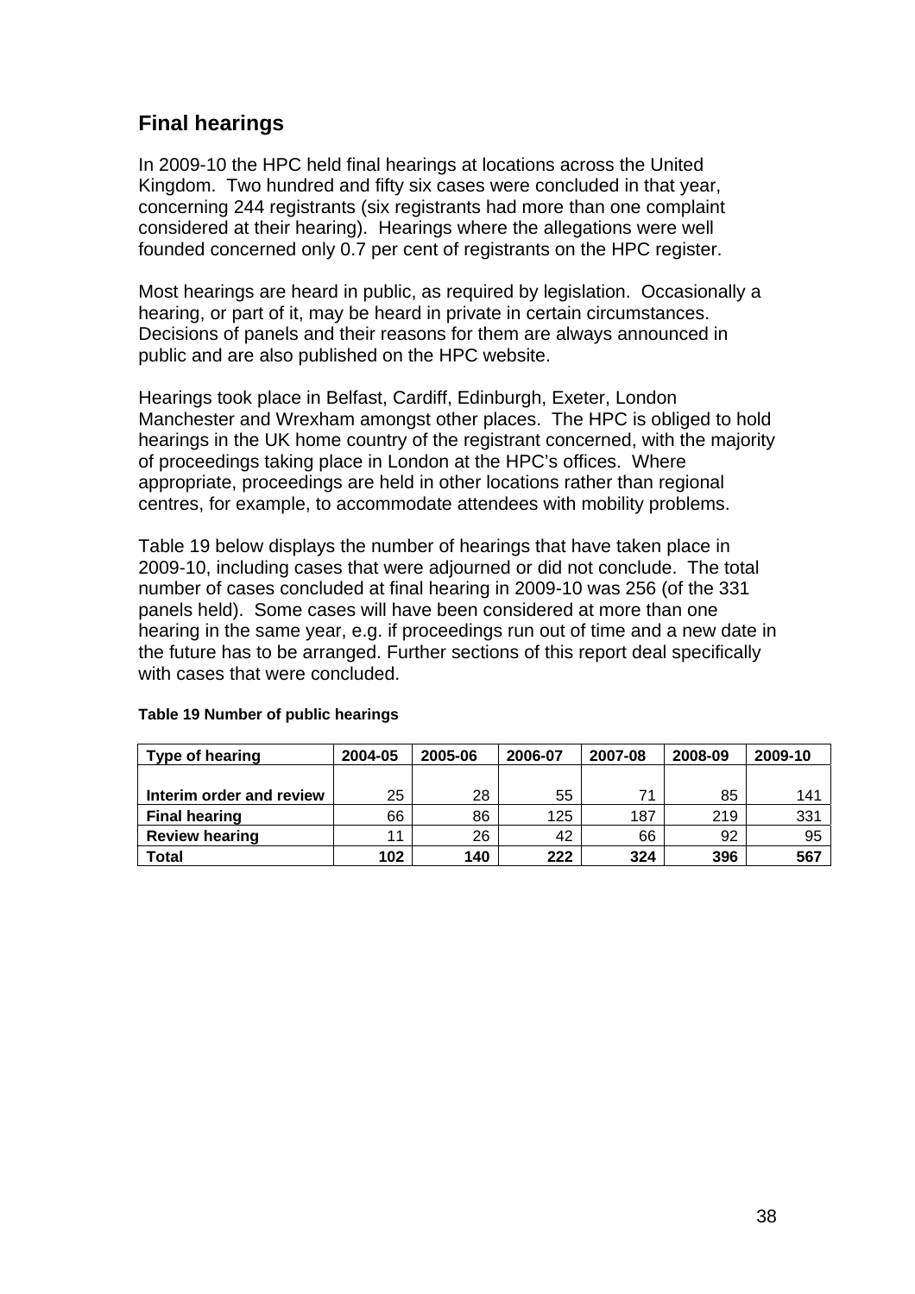## **Final hearings**

In 2009-10 the HPC held final hearings at locations across the United Kingdom. Two hundred and fifty six cases were concluded in that year, concerning 244 registrants (six registrants had more than one complaint considered at their hearing). Hearings where the allegations were well founded concerned only 0.7 per cent of registrants on the HPC register.

Most hearings are heard in public, as required by legislation. Occasionally a hearing, or part of it, may be heard in private in certain circumstances. Decisions of panels and their reasons for them are always announced in public and are also published on the HPC website.

Hearings took place in Belfast, Cardiff, Edinburgh, Exeter, London Manchester and Wrexham amongst other places. The HPC is obliged to hold hearings in the UK home country of the registrant concerned, with the majority of proceedings taking place in London at the HPC's offices. Where appropriate, proceedings are held in other locations rather than regional centres, for example, to accommodate attendees with mobility problems.

Table 19 below displays the number of hearings that have taken place in 2009-10, including cases that were adjourned or did not conclude. The total number of cases concluded at final hearing in 2009-10 was 256 (of the 331 panels held). Some cases will have been considered at more than one hearing in the same year, e.g. if proceedings run out of time and a new date in the future has to be arranged. Further sections of this report deal specifically with cases that were concluded.

| Type of hearing          | 2004-05 | 2005-06 | 2006-07 | 2007-08 | 2008-09 | 2009-10 |
|--------------------------|---------|---------|---------|---------|---------|---------|
|                          |         |         |         |         |         |         |
| Interim order and review | 25      | 28      | 55      | 71      | 85      | 141     |
| <b>Final hearing</b>     | 66      | 86      | 125     | 187     | 219     | 331     |
| <b>Review hearing</b>    | 11      | 26      | 42      | 66      | 92      | 95      |
| Total                    | 102     | 140     | 222     | 324     | 396     | 567     |

#### **Table 19 Number of public hearings**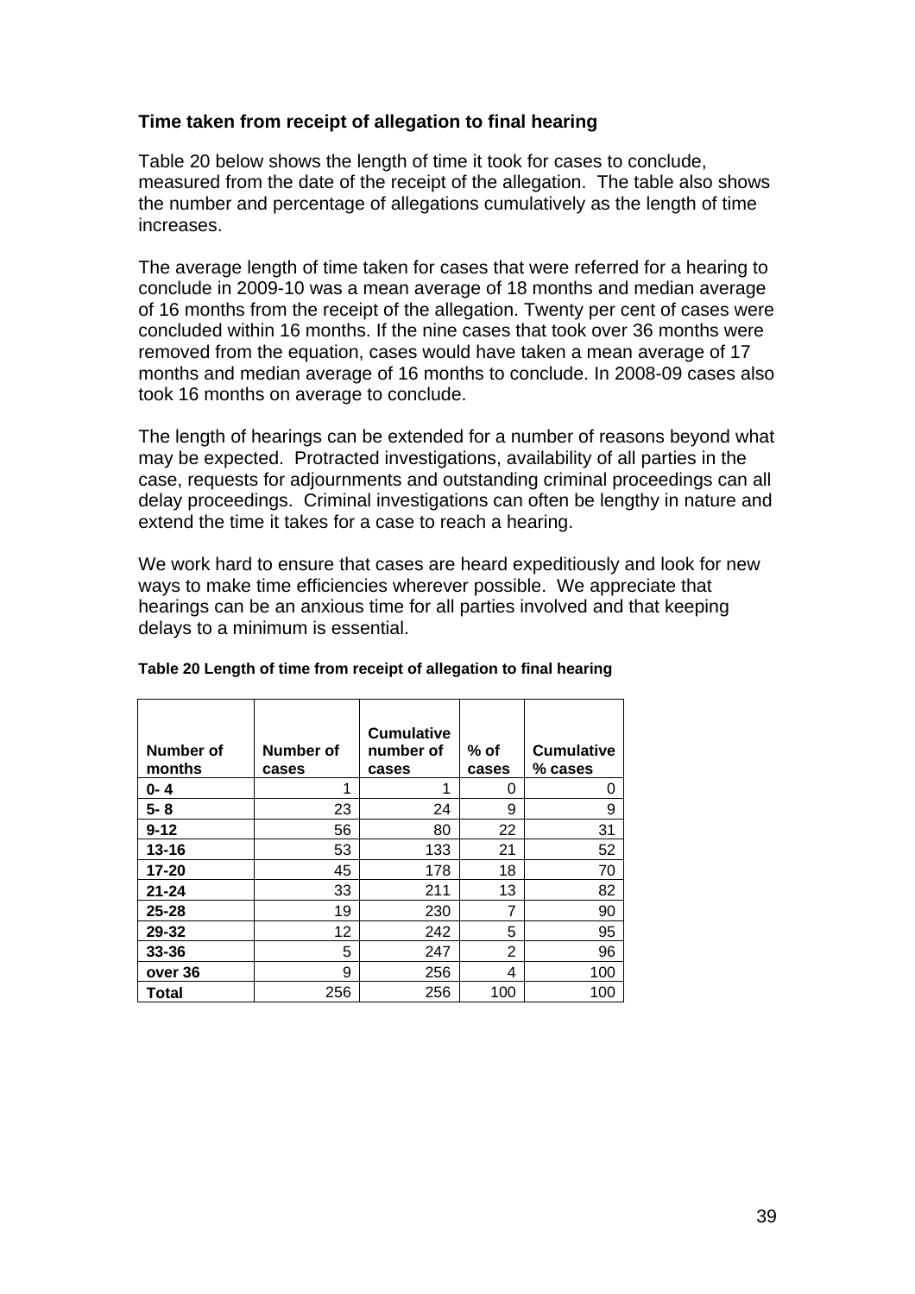## **Time taken from receipt of allegation to final hearing**

Table 20 below shows the length of time it took for cases to conclude, measured from the date of the receipt of the allegation. The table also shows the number and percentage of allegations cumulatively as the length of time increases.

The average length of time taken for cases that were referred for a hearing to conclude in 2009-10 was a mean average of 18 months and median average of 16 months from the receipt of the allegation. Twenty per cent of cases were concluded within 16 months. If the nine cases that took over 36 months were removed from the equation, cases would have taken a mean average of 17 months and median average of 16 months to conclude. In 2008-09 cases also took 16 months on average to conclude.

The length of hearings can be extended for a number of reasons beyond what may be expected. Protracted investigations, availability of all parties in the case, requests for adjournments and outstanding criminal proceedings can all delay proceedings. Criminal investigations can often be lengthy in nature and extend the time it takes for a case to reach a hearing.

We work hard to ensure that cases are heard expeditiously and look for new ways to make time efficiencies wherever possible. We appreciate that hearings can be an anxious time for all parties involved and that keeping delays to a minimum is essential.

| Number of<br>months | Number of<br>cases | <b>Cumulative</b><br>number of<br>cases | % of<br>cases  | <b>Cumulative</b><br>$%$ cases |
|---------------------|--------------------|-----------------------------------------|----------------|--------------------------------|
| 0- 4                | 1                  | 1                                       | 0              | 0                              |
| $5 - 8$             | 23                 | 24                                      | 9              | 9                              |
| $9 - 12$            | 56                 | 80                                      | 22             | 31                             |
| $13 - 16$           | 53                 | 133                                     | 21             | 52                             |
| $17 - 20$           | 45                 | 178                                     | 18             | 70                             |
| $21 - 24$           | 33                 | 211                                     | 13             | 82                             |
| $25 - 28$           | 19                 | 230                                     | 7              | 90                             |
| 29-32               | 12                 | 242                                     | 5              | 95                             |
| $33 - 36$           | 5                  | 247                                     | $\overline{2}$ | 96                             |
| over 36             | 9                  | 256                                     | 4              | 100                            |
| <b>Total</b>        | 256                | 256                                     | 100            | 100                            |

#### **Table 20 Length of time from receipt of allegation to final hearing**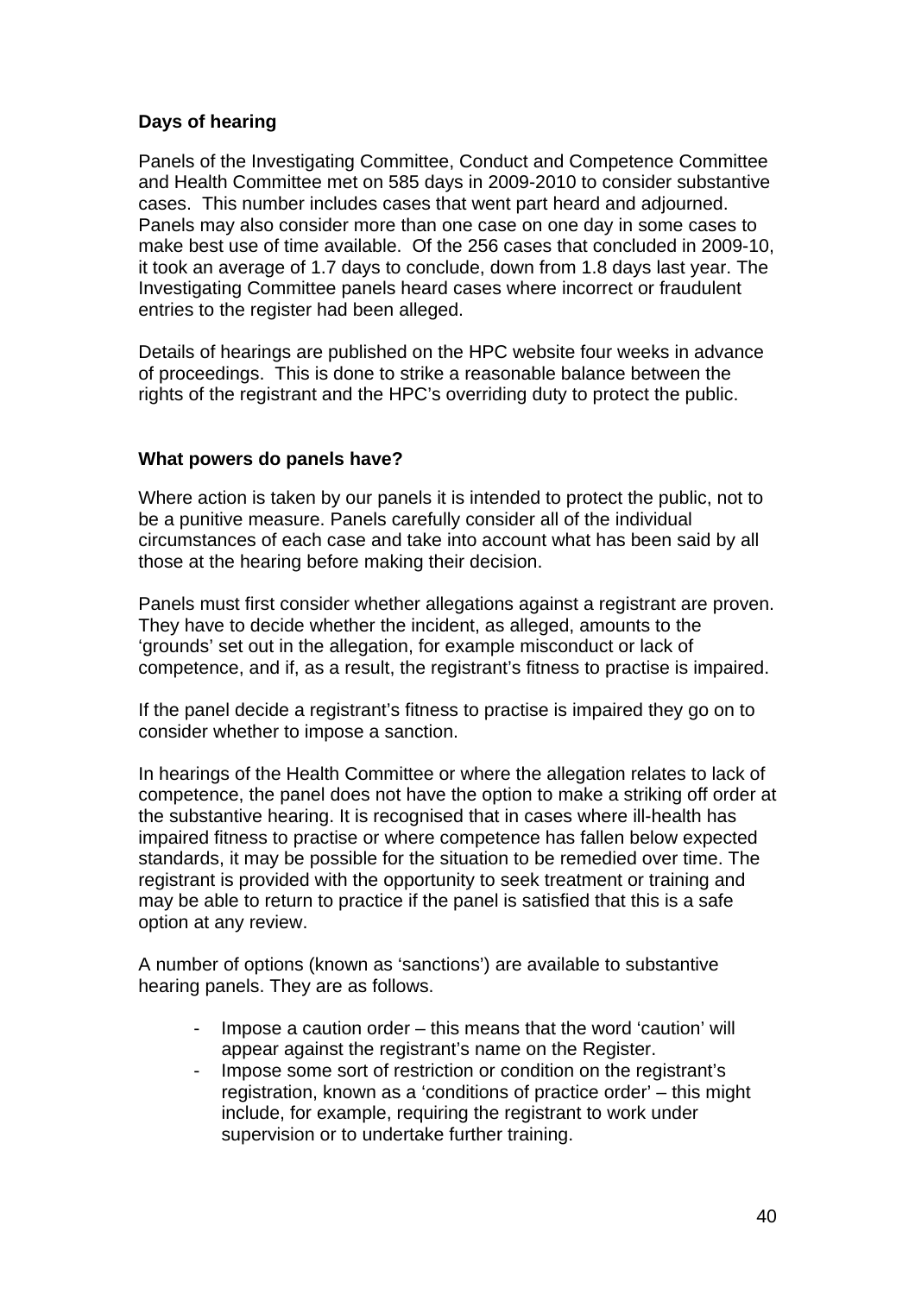## **Days of hearing**

Panels of the Investigating Committee, Conduct and Competence Committee and Health Committee met on 585 days in 2009-2010 to consider substantive cases. This number includes cases that went part heard and adjourned. Panels may also consider more than one case on one day in some cases to make best use of time available. Of the 256 cases that concluded in 2009-10, it took an average of 1.7 days to conclude, down from 1.8 days last year. The Investigating Committee panels heard cases where incorrect or fraudulent entries to the register had been alleged.

Details of hearings are published on the HPC website four weeks in advance of proceedings. This is done to strike a reasonable balance between the rights of the registrant and the HPC's overriding duty to protect the public.

## **What powers do panels have?**

Where action is taken by our panels it is intended to protect the public, not to be a punitive measure. Panels carefully consider all of the individual circumstances of each case and take into account what has been said by all those at the hearing before making their decision.

Panels must first consider whether allegations against a registrant are proven. They have to decide whether the incident, as alleged, amounts to the 'grounds' set out in the allegation, for example misconduct or lack of competence, and if, as a result, the registrant's fitness to practise is impaired.

If the panel decide a registrant's fitness to practise is impaired they go on to consider whether to impose a sanction.

In hearings of the Health Committee or where the allegation relates to lack of competence, the panel does not have the option to make a striking off order at the substantive hearing. It is recognised that in cases where ill-health has impaired fitness to practise or where competence has fallen below expected standards, it may be possible for the situation to be remedied over time. The registrant is provided with the opportunity to seek treatment or training and may be able to return to practice if the panel is satisfied that this is a safe option at any review.

A number of options (known as 'sanctions') are available to substantive hearing panels. They are as follows.

- Impose a caution order this means that the word 'caution' will appear against the registrant's name on the Register.
- Impose some sort of restriction or condition on the registrant's registration, known as a 'conditions of practice order' – this might include, for example, requiring the registrant to work under supervision or to undertake further training.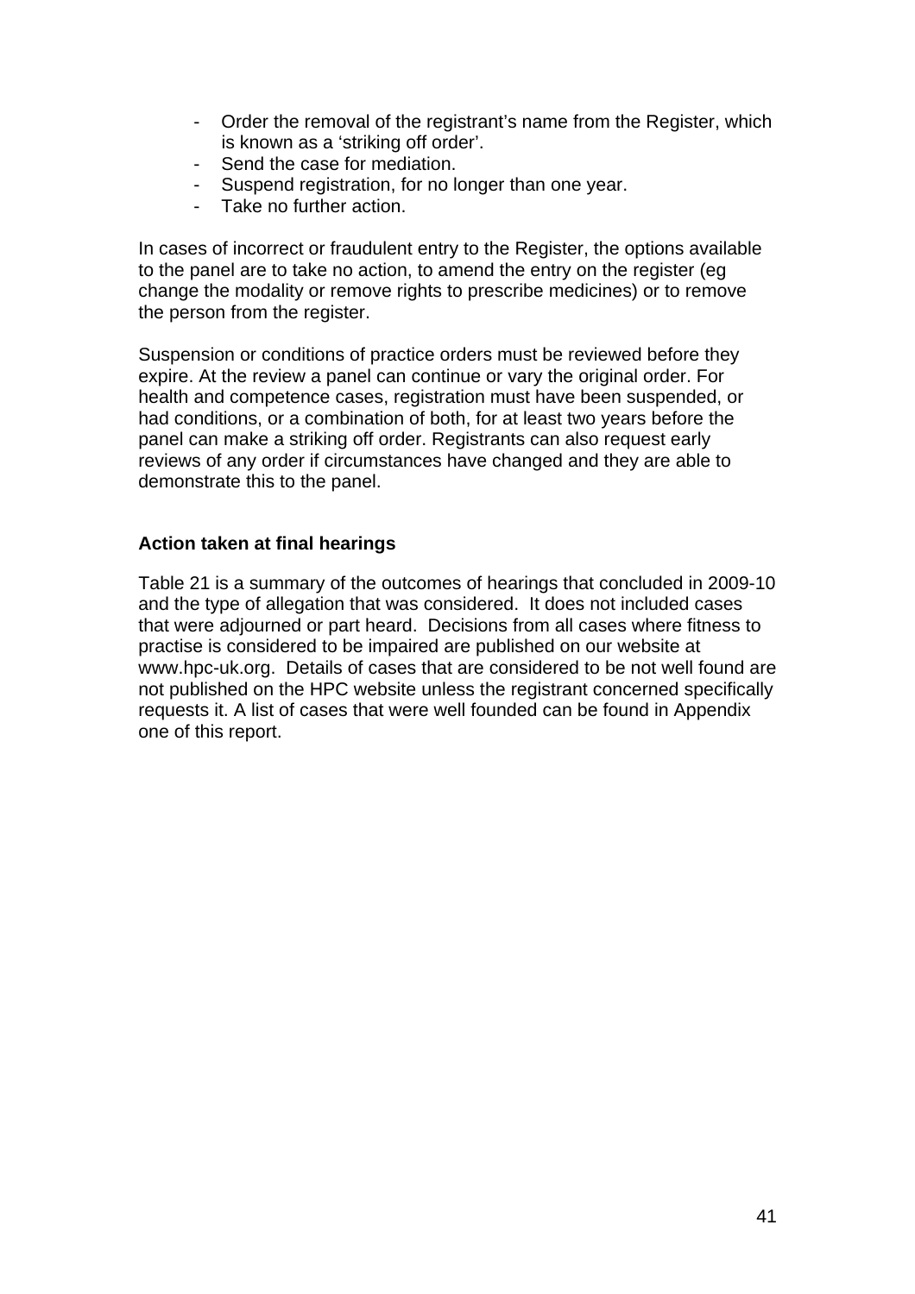- Order the removal of the registrant's name from the Register, which is known as a 'striking off order'.
- Send the case for mediation.
- Suspend registration, for no longer than one year.
- Take no further action.

In cases of incorrect or fraudulent entry to the Register, the options available to the panel are to take no action, to amend the entry on the register (eg change the modality or remove rights to prescribe medicines) or to remove the person from the register.

Suspension or conditions of practice orders must be reviewed before they expire. At the review a panel can continue or vary the original order. For health and competence cases, registration must have been suspended, or had conditions, or a combination of both, for at least two years before the panel can make a striking off order. Registrants can also request early reviews of any order if circumstances have changed and they are able to demonstrate this to the panel.

#### **Action taken at final hearings**

Table 21 is a summary of the outcomes of hearings that concluded in 2009-10 and the type of allegation that was considered. It does not included cases that were adjourned or part heard. Decisions from all cases where fitness to practise is considered to be impaired are published on our website at www.hpc-uk.org. Details of cases that are considered to be not well found are not published on the HPC website unless the registrant concerned specifically requests it. A list of cases that were well founded can be found in Appendix one of this report.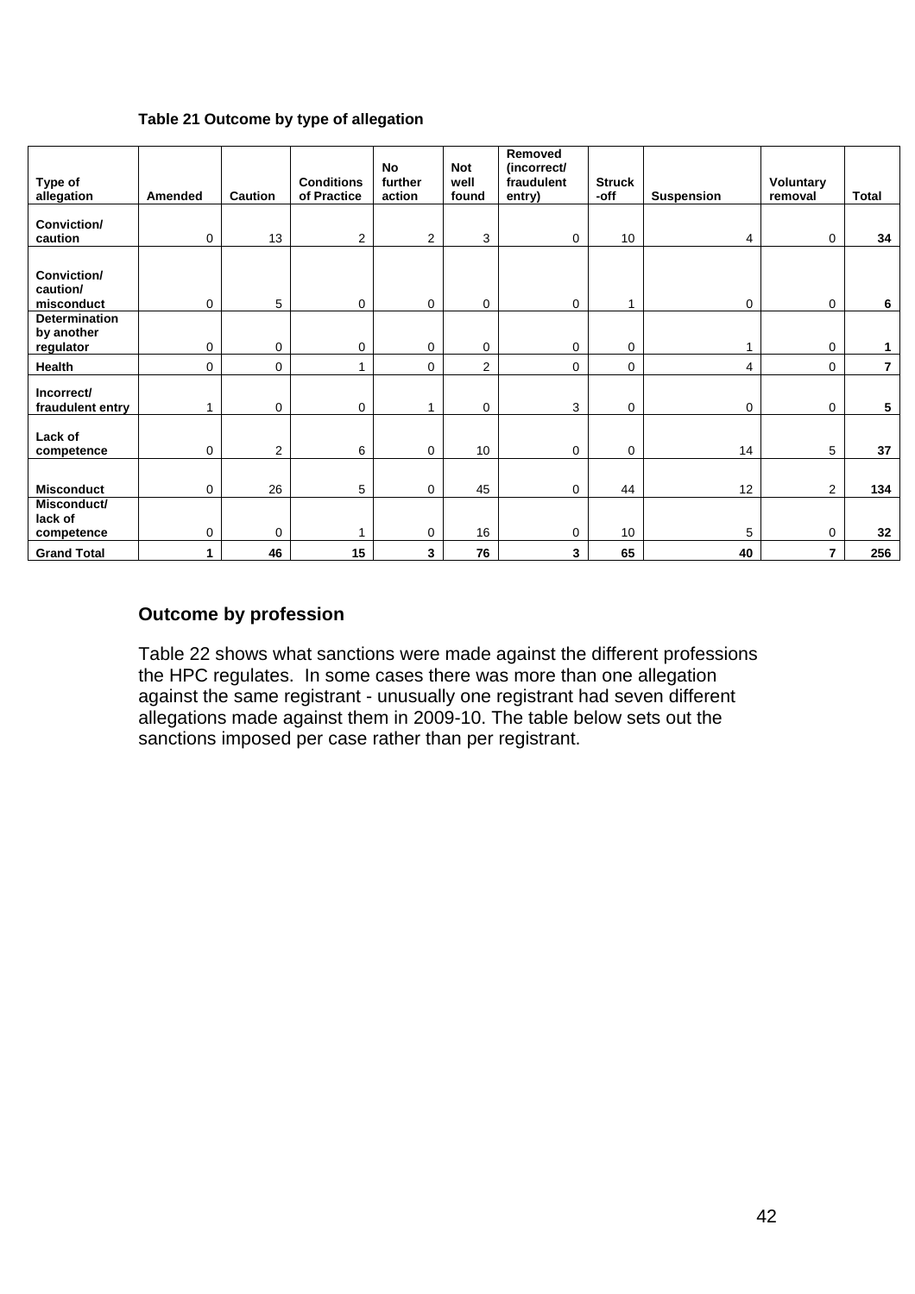#### **Table 21 Outcome by type of allegation**

| Type of<br>allegation                           | Amended     | <b>Caution</b> | <b>Conditions</b><br>of Practice | <b>No</b><br>further<br>action | <b>Not</b><br>well<br>found | Removed<br>(incorrect/<br>fraudulent<br>entry) | <b>Struck</b><br>-off | <b>Suspension</b> | Voluntary<br>removal | <b>Total</b>   |
|-------------------------------------------------|-------------|----------------|----------------------------------|--------------------------------|-----------------------------|------------------------------------------------|-----------------------|-------------------|----------------------|----------------|
| Conviction/<br>caution                          | 0           | 13             | $\overline{2}$                   | 2                              | 3                           | $\mathbf{0}$                                   | 10                    | 4                 | 0                    | 34             |
| Conviction/<br>caution/<br>misconduct           | $\mathbf 0$ | 5              | 0                                | 0                              | $\mathbf 0$                 | $\mathbf{0}$                                   | 1                     | $\mathbf 0$       | $\mathbf 0$          | 6              |
| <b>Determination</b><br>by another<br>regulator | $\mathbf 0$ | 0              | 0                                | 0                              | 0                           | $\overline{0}$                                 | $\mathbf 0$           | 1                 | 0                    | 1              |
| Health                                          | 0           | 0              | 1                                | 0                              | $\overline{2}$              | $\mathbf{0}$                                   | 0                     | 4                 | 0                    | $\overline{7}$ |
| Incorrect/<br>fraudulent entry                  |             | 0              | $\mathbf 0$                      | 1                              | $\mathbf 0$                 | 3                                              | $\mathbf 0$           | $\mathbf 0$       | $\mathbf 0$          | 5              |
| Lack of<br>competence                           | $\mathbf 0$ | $\overline{2}$ | 6                                | 0                              | 10                          | $\overline{0}$                                 | $\mathbf 0$           | 14                | 5                    | 37             |
| <b>Misconduct</b>                               | 0           | 26             | 5                                | 0                              | 45                          | $\mathbf{0}$                                   | 44                    | 12                | $\overline{2}$       | 134            |
| Misconduct/<br>lack of<br>competence            | 0           | $\Omega$       |                                  | 0                              | 16                          | $\overline{0}$                                 | 10                    | 5                 | $\Omega$             | 32             |
| <b>Grand Total</b>                              | 1           | 46             | 15                               | 3                              | 76                          | 3                                              | 65                    | 40                | 7                    | 256            |

## **Outcome by profession**

Table 22 shows what sanctions were made against the different professions the HPC regulates. In some cases there was more than one allegation against the same registrant - unusually one registrant had seven different allegations made against them in 2009-10. The table below sets out the sanctions imposed per case rather than per registrant.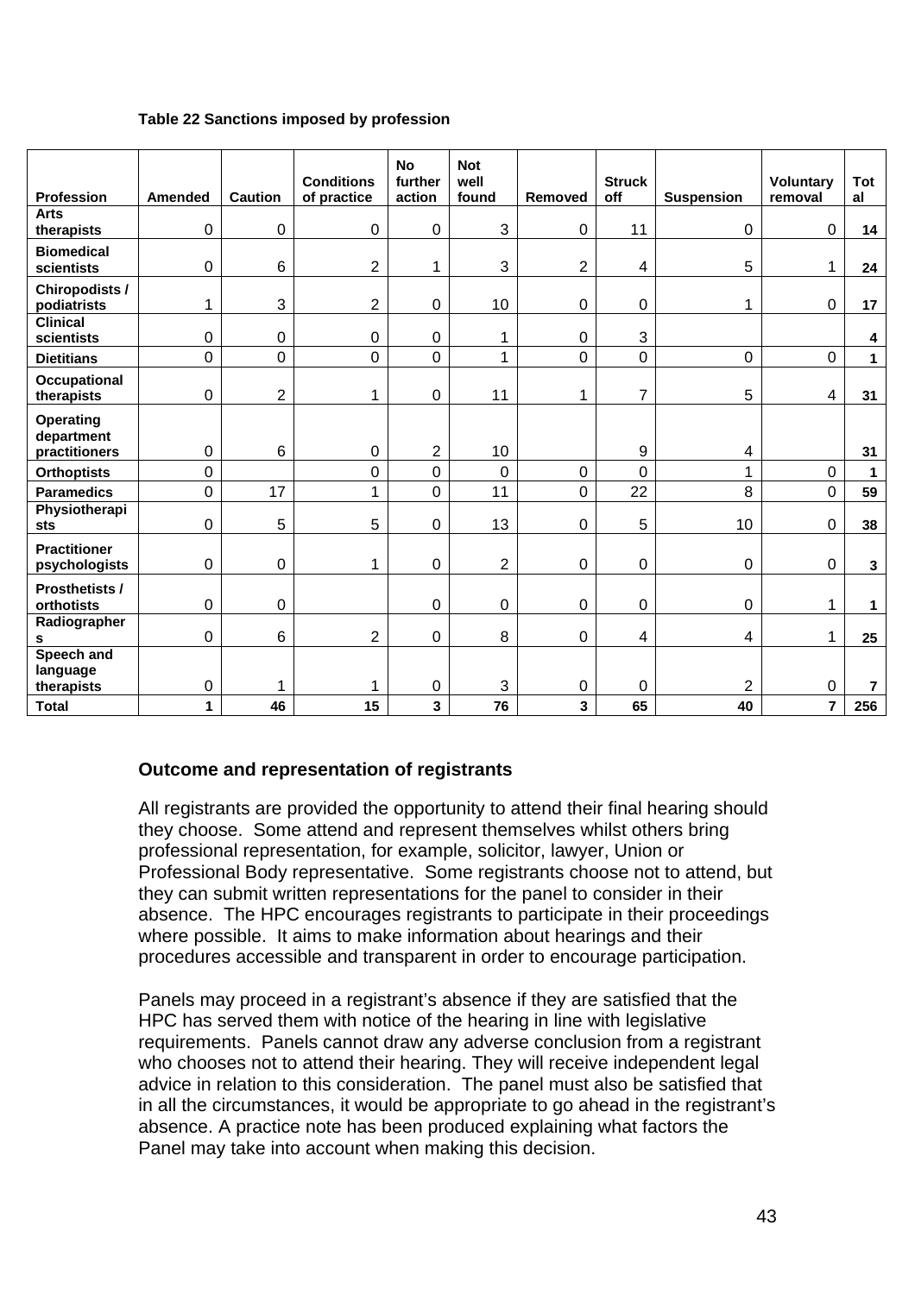#### **Table 22 Sanctions imposed by profession**

| <b>Profession</b>                        | Amended        | <b>Caution</b> | <b>Conditions</b><br>of practice | <b>No</b><br>further<br>action | <b>Not</b><br>well<br>found | Removed        | <b>Struck</b><br>off | <b>Suspension</b> | <b>Voluntary</b><br>removal | Tot<br>al      |
|------------------------------------------|----------------|----------------|----------------------------------|--------------------------------|-----------------------------|----------------|----------------------|-------------------|-----------------------------|----------------|
| <b>Arts</b>                              |                |                |                                  |                                |                             |                |                      |                   |                             |                |
| therapists                               | $\mathbf 0$    | 0              | $\mathbf 0$                      | 0                              | 3                           | $\mathbf 0$    | 11                   | 0                 | $\mathbf 0$                 | 14             |
| <b>Biomedical</b><br>scientists          | $\mathbf 0$    | 6              | $\overline{2}$                   | 1                              | 3                           | $\overline{2}$ | 4                    | 5                 | $\mathbf{1}$                | 24             |
| Chiropodists /<br>podiatrists            | 1              | 3              | $\overline{2}$                   | 0                              | 10                          | $\pmb{0}$      | 0                    | 1                 | $\mathbf 0$                 | 17             |
| <b>Clinical</b><br>scientists            | $\mathbf 0$    | 0              | $\pmb{0}$                        | 0                              | 1                           | $\pmb{0}$      | 3                    |                   |                             | 4              |
| <b>Dietitians</b>                        | 0              | 0              | $\mathbf{0}$                     | 0                              | 1                           | 0              | 0                    | 0                 | $\overline{0}$              | $\mathbf 1$    |
| <b>Occupational</b><br>therapists        | $\mathbf 0$    | $\overline{2}$ | 1                                | 0                              | 11                          | 1              | $\overline{7}$       | 5                 | 4                           | 31             |
| Operating<br>department<br>practitioners | $\mathbf 0$    | 6              | $\boldsymbol{0}$                 | $\overline{2}$                 | 10                          |                | 9                    | 4                 |                             | 31             |
| <b>Orthoptists</b>                       | 0              |                | $\mathbf 0$                      | 0                              | $\Omega$                    | $\mathbf 0$    | 0                    | 1                 | $\mathbf 0$                 | $\mathbf{1}$   |
| <b>Paramedics</b>                        | $\overline{0}$ | 17             | 1                                | 0                              | 11                          | $\mathbf 0$    | 22                   | 8                 | 0                           | 59             |
| Physiotherapi<br>sts                     | $\mathbf 0$    | 5              | 5                                | 0                              | 13                          | $\mathbf 0$    | 5                    | 10                | $\mathbf 0$                 | 38             |
| <b>Practitioner</b><br>psychologists     | $\mathbf 0$    | 0              | 1                                | 0                              | $\overline{2}$              | $\mathbf 0$    | 0                    | $\mathbf 0$       | 0                           | $\mathbf{3}$   |
| Prosthetists /<br>orthotists             | $\mathbf 0$    | 0              |                                  | 0                              | $\mathbf 0$                 | $\pmb{0}$      | 0                    | $\mathbf 0$       | $\mathbf{1}$                | $\mathbf 1$    |
| Radiographer<br>s                        | $\mathbf 0$    | 6              | $\overline{2}$                   | 0                              | 8                           | $\mathbf 0$    | 4                    | 4                 | $\mathbf{1}$                | 25             |
| Speech and<br>language<br>therapists     | $\mathbf 0$    | 1              | 1                                | 0                              | 3                           | $\pmb{0}$      | 0                    | $\overline{2}$    | 0                           | $\overline{7}$ |
| <b>Total</b>                             | 1              | 46             | 15                               | 3                              | 76                          | 3              | 65                   | 40                | $\overline{\mathbf{r}}$     | 256            |

## **Outcome and representation of registrants**

All registrants are provided the opportunity to attend their final hearing should they choose. Some attend and represent themselves whilst others bring professional representation, for example, solicitor, lawyer, Union or Professional Body representative. Some registrants choose not to attend, but they can submit written representations for the panel to consider in their absence. The HPC encourages registrants to participate in their proceedings where possible. It aims to make information about hearings and their procedures accessible and transparent in order to encourage participation.

Panels may proceed in a registrant's absence if they are satisfied that the HPC has served them with notice of the hearing in line with legislative requirements. Panels cannot draw any adverse conclusion from a registrant who chooses not to attend their hearing. They will receive independent legal advice in relation to this consideration. The panel must also be satisfied that in all the circumstances, it would be appropriate to go ahead in the registrant's absence. A practice note has been produced explaining what factors the Panel may take into account when making this decision.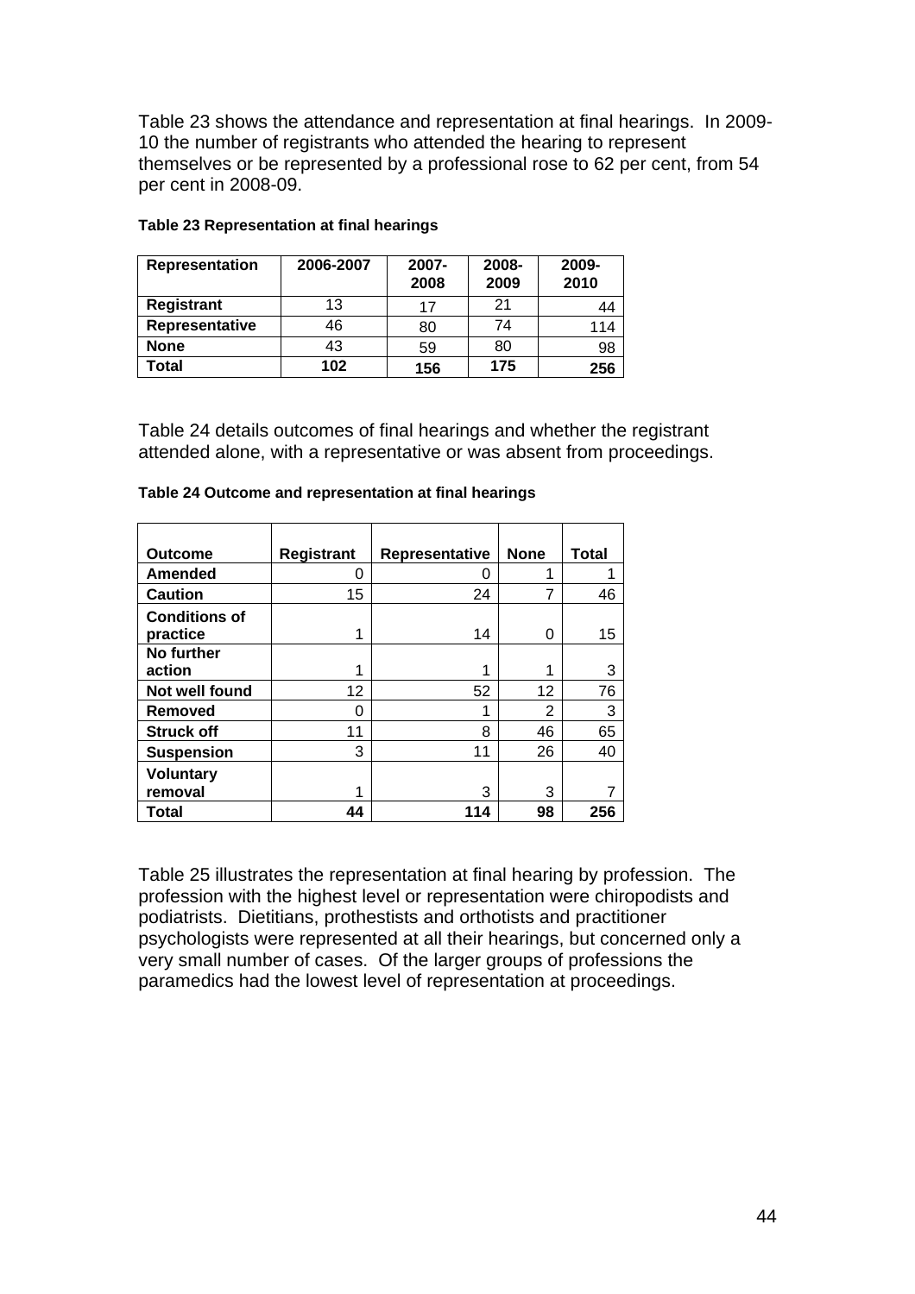Table 23 shows the attendance and representation at final hearings. In 2009- 10 the number of registrants who attended the hearing to represent themselves or be represented by a professional rose to 62 per cent, from 54 per cent in 2008-09.

| Representation | 2006-2007 | 2007-<br>2008 | 2008-<br>2009 | 2009-<br>2010 |
|----------------|-----------|---------------|---------------|---------------|
| Registrant     | 13        | 17            | 21            | 44            |
| Representative | 46        | 80            | 74            | 114           |
| <b>None</b>    | 43        | 59            | 80            | 98            |
| Total          | 102       | 156           | 175           | 256           |

#### **Table 23 Representation at final hearings**

Table 24 details outcomes of final hearings and whether the registrant attended alone, with a representative or was absent from proceedings.

| <b>Outcome</b>       | Registrant | Representative | <b>None</b> | Total |
|----------------------|------------|----------------|-------------|-------|
| <b>Amended</b>       | 0          | O              |             |       |
| <b>Caution</b>       | 15         | 24             | 7           | 46    |
| <b>Conditions of</b> |            |                |             |       |
| practice             | 1          | 14             | ი           | 15    |
| <b>No further</b>    |            |                |             |       |
| action               |            |                |             | 3     |
| Not well found       | 12         | 52             | 12          | 76    |
| <b>Removed</b>       | 0          |                | 2           | 3     |
| <b>Struck off</b>    | 11         | 8              | 46          | 65    |
| <b>Suspension</b>    | 3          | 11             | 26          | 40    |
| <b>Voluntary</b>     |            |                |             |       |
| removal              | 1          | 3              | 3           |       |
| <b>Total</b>         | 44         | 114            | 98          | 256   |

#### **Table 24 Outcome and representation at final hearings**

Table 25 illustrates the representation at final hearing by profession. The profession with the highest level or representation were chiropodists and podiatrists. Dietitians, prothestists and orthotists and practitioner psychologists were represented at all their hearings, but concerned only a very small number of cases. Of the larger groups of professions the paramedics had the lowest level of representation at proceedings.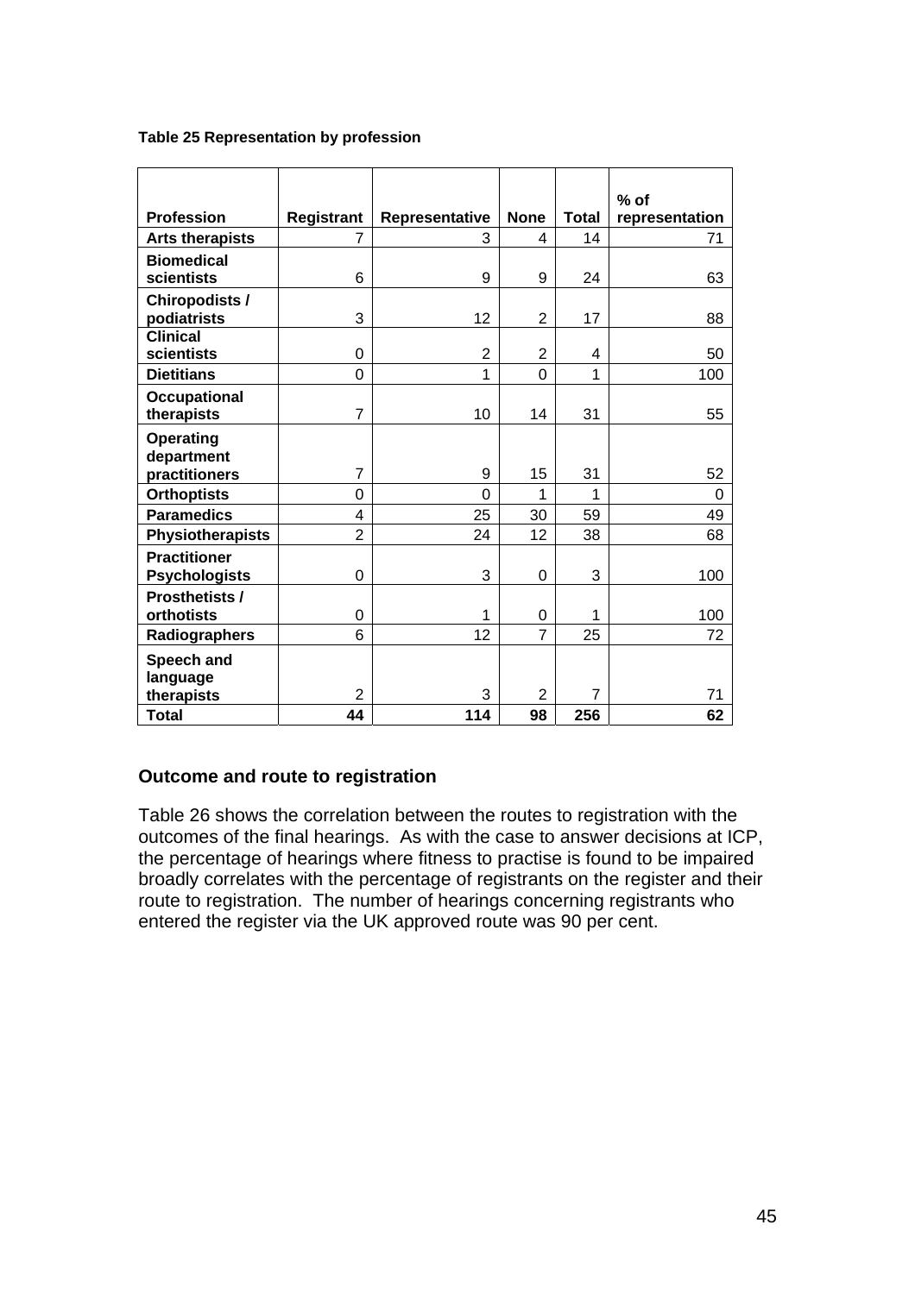| Table 25 Representation by profession |  |
|---------------------------------------|--|
|---------------------------------------|--|

|                         |                   |                |                |                | $%$ of         |
|-------------------------|-------------------|----------------|----------------|----------------|----------------|
| <b>Profession</b>       | <b>Registrant</b> | Representative | <b>None</b>    | <b>Total</b>   | representation |
| <b>Arts therapists</b>  | 7                 | 3              | 4              | 14             | 71             |
| <b>Biomedical</b>       |                   |                |                |                |                |
| scientists              | 6                 | 9              | 9              | 24             | 63             |
| <b>Chiropodists /</b>   |                   |                |                |                |                |
| podiatrists             | 3                 | 12             | $\overline{2}$ | 17             | 88             |
| <b>Clinical</b>         |                   |                |                |                |                |
| scientists              | 0                 | 2              | $\overline{2}$ | 4              | 50             |
| <b>Dietitians</b>       | 0                 | 1              | $\mathbf 0$    | 1              | 100            |
| <b>Occupational</b>     |                   |                |                |                |                |
| therapists              | $\overline{7}$    | 10             | 14             | 31             | 55             |
| <b>Operating</b>        |                   |                |                |                |                |
| department              |                   |                |                |                |                |
| practitioners           | 7                 | 9              | 15             | 31             | 52             |
| <b>Orthoptists</b>      | 0                 | $\Omega$       | 1              | 1              | $\Omega$       |
| <b>Paramedics</b>       | 4                 | 25             | 30             | 59             | 49             |
| <b>Physiotherapists</b> | $\overline{2}$    | 24             | 12             | 38             | 68             |
| <b>Practitioner</b>     |                   |                |                |                |                |
| <b>Psychologists</b>    | 0                 | 3              | $\mathbf 0$    | 3              | 100            |
| <b>Prosthetists /</b>   |                   |                |                |                |                |
| orthotists              | 0                 | 1              | 0              | 1              | 100            |
| Radiographers           | 6                 | 12             | $\overline{7}$ | 25             | 72             |
| Speech and              |                   |                |                |                |                |
| language                |                   |                |                |                |                |
| therapists              | $\overline{2}$    | 3              | $\overline{2}$ | $\overline{7}$ | 71             |
| Total                   | 44                | 114            | 98             | 256            | 62             |

## **Outcome and route to registration**

Table 26 shows the correlation between the routes to registration with the outcomes of the final hearings. As with the case to answer decisions at ICP, the percentage of hearings where fitness to practise is found to be impaired broadly correlates with the percentage of registrants on the register and their route to registration. The number of hearings concerning registrants who entered the register via the UK approved route was 90 per cent.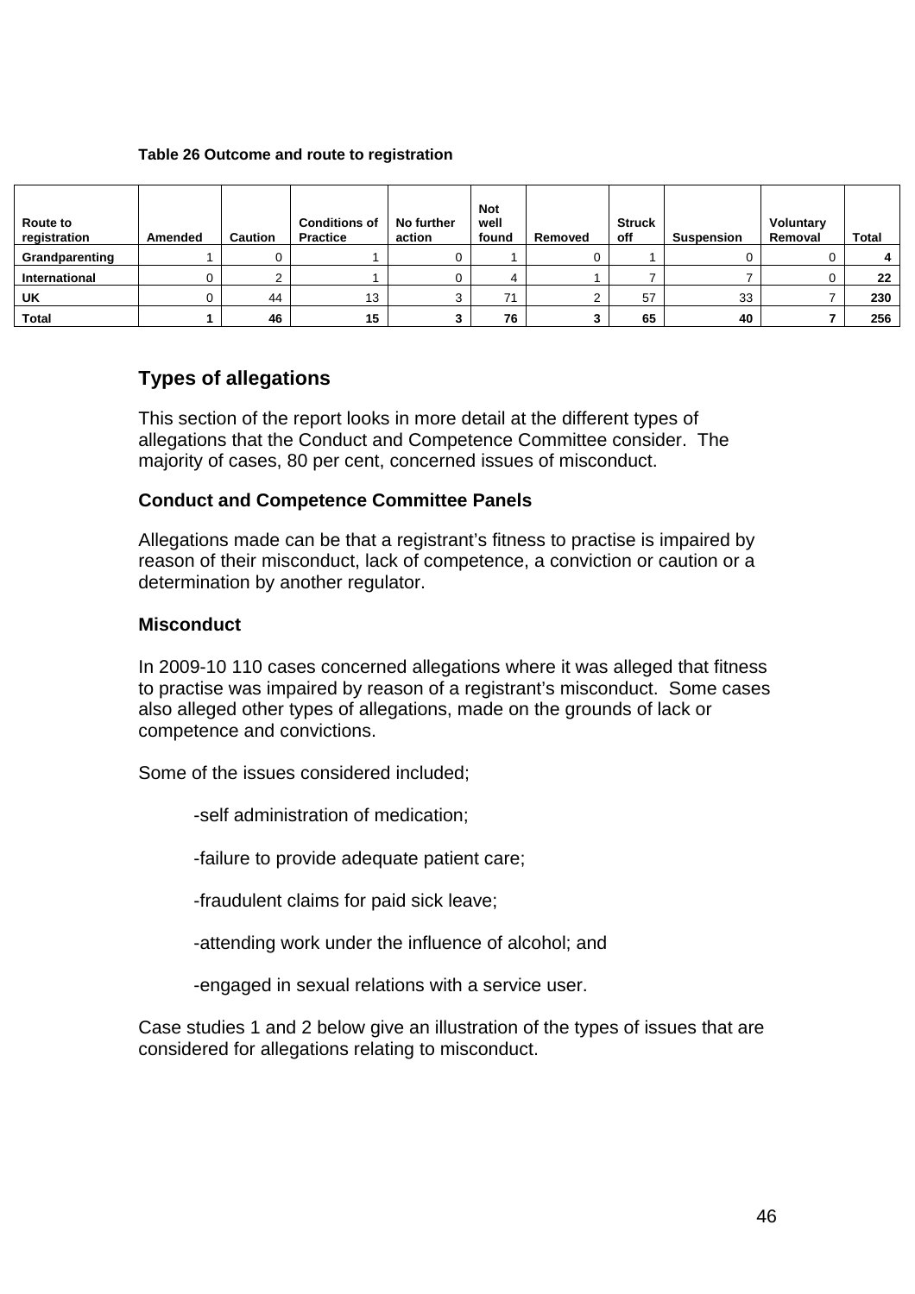#### **Table 26 Outcome and route to registration**

| <b>Route to</b><br>registration | Amended | <b>Caution</b> | <b>Conditions of</b><br><b>Practice</b> | No further<br>action | <b>Not</b><br>well<br>found | Removed | <b>Struck</b><br>off | <b>Suspension</b> | <b>Voluntary</b><br>Removal | <b>Total</b> |
|---------------------------------|---------|----------------|-----------------------------------------|----------------------|-----------------------------|---------|----------------------|-------------------|-----------------------------|--------------|
| Grandparenting                  |         |                |                                         |                      |                             |         |                      |                   |                             |              |
| <b>International</b>            | U       |                |                                         |                      | 4                           |         |                      |                   |                             | 22           |
| UK                              | U       | 44             | 13                                      |                      | 74                          |         | 57                   | 33                |                             | 230          |
| <b>Total</b>                    |         | 46             | 15                                      |                      | 76                          |         | 65                   | 40                |                             | 256          |

## **Types of allegations**

This section of the report looks in more detail at the different types of allegations that the Conduct and Competence Committee consider. The majority of cases, 80 per cent, concerned issues of misconduct.

#### **Conduct and Competence Committee Panels**

Allegations made can be that a registrant's fitness to practise is impaired by reason of their misconduct, lack of competence, a conviction or caution or a determination by another regulator.

#### **Misconduct**

In 2009-10 110 cases concerned allegations where it was alleged that fitness to practise was impaired by reason of a registrant's misconduct. Some cases also alleged other types of allegations, made on the grounds of lack or competence and convictions.

Some of the issues considered included;

-self administration of medication;

-failure to provide adequate patient care;

-fraudulent claims for paid sick leave;

-attending work under the influence of alcohol; and

-engaged in sexual relations with a service user.

Case studies 1 and 2 below give an illustration of the types of issues that are considered for allegations relating to misconduct.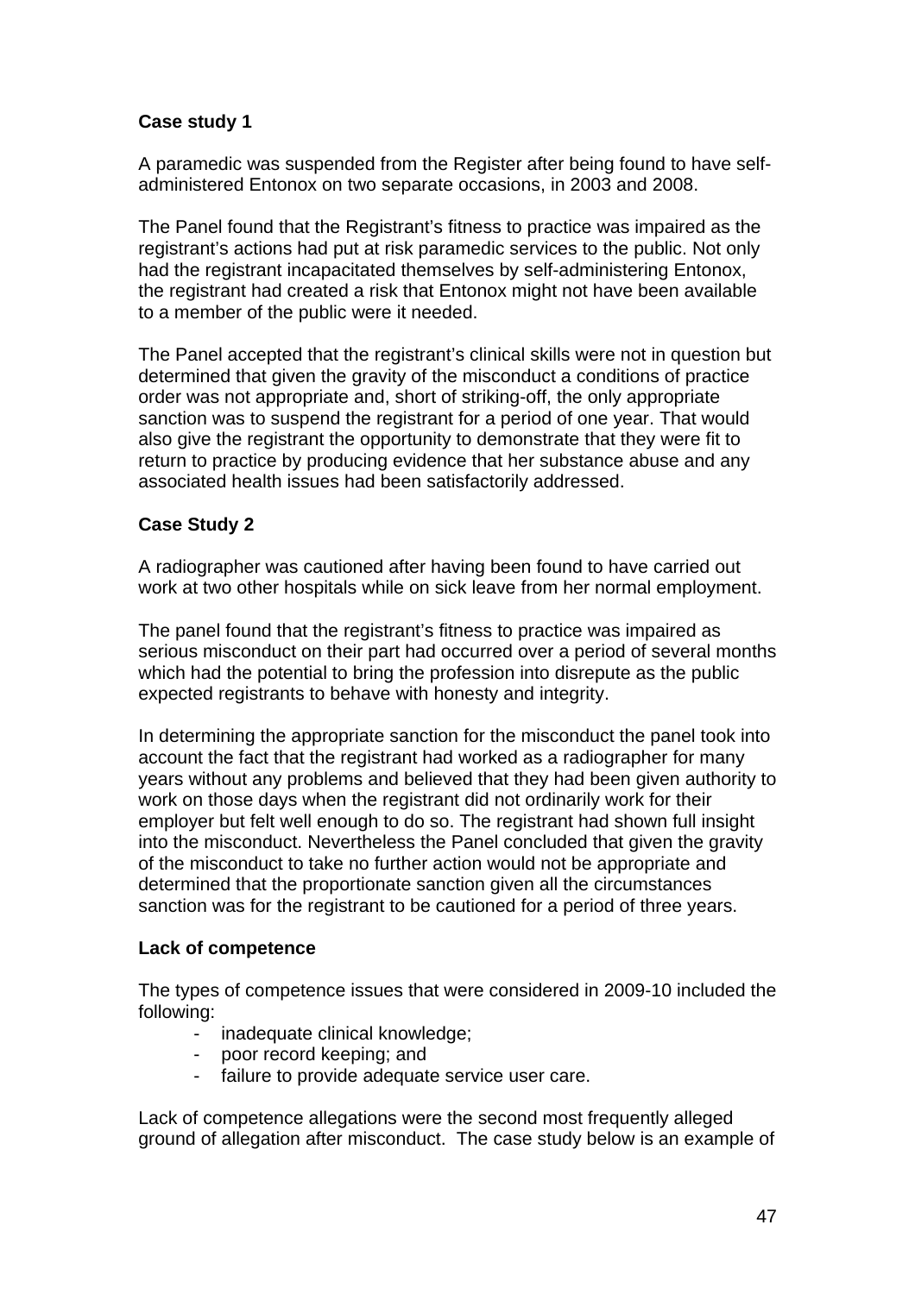## **Case study 1**

A paramedic was suspended from the Register after being found to have selfadministered Entonox on two separate occasions, in 2003 and 2008.

The Panel found that the Registrant's fitness to practice was impaired as the registrant's actions had put at risk paramedic services to the public. Not only had the registrant incapacitated themselves by self-administering Entonox, the registrant had created a risk that Entonox might not have been available to a member of the public were it needed.

The Panel accepted that the registrant's clinical skills were not in question but determined that given the gravity of the misconduct a conditions of practice order was not appropriate and, short of striking-off, the only appropriate sanction was to suspend the registrant for a period of one year. That would also give the registrant the opportunity to demonstrate that they were fit to return to practice by producing evidence that her substance abuse and any associated health issues had been satisfactorily addressed.

## **Case Study 2**

A radiographer was cautioned after having been found to have carried out work at two other hospitals while on sick leave from her normal employment.

The panel found that the registrant's fitness to practice was impaired as serious misconduct on their part had occurred over a period of several months which had the potential to bring the profession into disrepute as the public expected registrants to behave with honesty and integrity.

In determining the appropriate sanction for the misconduct the panel took into account the fact that the registrant had worked as a radiographer for many years without any problems and believed that they had been given authority to work on those days when the registrant did not ordinarily work for their employer but felt well enough to do so. The registrant had shown full insight into the misconduct. Nevertheless the Panel concluded that given the gravity of the misconduct to take no further action would not be appropriate and determined that the proportionate sanction given all the circumstances sanction was for the registrant to be cautioned for a period of three years.

## **Lack of competence**

The types of competence issues that were considered in 2009-10 included the following:

- inadequate clinical knowledge;
- poor record keeping; and
- failure to provide adequate service user care.

Lack of competence allegations were the second most frequently alleged ground of allegation after misconduct. The case study below is an example of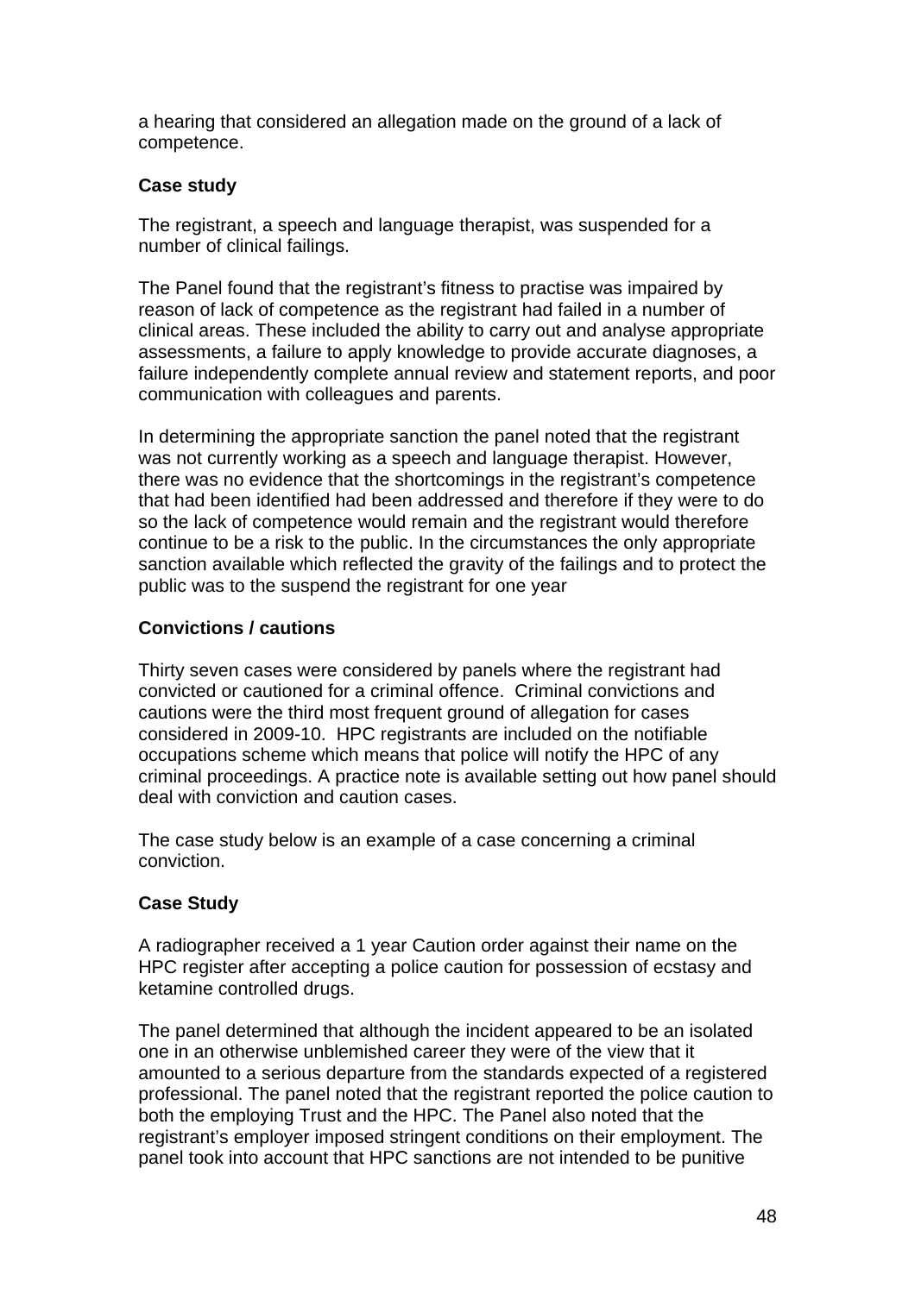a hearing that considered an allegation made on the ground of a lack of competence.

## **Case study**

The registrant, a speech and language therapist, was suspended for a number of clinical failings.

The Panel found that the registrant's fitness to practise was impaired by reason of lack of competence as the registrant had failed in a number of clinical areas. These included the ability to carry out and analyse appropriate assessments, a failure to apply knowledge to provide accurate diagnoses, a failure independently complete annual review and statement reports, and poor communication with colleagues and parents.

In determining the appropriate sanction the panel noted that the registrant was not currently working as a speech and language therapist. However, there was no evidence that the shortcomings in the registrant's competence that had been identified had been addressed and therefore if they were to do so the lack of competence would remain and the registrant would therefore continue to be a risk to the public. In the circumstances the only appropriate sanction available which reflected the gravity of the failings and to protect the public was to the suspend the registrant for one year

## **Convictions / cautions**

Thirty seven cases were considered by panels where the registrant had convicted or cautioned for a criminal offence. Criminal convictions and cautions were the third most frequent ground of allegation for cases considered in 2009-10. HPC registrants are included on the notifiable occupations scheme which means that police will notify the HPC of any criminal proceedings. A practice note is available setting out how panel should deal with conviction and caution cases.

The case study below is an example of a case concerning a criminal conviction.

## **Case Study**

A radiographer received a 1 year Caution order against their name on the HPC register after accepting a police caution for possession of ecstasy and ketamine controlled drugs.

The panel determined that although the incident appeared to be an isolated one in an otherwise unblemished career they were of the view that it amounted to a serious departure from the standards expected of a registered professional. The panel noted that the registrant reported the police caution to both the employing Trust and the HPC. The Panel also noted that the registrant's employer imposed stringent conditions on their employment. The panel took into account that HPC sanctions are not intended to be punitive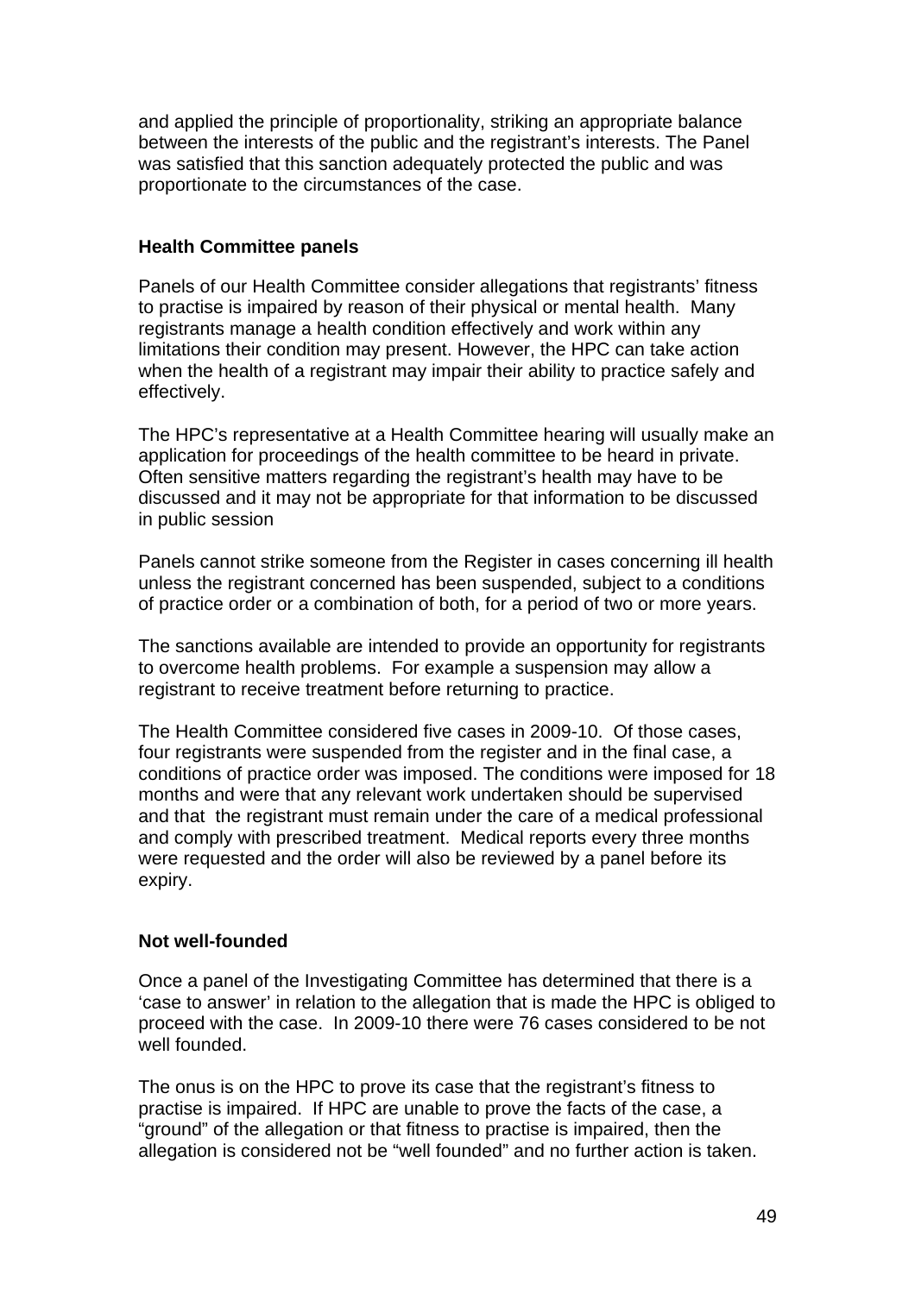and applied the principle of proportionality, striking an appropriate balance between the interests of the public and the registrant's interests. The Panel was satisfied that this sanction adequately protected the public and was proportionate to the circumstances of the case.

## **Health Committee panels**

Panels of our Health Committee consider allegations that registrants' fitness to practise is impaired by reason of their physical or mental health. Many registrants manage a health condition effectively and work within any limitations their condition may present. However, the HPC can take action when the health of a registrant may impair their ability to practice safely and effectively.

The HPC's representative at a Health Committee hearing will usually make an application for proceedings of the health committee to be heard in private. Often sensitive matters regarding the registrant's health may have to be discussed and it may not be appropriate for that information to be discussed in public session

Panels cannot strike someone from the Register in cases concerning ill health unless the registrant concerned has been suspended, subject to a conditions of practice order or a combination of both, for a period of two or more years.

The sanctions available are intended to provide an opportunity for registrants to overcome health problems. For example a suspension may allow a registrant to receive treatment before returning to practice.

The Health Committee considered five cases in 2009-10. Of those cases, four registrants were suspended from the register and in the final case, a conditions of practice order was imposed. The conditions were imposed for 18 months and were that any relevant work undertaken should be supervised and that the registrant must remain under the care of a medical professional and comply with prescribed treatment. Medical reports every three months were requested and the order will also be reviewed by a panel before its expiry.

## **Not well-founded**

Once a panel of the Investigating Committee has determined that there is a 'case to answer' in relation to the allegation that is made the HPC is obliged to proceed with the case. In 2009-10 there were 76 cases considered to be not well founded.

The onus is on the HPC to prove its case that the registrant's fitness to practise is impaired. If HPC are unable to prove the facts of the case, a "ground" of the allegation or that fitness to practise is impaired, then the allegation is considered not be "well founded" and no further action is taken.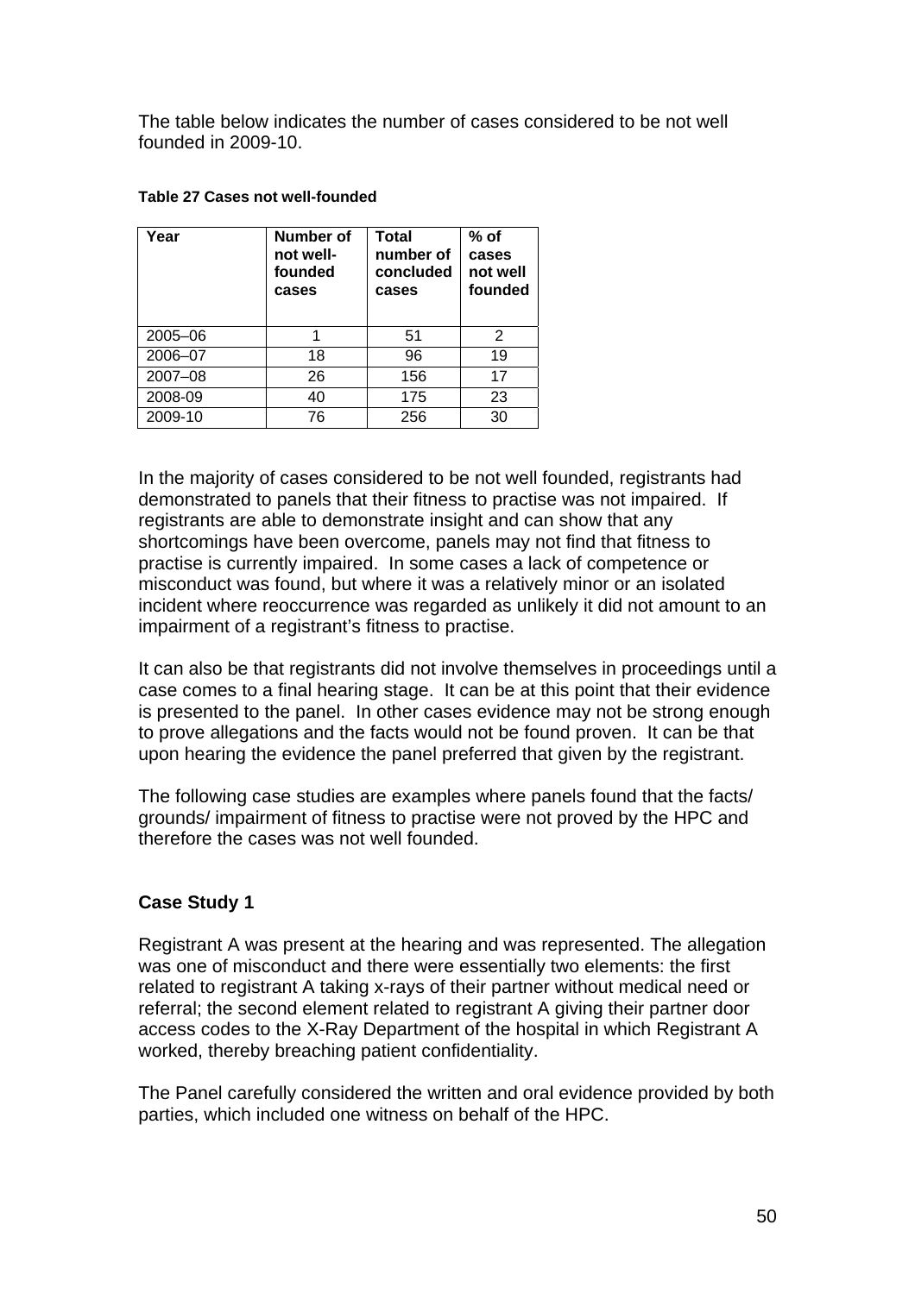The table below indicates the number of cases considered to be not well founded in 2009-10.

| Year        | Number of<br>not well-<br>founded<br>cases | <b>Total</b><br>number of<br>concluded<br>cases | $%$ of<br>cases<br>not well<br>founded |
|-------------|--------------------------------------------|-------------------------------------------------|----------------------------------------|
| $2005 - 06$ |                                            | 51                                              | 2                                      |
| 2006-07     | 18                                         | 96                                              | 19                                     |
| 2007-08     | 26                                         | 156                                             | 17                                     |
| 2008-09     | 40                                         | 175                                             | 23                                     |
| 2009-10     | 76                                         | 256                                             | 30                                     |

#### **Table 27 Cases not well-founded**

In the majority of cases considered to be not well founded, registrants had demonstrated to panels that their fitness to practise was not impaired. If registrants are able to demonstrate insight and can show that any shortcomings have been overcome, panels may not find that fitness to practise is currently impaired. In some cases a lack of competence or misconduct was found, but where it was a relatively minor or an isolated incident where reoccurrence was regarded as unlikely it did not amount to an impairment of a registrant's fitness to practise.

It can also be that registrants did not involve themselves in proceedings until a case comes to a final hearing stage. It can be at this point that their evidence is presented to the panel. In other cases evidence may not be strong enough to prove allegations and the facts would not be found proven. It can be that upon hearing the evidence the panel preferred that given by the registrant.

The following case studies are examples where panels found that the facts/ grounds/ impairment of fitness to practise were not proved by the HPC and therefore the cases was not well founded.

## **Case Study 1**

Registrant A was present at the hearing and was represented. The allegation was one of misconduct and there were essentially two elements: the first related to registrant A taking x-rays of their partner without medical need or referral; the second element related to registrant A giving their partner door access codes to the X-Ray Department of the hospital in which Registrant A worked, thereby breaching patient confidentiality.

The Panel carefully considered the written and oral evidence provided by both parties, which included one witness on behalf of the HPC.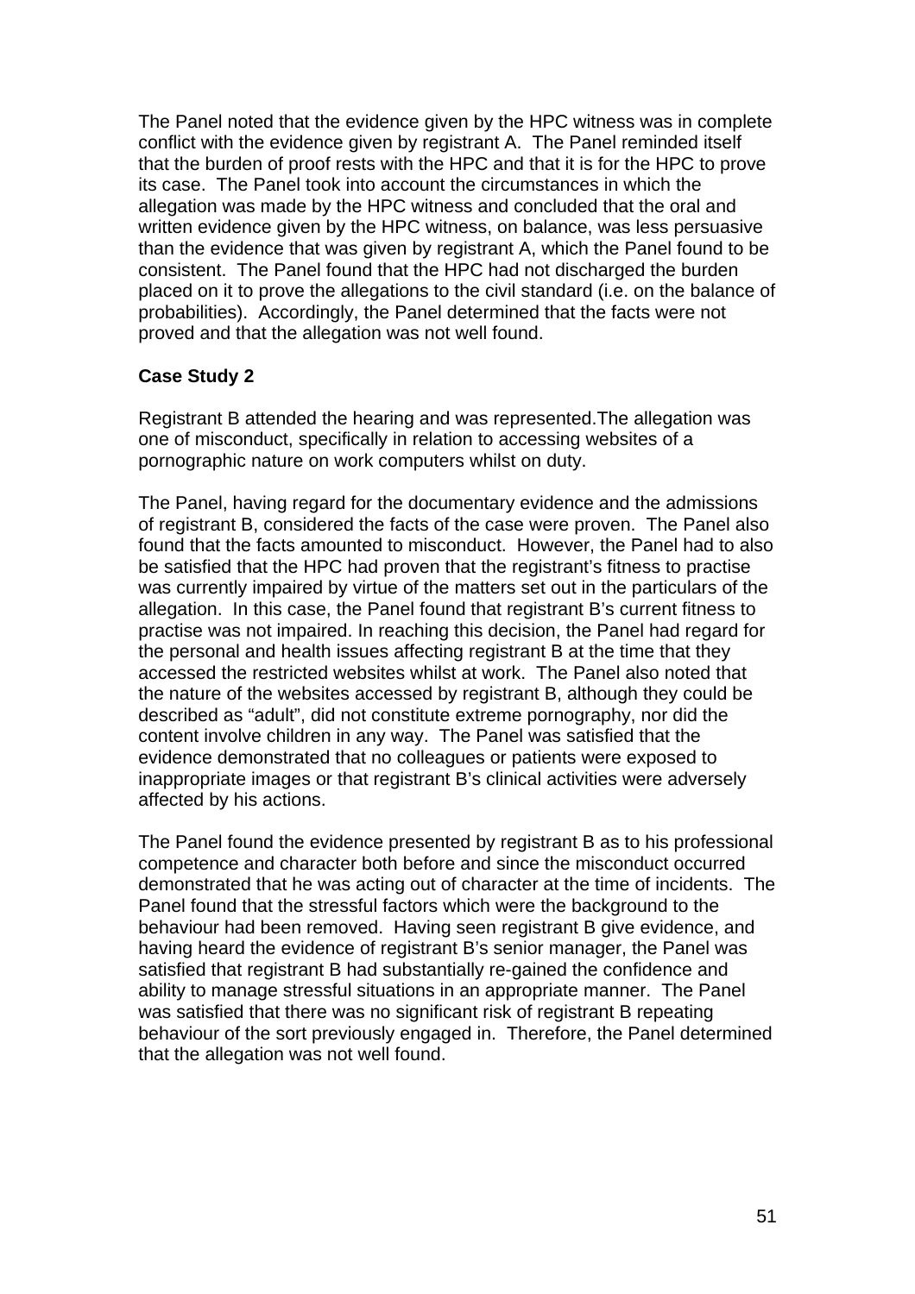The Panel noted that the evidence given by the HPC witness was in complete conflict with the evidence given by registrant A. The Panel reminded itself that the burden of proof rests with the HPC and that it is for the HPC to prove its case. The Panel took into account the circumstances in which the allegation was made by the HPC witness and concluded that the oral and written evidence given by the HPC witness, on balance, was less persuasive than the evidence that was given by registrant A, which the Panel found to be consistent. The Panel found that the HPC had not discharged the burden placed on it to prove the allegations to the civil standard (i.e. on the balance of probabilities). Accordingly, the Panel determined that the facts were not proved and that the allegation was not well found.

## **Case Study 2**

Registrant B attended the hearing and was represented.The allegation was one of misconduct, specifically in relation to accessing websites of a pornographic nature on work computers whilst on duty.

The Panel, having regard for the documentary evidence and the admissions of registrant B, considered the facts of the case were proven. The Panel also found that the facts amounted to misconduct. However, the Panel had to also be satisfied that the HPC had proven that the registrant's fitness to practise was currently impaired by virtue of the matters set out in the particulars of the allegation. In this case, the Panel found that registrant B's current fitness to practise was not impaired. In reaching this decision, the Panel had regard for the personal and health issues affecting registrant B at the time that they accessed the restricted websites whilst at work. The Panel also noted that the nature of the websites accessed by registrant B, although they could be described as "adult", did not constitute extreme pornography, nor did the content involve children in any way. The Panel was satisfied that the evidence demonstrated that no colleagues or patients were exposed to inappropriate images or that registrant B's clinical activities were adversely affected by his actions.

The Panel found the evidence presented by registrant B as to his professional competence and character both before and since the misconduct occurred demonstrated that he was acting out of character at the time of incidents. The Panel found that the stressful factors which were the background to the behaviour had been removed. Having seen registrant B give evidence, and having heard the evidence of registrant B's senior manager, the Panel was satisfied that registrant B had substantially re-gained the confidence and ability to manage stressful situations in an appropriate manner. The Panel was satisfied that there was no significant risk of registrant B repeating behaviour of the sort previously engaged in. Therefore, the Panel determined that the allegation was not well found.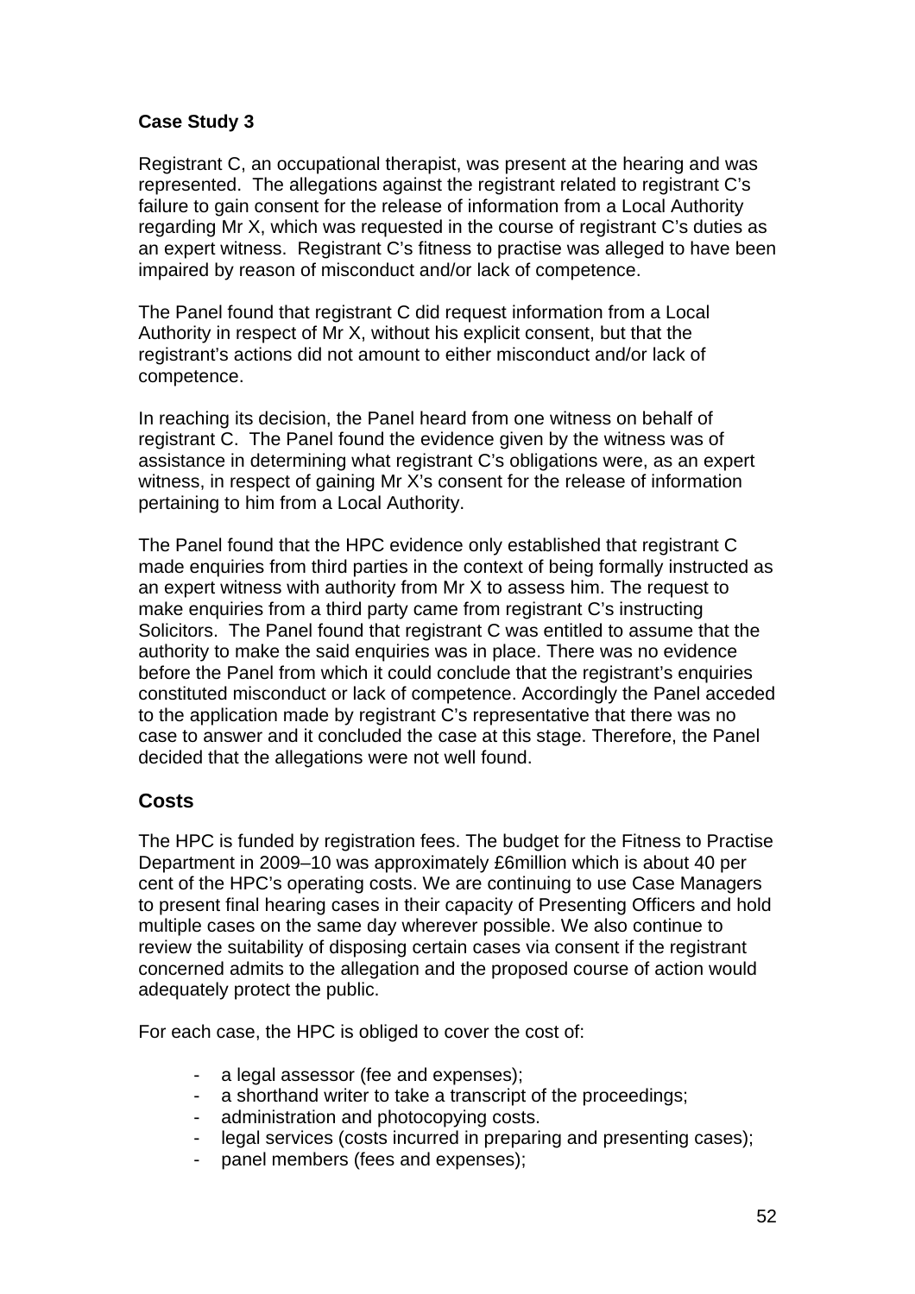## **Case Study 3**

Registrant C, an occupational therapist, was present at the hearing and was represented. The allegations against the registrant related to registrant C's failure to gain consent for the release of information from a Local Authority regarding Mr X, which was requested in the course of registrant C's duties as an expert witness. Registrant C's fitness to practise was alleged to have been impaired by reason of misconduct and/or lack of competence.

The Panel found that registrant C did request information from a Local Authority in respect of Mr X, without his explicit consent, but that the registrant's actions did not amount to either misconduct and/or lack of competence.

In reaching its decision, the Panel heard from one witness on behalf of registrant C. The Panel found the evidence given by the witness was of assistance in determining what registrant C's obligations were, as an expert witness, in respect of gaining Mr X's consent for the release of information pertaining to him from a Local Authority.

The Panel found that the HPC evidence only established that registrant C made enquiries from third parties in the context of being formally instructed as an expert witness with authority from Mr X to assess him. The request to make enquiries from a third party came from registrant C's instructing Solicitors. The Panel found that registrant C was entitled to assume that the authority to make the said enquiries was in place. There was no evidence before the Panel from which it could conclude that the registrant's enquiries constituted misconduct or lack of competence. Accordingly the Panel acceded to the application made by registrant C's representative that there was no case to answer and it concluded the case at this stage. Therefore, the Panel decided that the allegations were not well found.

## **Costs**

The HPC is funded by registration fees. The budget for the Fitness to Practise Department in 2009–10 was approximately £6million which is about 40 per cent of the HPC's operating costs. We are continuing to use Case Managers to present final hearing cases in their capacity of Presenting Officers and hold multiple cases on the same day wherever possible. We also continue to review the suitability of disposing certain cases via consent if the registrant concerned admits to the allegation and the proposed course of action would adequately protect the public.

For each case, the HPC is obliged to cover the cost of:

- a legal assessor (fee and expenses);
- a shorthand writer to take a transcript of the proceedings;
- administration and photocopying costs.
- legal services (costs incurred in preparing and presenting cases);
- panel members (fees and expenses);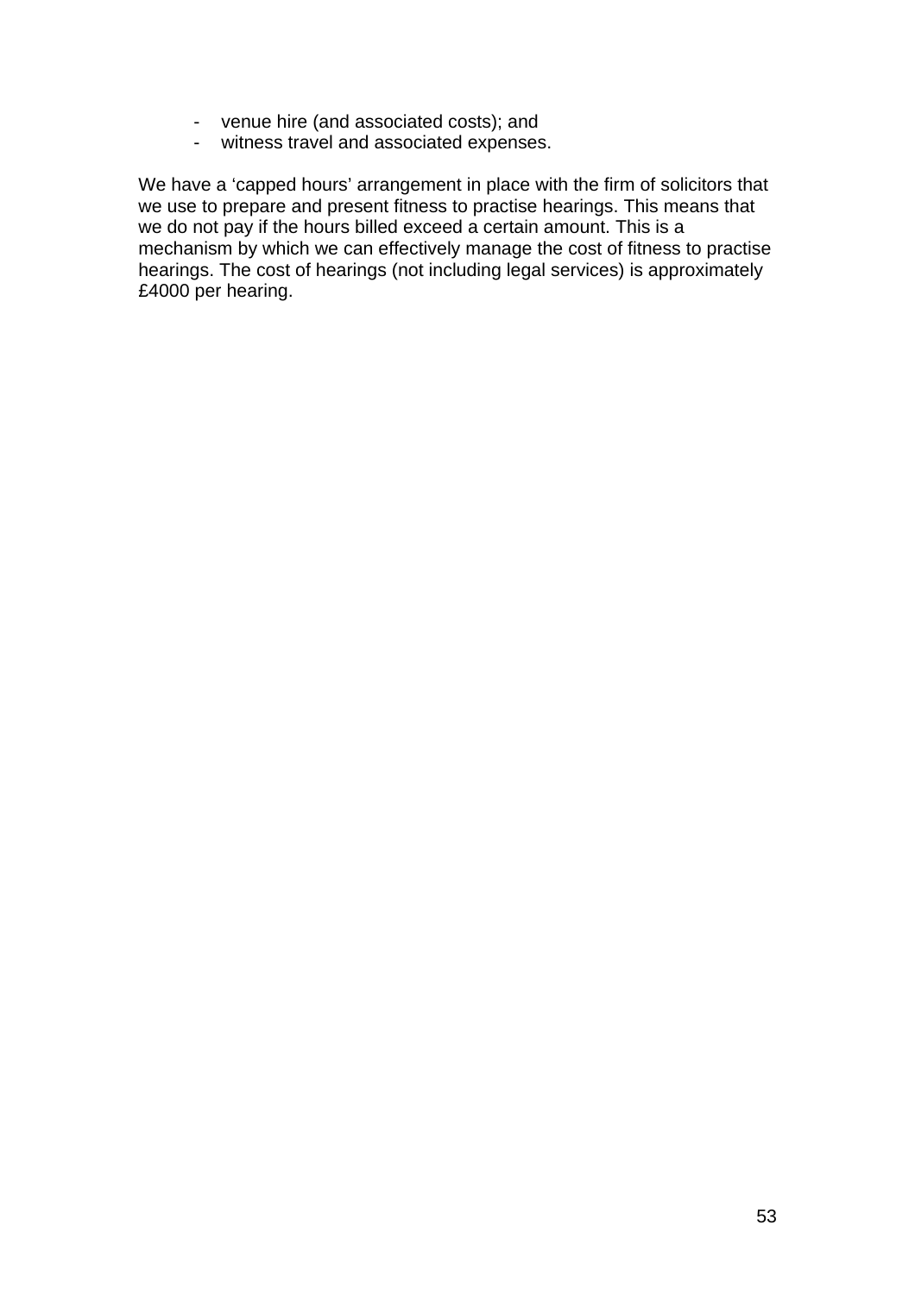- venue hire (and associated costs); and
- witness travel and associated expenses.

We have a 'capped hours' arrangement in place with the firm of solicitors that we use to prepare and present fitness to practise hearings. This means that we do not pay if the hours billed exceed a certain amount. This is a mechanism by which we can effectively manage the cost of fitness to practise hearings. The cost of hearings (not including legal services) is approximately £4000 per hearing.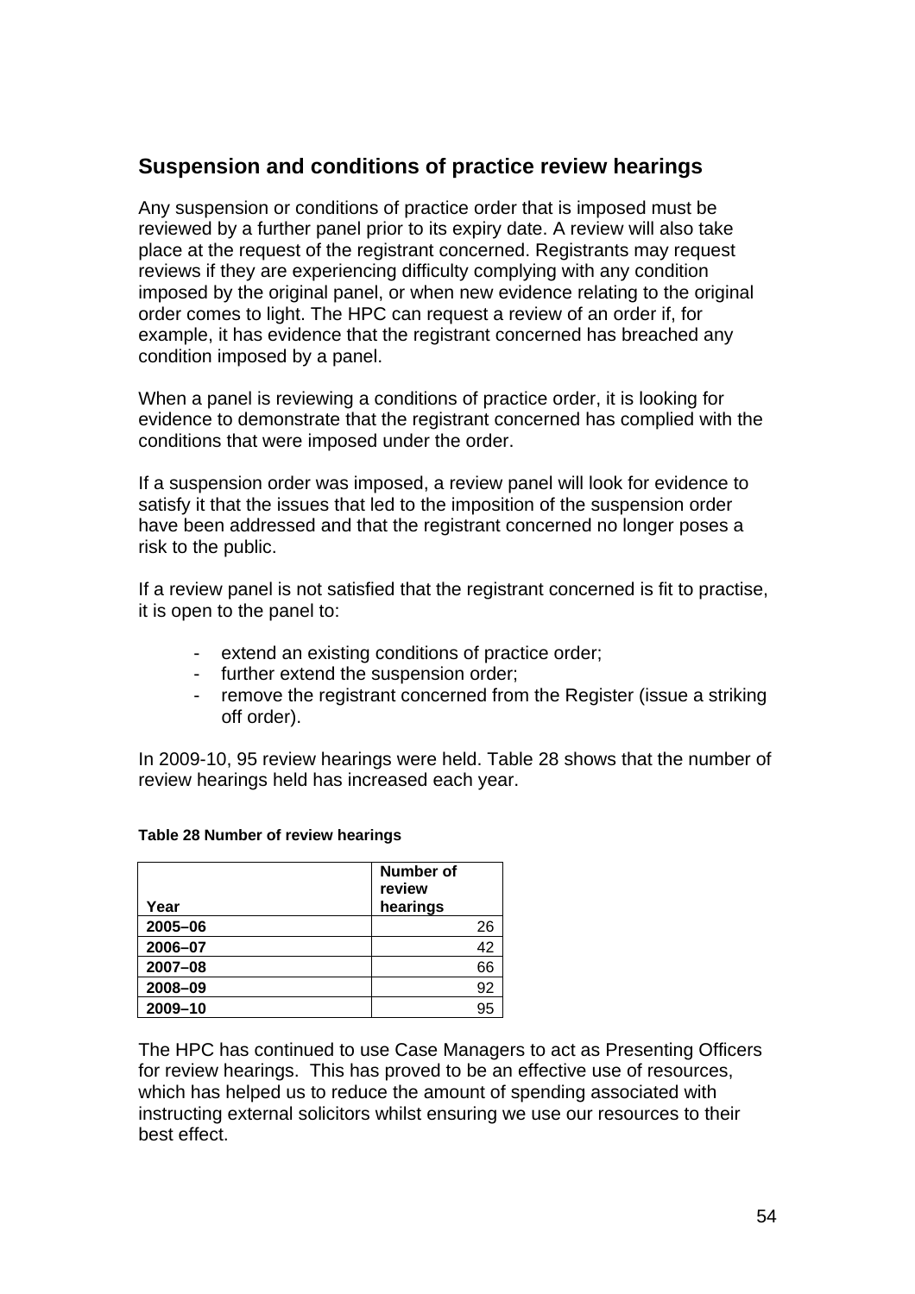## **Suspension and conditions of practice review hearings**

Any suspension or conditions of practice order that is imposed must be reviewed by a further panel prior to its expiry date. A review will also take place at the request of the registrant concerned. Registrants may request reviews if they are experiencing difficulty complying with any condition imposed by the original panel, or when new evidence relating to the original order comes to light. The HPC can request a review of an order if, for example, it has evidence that the registrant concerned has breached any condition imposed by a panel.

When a panel is reviewing a conditions of practice order, it is looking for evidence to demonstrate that the registrant concerned has complied with the conditions that were imposed under the order.

If a suspension order was imposed, a review panel will look for evidence to satisfy it that the issues that led to the imposition of the suspension order have been addressed and that the registrant concerned no longer poses a risk to the public.

If a review panel is not satisfied that the registrant concerned is fit to practise, it is open to the panel to:

- extend an existing conditions of practice order;
- further extend the suspension order;
- remove the registrant concerned from the Register (issue a striking off order).

In 2009-10, 95 review hearings were held. Table 28 shows that the number of review hearings held has increased each year.

| Year    | <b>Number of</b><br>review<br>hearings |
|---------|----------------------------------------|
| 2005-06 | 26                                     |
| 2006-07 | 42                                     |
| 2007-08 | 66                                     |
| 2008-09 | 92                                     |
| 2009-10 | 95                                     |

#### **Table 28 Number of review hearings**

The HPC has continued to use Case Managers to act as Presenting Officers for review hearings. This has proved to be an effective use of resources, which has helped us to reduce the amount of spending associated with instructing external solicitors whilst ensuring we use our resources to their best effect.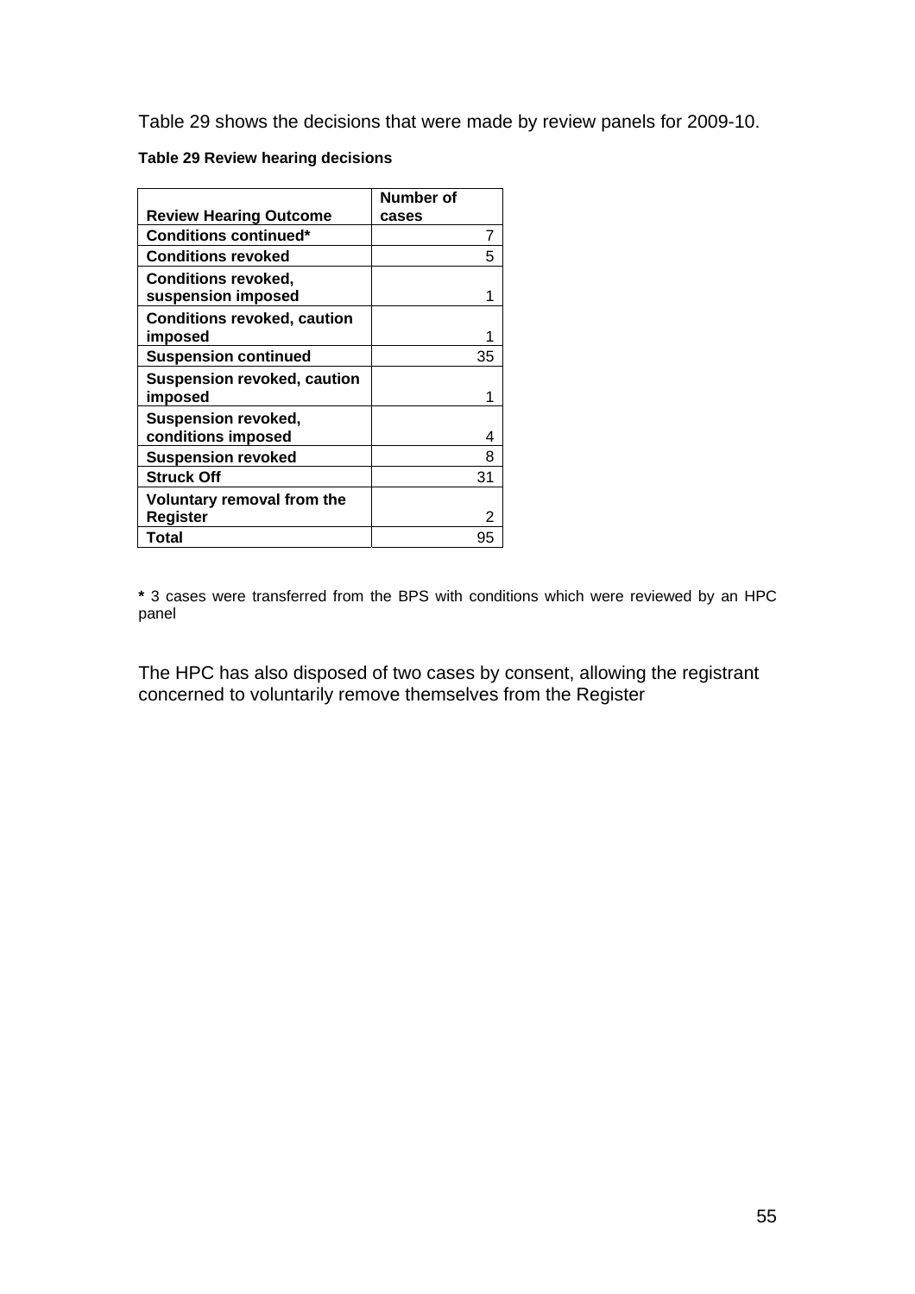Table 29 shows the decisions that were made by review panels for 2009-10.

#### **Table 29 Review hearing decisions**

|                                                  | Number of |    |
|--------------------------------------------------|-----------|----|
| <b>Review Hearing Outcome</b>                    | cases     |    |
| <b>Conditions continued*</b>                     |           | 7  |
| <b>Conditions revoked</b>                        |           | 5  |
| <b>Conditions revoked,</b><br>suspension imposed |           |    |
| <b>Conditions revoked, caution</b><br>imposed    |           |    |
| <b>Suspension continued</b>                      |           | 35 |
| <b>Suspension revoked, caution</b><br>imposed    |           |    |
| <b>Suspension revoked,</b><br>conditions imposed |           | 4  |
| <b>Suspension revoked</b>                        |           | 8  |
| <b>Struck Off</b>                                |           | 31 |
| Voluntary removal from the<br><b>Register</b>    |           |    |
| Total                                            |           | 95 |

**\*** 3 cases were transferred from the BPS with conditions which were reviewed by an HPC panel

The HPC has also disposed of two cases by consent, allowing the registrant concerned to voluntarily remove themselves from the Register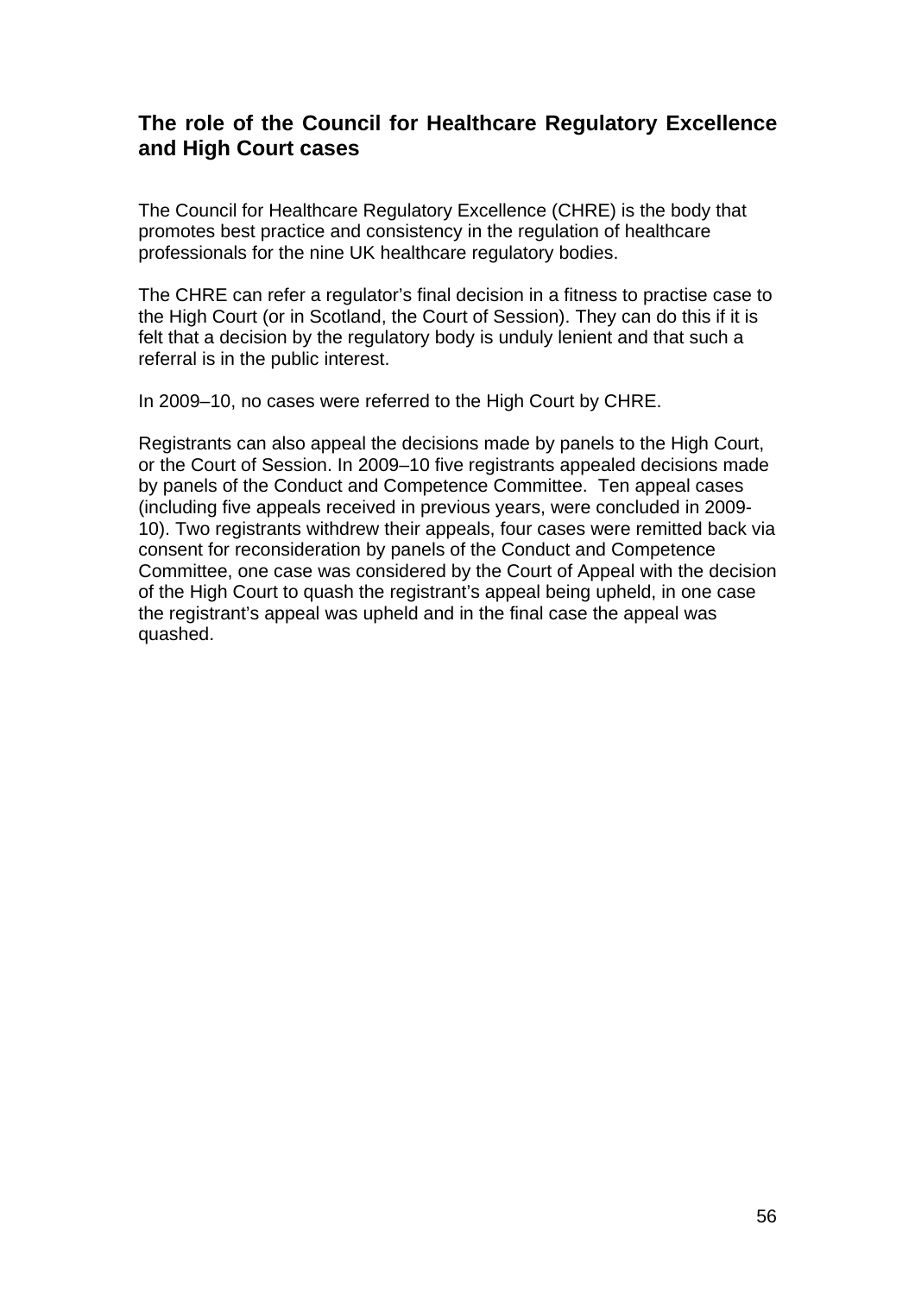## **The role of the Council for Healthcare Regulatory Excellence and High Court cases**

The Council for Healthcare Regulatory Excellence (CHRE) is the body that promotes best practice and consistency in the regulation of healthcare professionals for the nine UK healthcare regulatory bodies.

The CHRE can refer a regulator's final decision in a fitness to practise case to the High Court (or in Scotland, the Court of Session). They can do this if it is felt that a decision by the regulatory body is unduly lenient and that such a referral is in the public interest.

In 2009–10, no cases were referred to the High Court by CHRE.

Registrants can also appeal the decisions made by panels to the High Court, or the Court of Session. In 2009–10 five registrants appealed decisions made by panels of the Conduct and Competence Committee. Ten appeal cases (including five appeals received in previous years, were concluded in 2009- 10). Two registrants withdrew their appeals, four cases were remitted back via consent for reconsideration by panels of the Conduct and Competence Committee, one case was considered by the Court of Appeal with the decision of the High Court to quash the registrant's appeal being upheld, in one case the registrant's appeal was upheld and in the final case the appeal was quashed.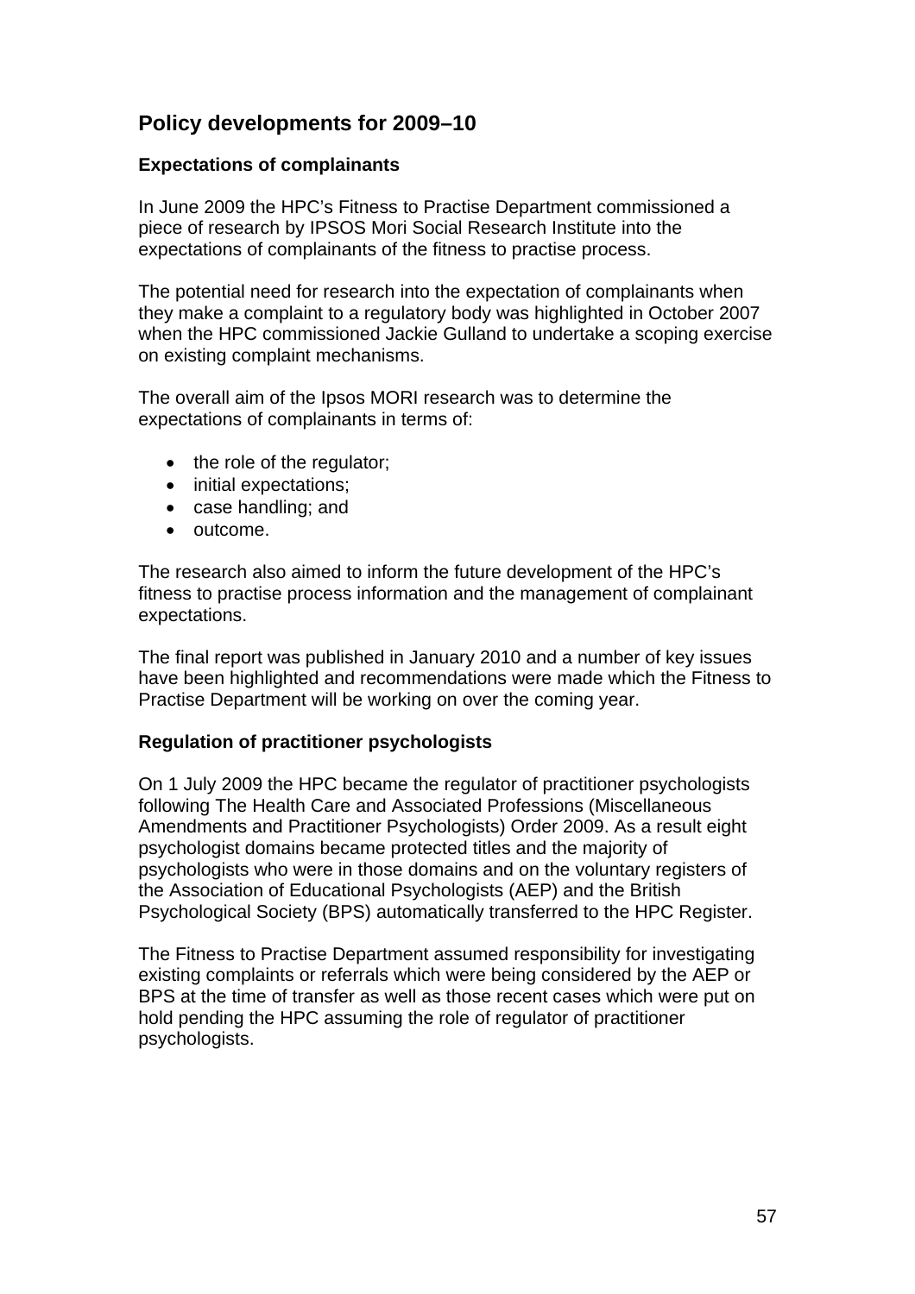## **Policy developments for 2009–10**

## **Expectations of complainants**

In June 2009 the HPC's Fitness to Practise Department commissioned a piece of research by IPSOS Mori Social Research Institute into the expectations of complainants of the fitness to practise process.

The potential need for research into the expectation of complainants when they make a complaint to a regulatory body was highlighted in October 2007 when the HPC commissioned Jackie Gulland to undertake a scoping exercise on existing complaint mechanisms.

The overall aim of the Ipsos MORI research was to determine the expectations of complainants in terms of:

- the role of the regulator;
- initial expectations;
- case handling; and
- outcome.

The research also aimed to inform the future development of the HPC's fitness to practise process information and the management of complainant expectations.

The final report was published in January 2010 and a number of key issues have been highlighted and recommendations were made which the Fitness to Practise Department will be working on over the coming year.

## **Regulation of practitioner psychologists**

On 1 July 2009 the HPC became the regulator of practitioner psychologists following The Health Care and Associated Professions (Miscellaneous Amendments and Practitioner Psychologists) Order 2009. As a result eight psychologist domains became protected titles and the majority of psychologists who were in those domains and on the voluntary registers of the Association of Educational Psychologists (AEP) and the British Psychological Society (BPS) automatically transferred to the HPC Register.

The Fitness to Practise Department assumed responsibility for investigating existing complaints or referrals which were being considered by the AEP or BPS at the time of transfer as well as those recent cases which were put on hold pending the HPC assuming the role of regulator of practitioner psychologists.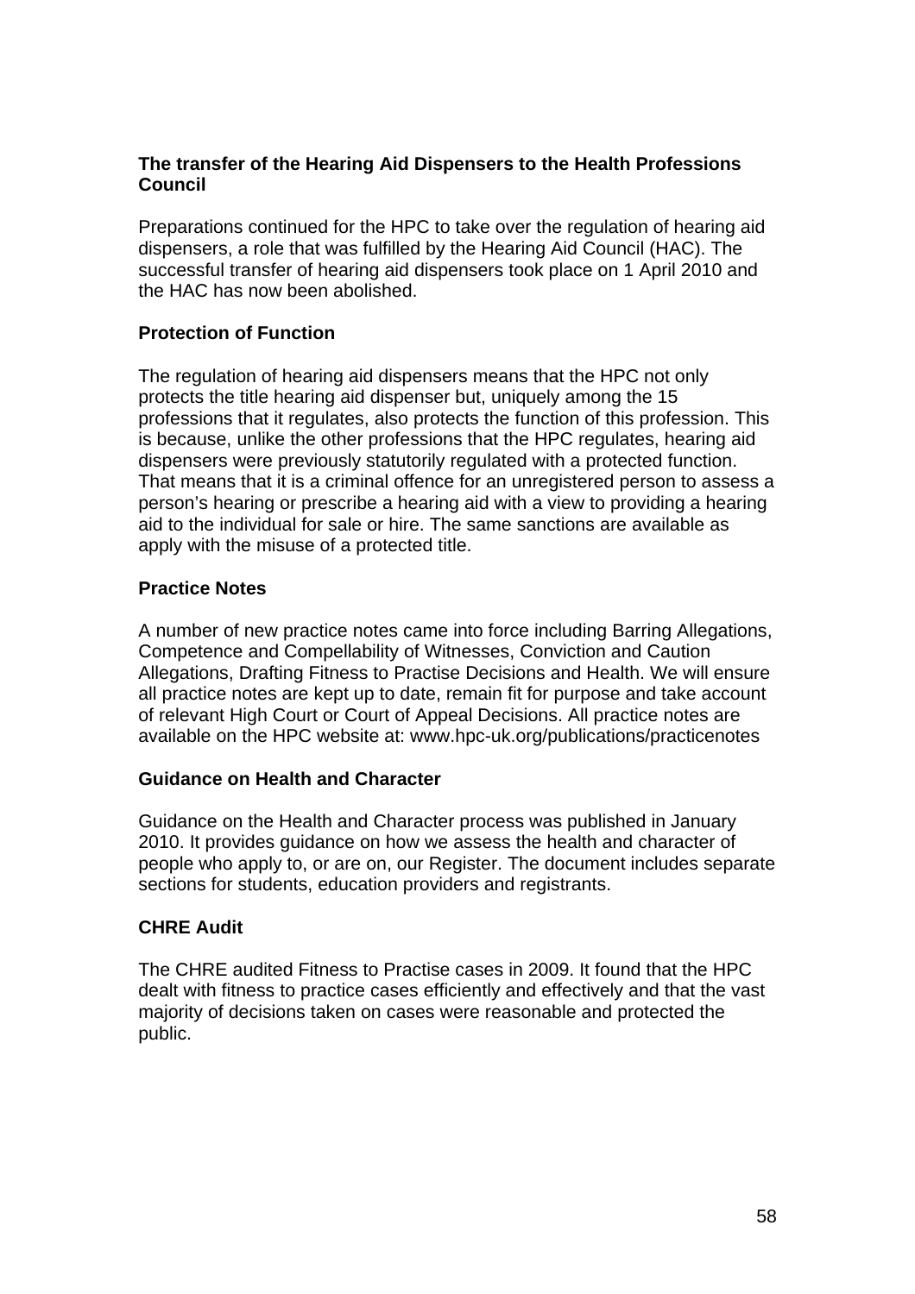## **The transfer of the Hearing Aid Dispensers to the Health Professions Council**

Preparations continued for the HPC to take over the regulation of hearing aid dispensers, a role that was fulfilled by the Hearing Aid Council (HAC). The successful transfer of hearing aid dispensers took place on 1 April 2010 and the HAC has now been abolished.

## **Protection of Function**

The regulation of hearing aid dispensers means that the HPC not only protects the title hearing aid dispenser but, uniquely among the 15 professions that it regulates, also protects the function of this profession. This is because, unlike the other professions that the HPC regulates, hearing aid dispensers were previously statutorily regulated with a protected function. That means that it is a criminal offence for an unregistered person to assess a person's hearing or prescribe a hearing aid with a view to providing a hearing aid to the individual for sale or hire. The same sanctions are available as apply with the misuse of a protected title.

## **Practice Notes**

A number of new practice notes came into force including Barring Allegations, Competence and Compellability of Witnesses, Conviction and Caution Allegations, Drafting Fitness to Practise Decisions and Health. We will ensure all practice notes are kept up to date, remain fit for purpose and take account of relevant High Court or Court of Appeal Decisions. All practice notes are available on the HPC website at: www.hpc-uk.org/publications/practicenotes

## **Guidance on Health and Character**

Guidance on the Health and Character process was published in January 2010. It provides guidance on how we assess the health and character of people who apply to, or are on, our Register. The document includes separate sections for students, education providers and registrants.

## **CHRE Audit**

The CHRE audited Fitness to Practise cases in 2009. It found that the HPC dealt with fitness to practice cases efficiently and effectively and that the vast majority of decisions taken on cases were reasonable and protected the public.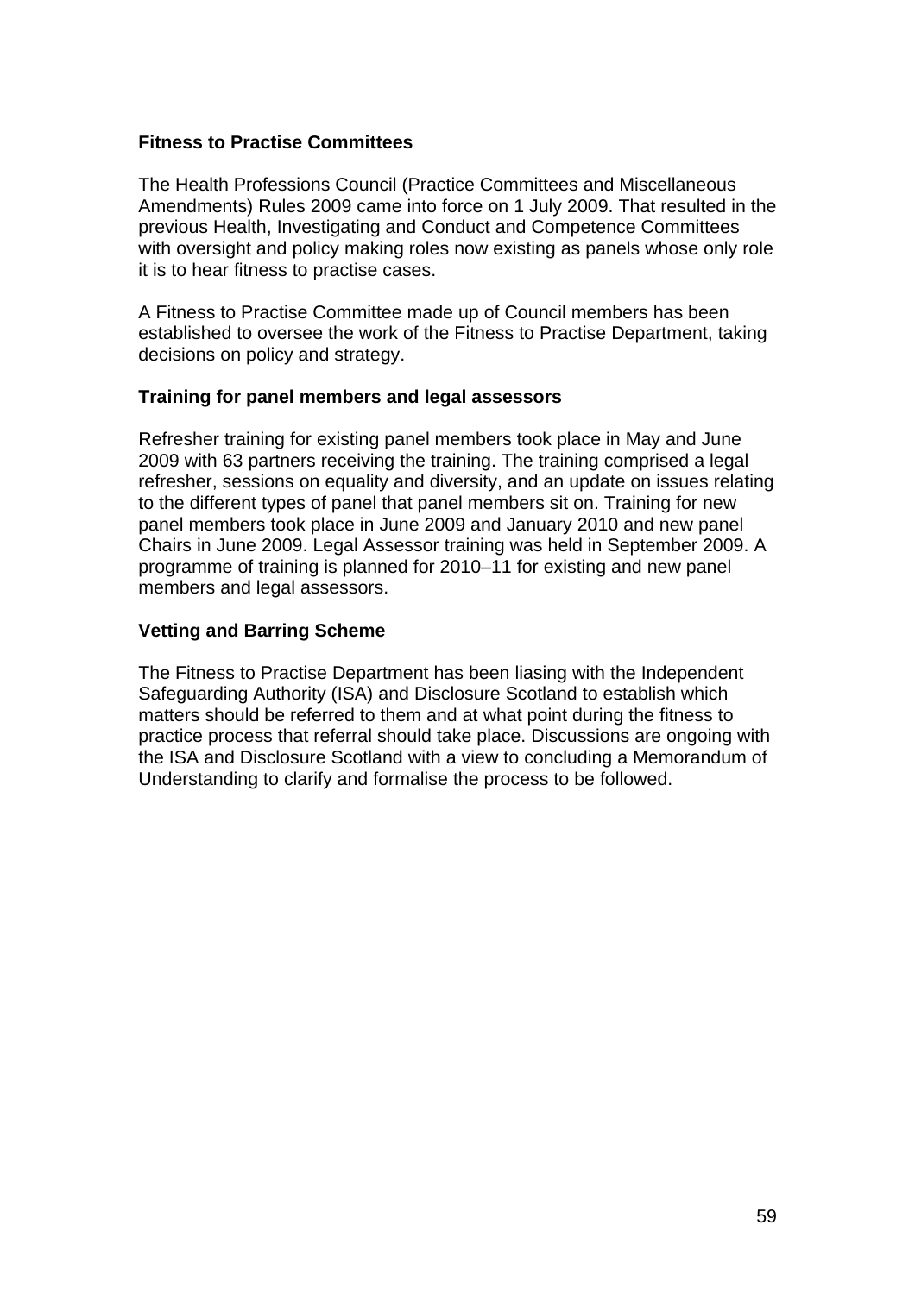#### **Fitness to Practise Committees**

The Health Professions Council (Practice Committees and Miscellaneous Amendments) Rules 2009 came into force on 1 July 2009. That resulted in the previous Health, Investigating and Conduct and Competence Committees with oversight and policy making roles now existing as panels whose only role it is to hear fitness to practise cases.

A Fitness to Practise Committee made up of Council members has been established to oversee the work of the Fitness to Practise Department, taking decisions on policy and strategy.

## **Training for panel members and legal assessors**

Refresher training for existing panel members took place in May and June 2009 with 63 partners receiving the training. The training comprised a legal refresher, sessions on equality and diversity, and an update on issues relating to the different types of panel that panel members sit on. Training for new panel members took place in June 2009 and January 2010 and new panel Chairs in June 2009. Legal Assessor training was held in September 2009. A programme of training is planned for 2010–11 for existing and new panel members and legal assessors.

#### **Vetting and Barring Scheme**

The Fitness to Practise Department has been liasing with the Independent Safeguarding Authority (ISA) and Disclosure Scotland to establish which matters should be referred to them and at what point during the fitness to practice process that referral should take place. Discussions are ongoing with the ISA and Disclosure Scotland with a view to concluding a Memorandum of Understanding to clarify and formalise the process to be followed.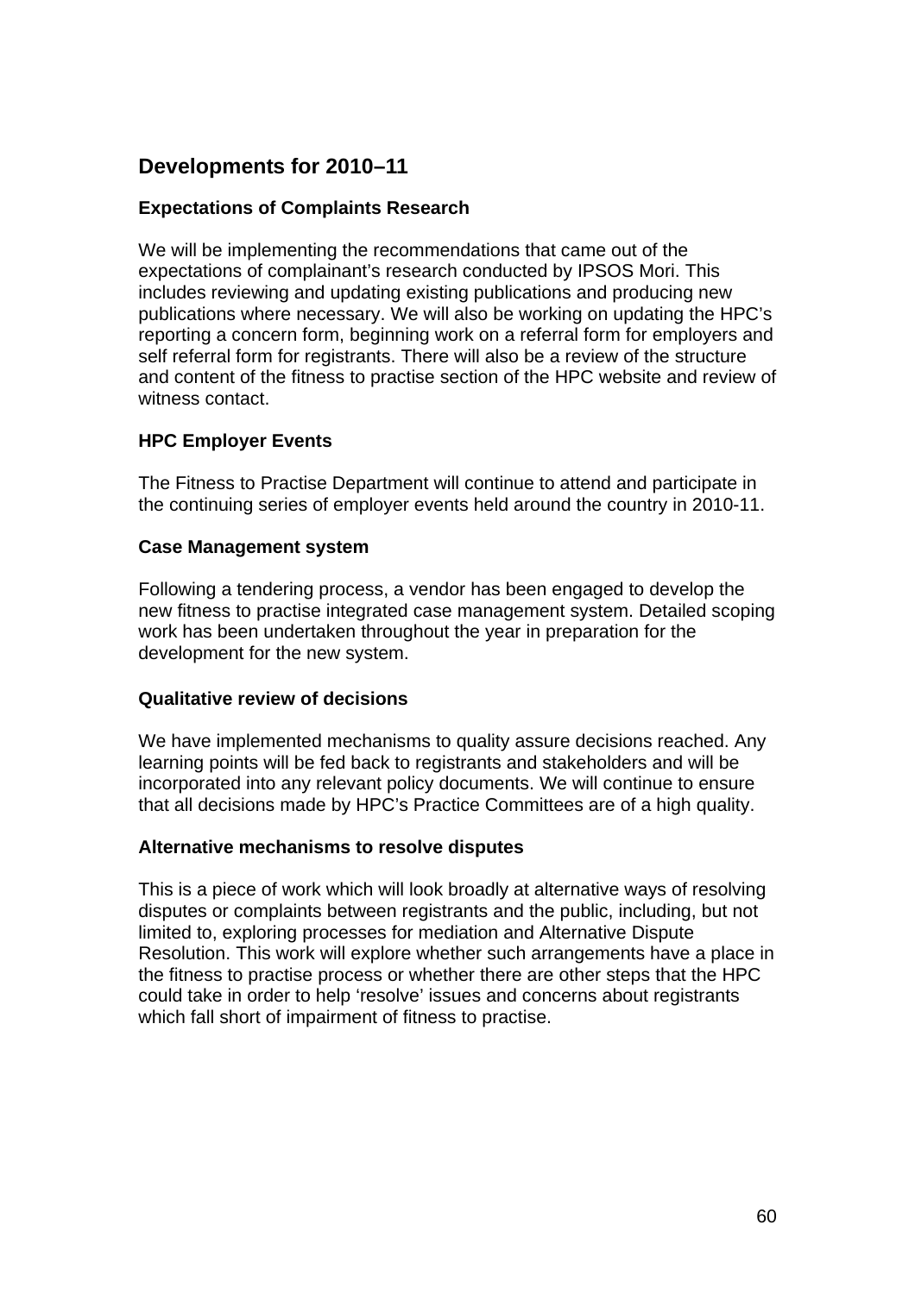## **Developments for 2010–11**

## **Expectations of Complaints Research**

We will be implementing the recommendations that came out of the expectations of complainant's research conducted by IPSOS Mori. This includes reviewing and updating existing publications and producing new publications where necessary. We will also be working on updating the HPC's reporting a concern form, beginning work on a referral form for employers and self referral form for registrants. There will also be a review of the structure and content of the fitness to practise section of the HPC website and review of witness contact.

## **HPC Employer Events**

The Fitness to Practise Department will continue to attend and participate in the continuing series of employer events held around the country in 2010-11.

## **Case Management system**

Following a tendering process, a vendor has been engaged to develop the new fitness to practise integrated case management system. Detailed scoping work has been undertaken throughout the year in preparation for the development for the new system.

## **Qualitative review of decisions**

We have implemented mechanisms to quality assure decisions reached. Any learning points will be fed back to registrants and stakeholders and will be incorporated into any relevant policy documents. We will continue to ensure that all decisions made by HPC's Practice Committees are of a high quality.

## **Alternative mechanisms to resolve disputes**

This is a piece of work which will look broadly at alternative ways of resolving disputes or complaints between registrants and the public, including, but not limited to, exploring processes for mediation and Alternative Dispute Resolution. This work will explore whether such arrangements have a place in the fitness to practise process or whether there are other steps that the HPC could take in order to help 'resolve' issues and concerns about registrants which fall short of impairment of fitness to practise.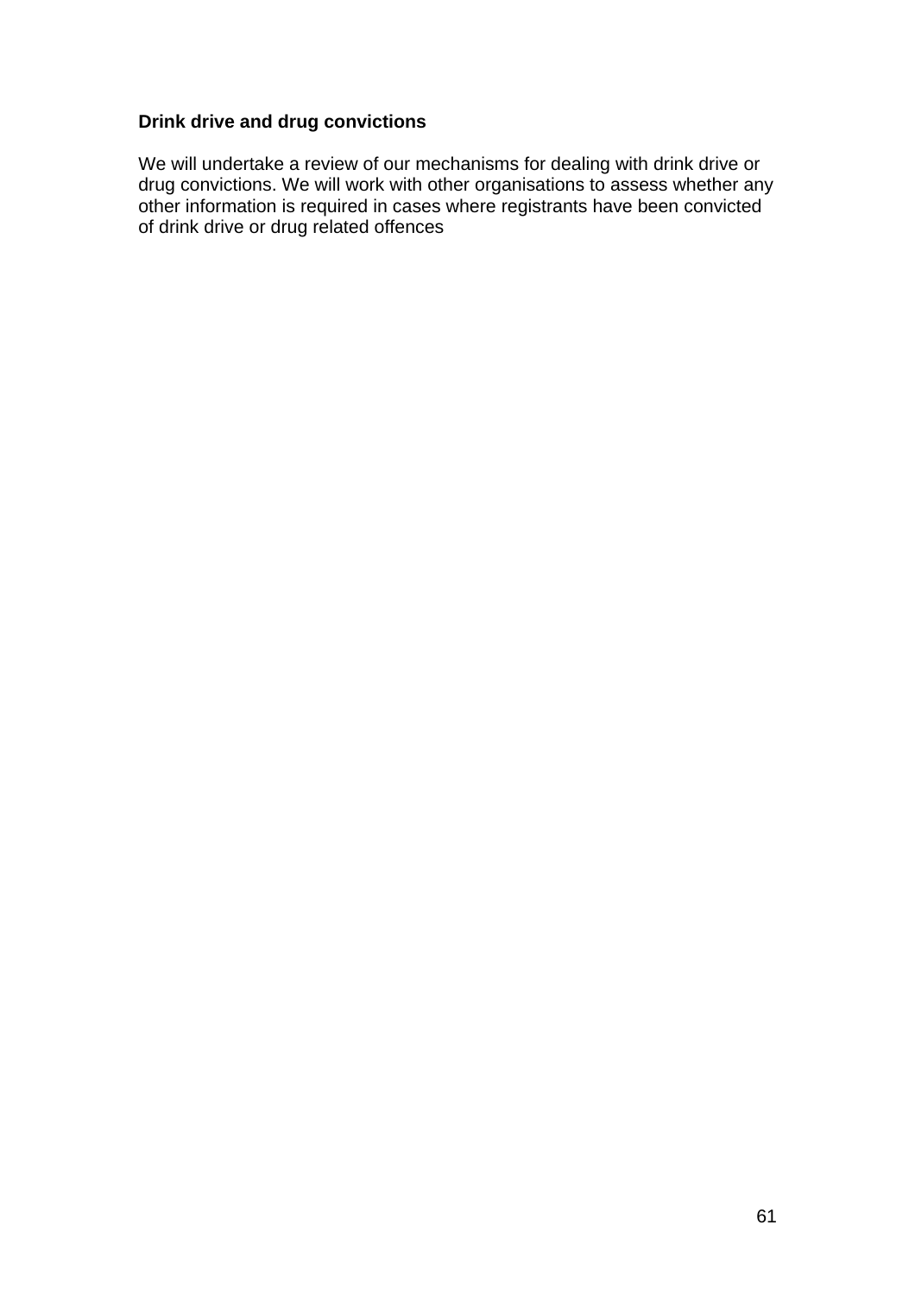## **Drink drive and drug convictions**

We will undertake a review of our mechanisms for dealing with drink drive or drug convictions. We will work with other organisations to assess whether any other information is required in cases where registrants have been convicted of drink drive or drug related offences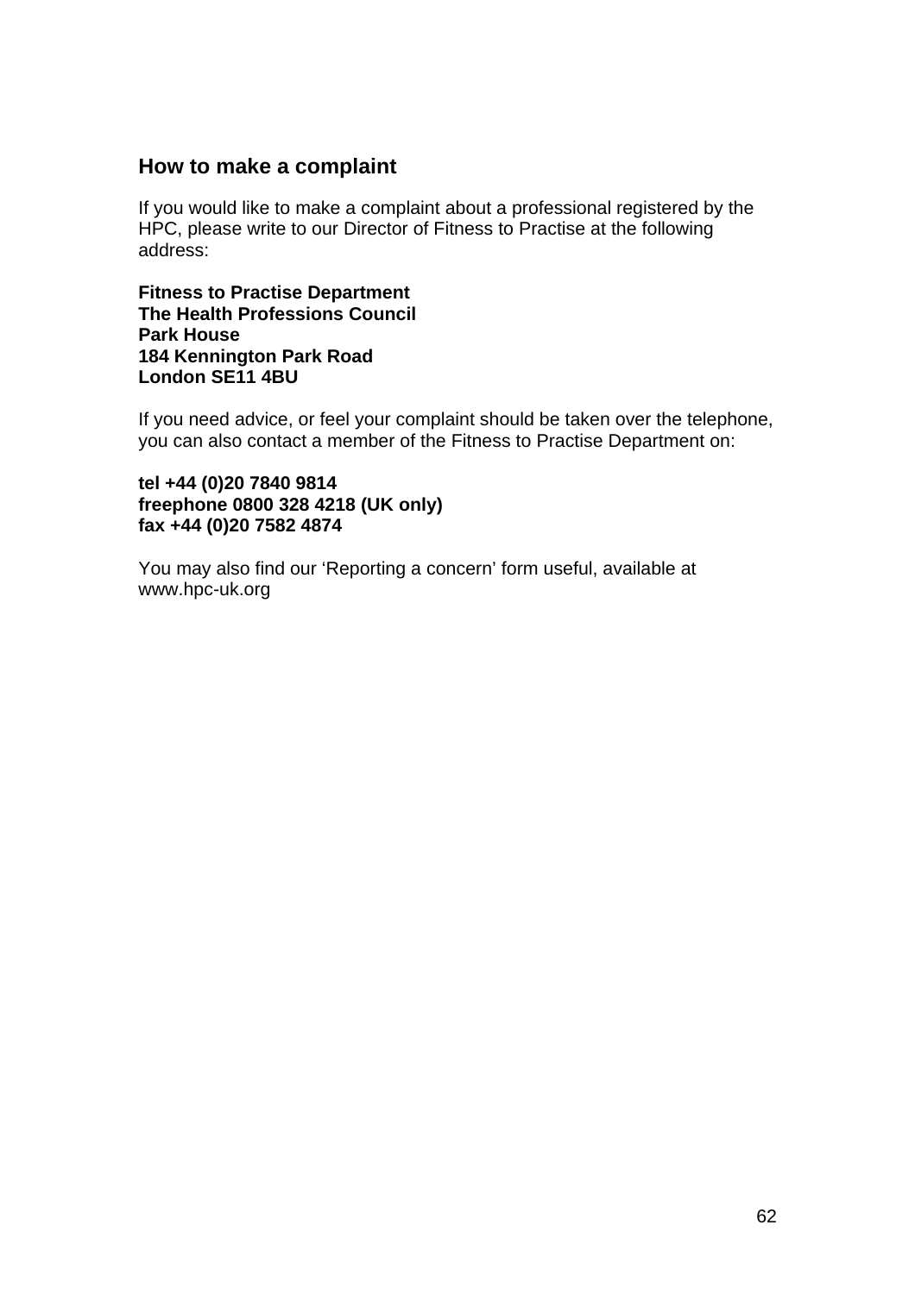## **How to make a complaint**

If you would like to make a complaint about a professional registered by the HPC, please write to our Director of Fitness to Practise at the following address:

**Fitness to Practise Department The Health Professions Council Park House 184 Kennington Park Road London SE11 4BU** 

If you need advice, or feel your complaint should be taken over the telephone, you can also contact a member of the Fitness to Practise Department on:

#### **tel +44 (0)20 7840 9814 freephone 0800 328 4218 (UK only) fax +44 (0)20 7582 4874**

You may also find our 'Reporting a concern' form useful, available at www.hpc-uk.org